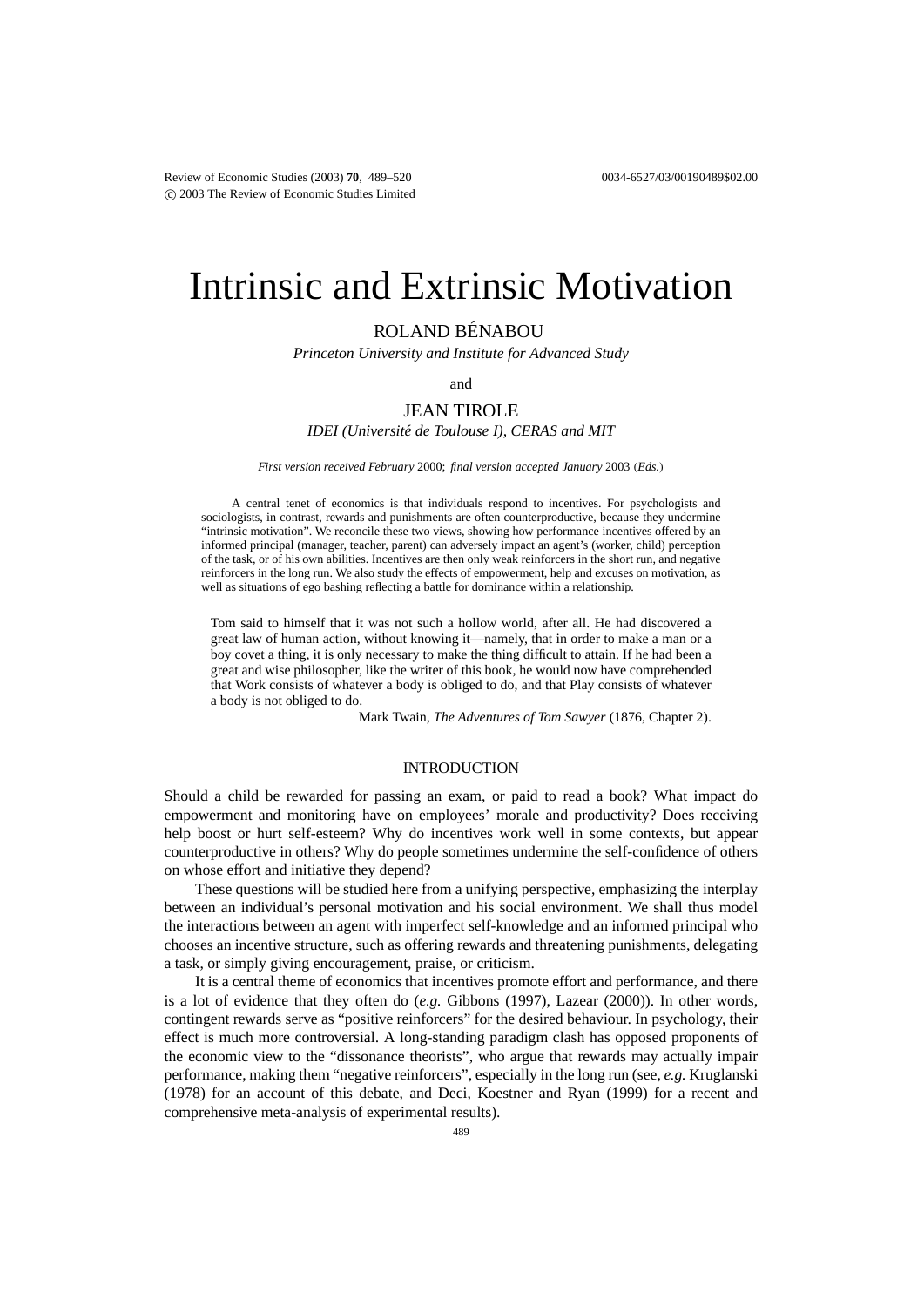Review of Economic Studies (2003) **70**, 489–520 0034-6527/03/00190489\$02.00 c 2003 The Review of Economic Studies Limited

# Intrinsic and Extrinsic Motivation

# ROLAND BENABOU ´

*Princeton University and Institute for Advanced Study*

## and

# JEAN TIROLE

# *IDEI (Universite de Toulouse I), CERAS and MIT ´*

*First version received February* 2000; *final version accepted January* 2003 (*Eds.*)

A central tenet of economics is that individuals respond to incentives. For psychologists and sociologists, in contrast, rewards and punishments are often counterproductive, because they undermine "intrinsic motivation". We reconcile these two views, showing how performance incentives offered by an informed principal (manager, teacher, parent) can adversely impact an agent's (worker, child) perception of the task, or of his own abilities. Incentives are then only weak reinforcers in the short run, and negative reinforcers in the long run. We also study the effects of empowerment, help and excuses on motivation, as well as situations of ego bashing reflecting a battle for dominance within a relationship.

Tom said to himself that it was not such a hollow world, after all. He had discovered a great law of human action, without knowing it—namely, that in order to make a man or a boy covet a thing, it is only necessary to make the thing difficult to attain. If he had been a great and wise philosopher, like the writer of this book, he would now have comprehended that Work consists of whatever a body is obliged to do, and that Play consists of whatever a body is not obliged to do.

Mark Twain, *The Adventures of Tom Sawyer* (1876, Chapter 2).

#### INTRODUCTION

Should a child be rewarded for passing an exam, or paid to read a book? What impact do empowerment and monitoring have on employees' morale and productivity? Does receiving help boost or hurt self-esteem? Why do incentives work well in some contexts, but appear counterproductive in others? Why do people sometimes undermine the self-confidence of others on whose effort and initiative they depend?

These questions will be studied here from a unifying perspective, emphasizing the interplay between an individual's personal motivation and his social environment. We shall thus model the interactions between an agent with imperfect self-knowledge and an informed principal who chooses an incentive structure, such as offering rewards and threatening punishments, delegating a task, or simply giving encouragement, praise, or criticism.

It is a central theme of economics that incentives promote effort and performance, and there is a lot of evidence that they often do (*e.g.* Gibbons (1997), Lazear (2000)). In other words, contingent rewards serve as "positive reinforcers" for the desired behaviour. In psychology, their effect is much more controversial. A long-standing paradigm clash has opposed proponents of the economic view to the "dissonance theorists", who argue that rewards may actually impair performance, making them "negative reinforcers", especially in the long run (see, *e.g.* Kruglanski (1978) for an account of this debate, and Deci, Koestner and Ryan (1999) for a recent and comprehensive meta-analysis of experimental results).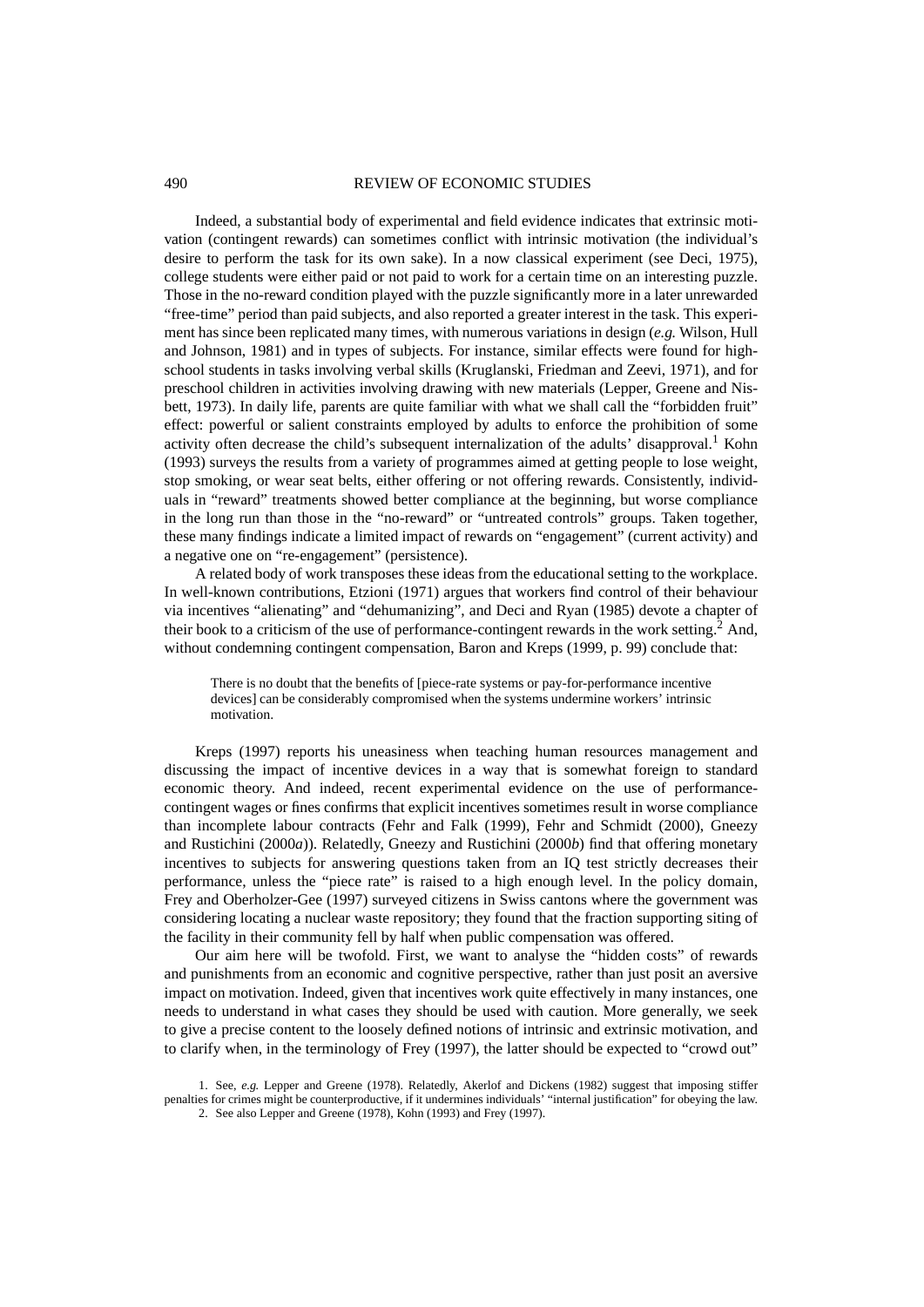Indeed, a substantial body of experimental and field evidence indicates that extrinsic motivation (contingent rewards) can sometimes conflict with intrinsic motivation (the individual's desire to perform the task for its own sake). In a now classical experiment (see Deci, 1975), college students were either paid or not paid to work for a certain time on an interesting puzzle. Those in the no-reward condition played with the puzzle significantly more in a later unrewarded "free-time" period than paid subjects, and also reported a greater interest in the task. This experiment has since been replicated many times, with numerous variations in design (*e.g.* Wilson, Hull and Johnson, 1981) and in types of subjects. For instance, similar effects were found for highschool students in tasks involving verbal skills (Kruglanski, Friedman and Zeevi, 1971), and for preschool children in activities involving drawing with new materials (Lepper, Greene and Nisbett, 1973). In daily life, parents are quite familiar with what we shall call the "forbidden fruit" effect: powerful or salient constraints employed by adults to enforce the prohibition of some activity often decrease the child's subsequent internalization of the adults' disapproval.<sup>1</sup> Kohn (1993) surveys the results from a variety of programmes aimed at getting people to lose weight, stop smoking, or wear seat belts, either offering or not offering rewards. Consistently, individuals in "reward" treatments showed better compliance at the beginning, but worse compliance in the long run than those in the "no-reward" or "untreated controls" groups. Taken together, these many findings indicate a limited impact of rewards on "engagement" (current activity) and a negative one on "re-engagement" (persistence).

A related body of work transposes these ideas from the educational setting to the workplace. In well-known contributions, Etzioni (1971) argues that workers find control of their behaviour via incentives "alienating" and "dehumanizing", and Deci and Ryan (1985) devote a chapter of their book to a criticism of the use of performance-contingent rewards in the work setting.<sup>2</sup> And, without condemning contingent compensation, Baron and Kreps (1999, p. 99) conclude that:

There is no doubt that the benefits of [piece-rate systems or pay-for-performance incentive devices] can be considerably compromised when the systems undermine workers' intrinsic motivation.

Kreps (1997) reports his uneasiness when teaching human resources management and discussing the impact of incentive devices in a way that is somewhat foreign to standard economic theory. And indeed, recent experimental evidence on the use of performancecontingent wages or fines confirms that explicit incentives sometimes result in worse compliance than incomplete labour contracts (Fehr and Falk (1999), Fehr and Schmidt (2000), Gneezy and Rustichini (2000*a*)). Relatedly, Gneezy and Rustichini (2000*b*) find that offering monetary incentives to subjects for answering questions taken from an IQ test strictly decreases their performance, unless the "piece rate" is raised to a high enough level. In the policy domain, Frey and Oberholzer-Gee (1997) surveyed citizens in Swiss cantons where the government was considering locating a nuclear waste repository; they found that the fraction supporting siting of the facility in their community fell by half when public compensation was offered.

Our aim here will be twofold. First, we want to analyse the "hidden costs" of rewards and punishments from an economic and cognitive perspective, rather than just posit an aversive impact on motivation. Indeed, given that incentives work quite effectively in many instances, one needs to understand in what cases they should be used with caution. More generally, we seek to give a precise content to the loosely defined notions of intrinsic and extrinsic motivation, and to clarify when, in the terminology of Frey (1997), the latter should be expected to "crowd out"

<sup>1.</sup> See, *e.g.* Lepper and Greene (1978). Relatedly, Akerlof and Dickens (1982) suggest that imposing stiffer penalties for crimes might be counterproductive, if it undermines individuals' "internal justification" for obeying the law. 2. See also Lepper and Greene (1978), Kohn (1993) and Frey (1997).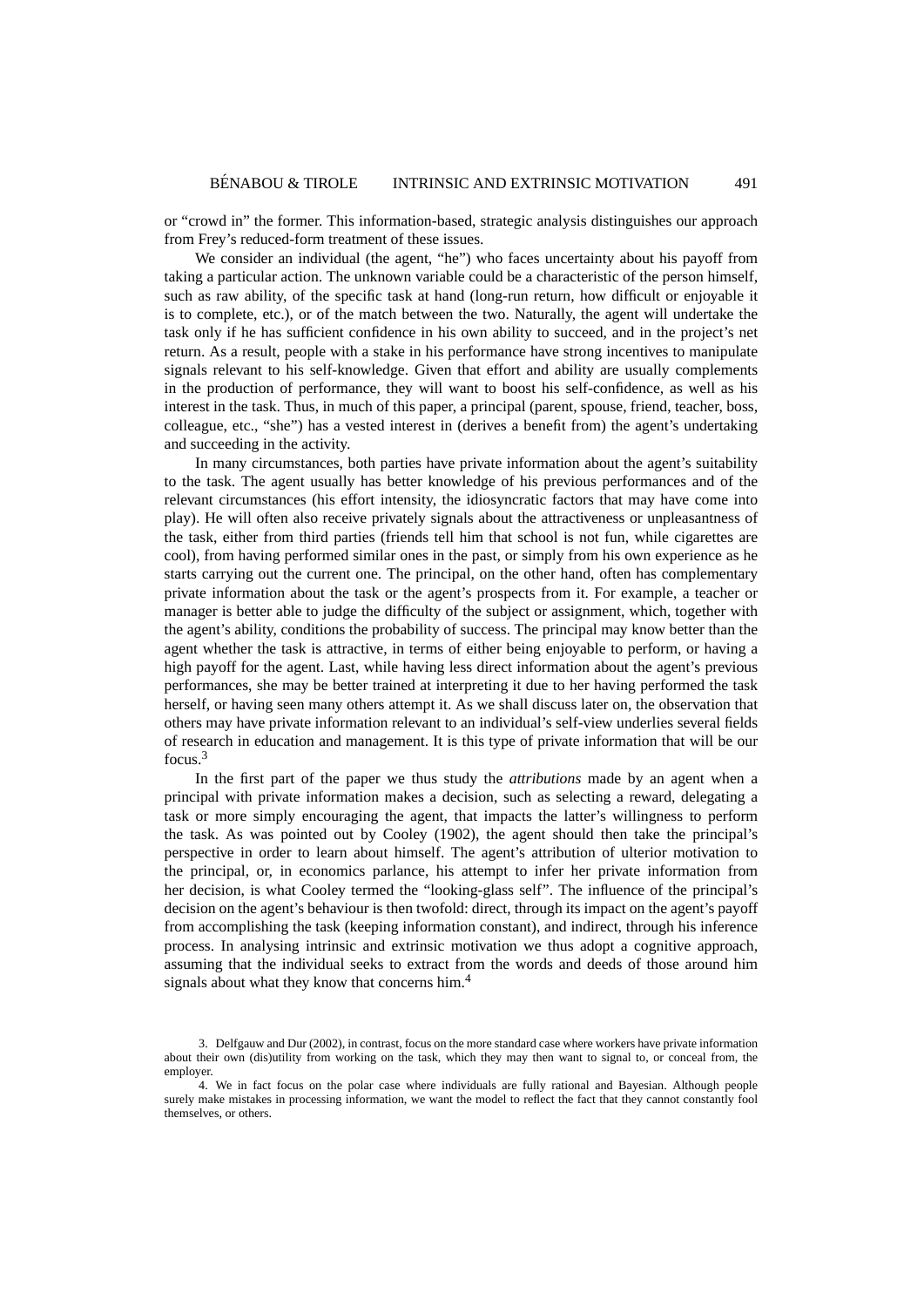or "crowd in" the former. This information-based, strategic analysis distinguishes our approach from Frey's reduced-form treatment of these issues.

We consider an individual (the agent, "he") who faces uncertainty about his payoff from taking a particular action. The unknown variable could be a characteristic of the person himself, such as raw ability, of the specific task at hand (long-run return, how difficult or enjoyable it is to complete, etc.), or of the match between the two. Naturally, the agent will undertake the task only if he has sufficient confidence in his own ability to succeed, and in the project's net return. As a result, people with a stake in his performance have strong incentives to manipulate signals relevant to his self-knowledge. Given that effort and ability are usually complements in the production of performance, they will want to boost his self-confidence, as well as his interest in the task. Thus, in much of this paper, a principal (parent, spouse, friend, teacher, boss, colleague, etc., "she") has a vested interest in (derives a benefit from) the agent's undertaking and succeeding in the activity.

In many circumstances, both parties have private information about the agent's suitability to the task. The agent usually has better knowledge of his previous performances and of the relevant circumstances (his effort intensity, the idiosyncratic factors that may have come into play). He will often also receive privately signals about the attractiveness or unpleasantness of the task, either from third parties (friends tell him that school is not fun, while cigarettes are cool), from having performed similar ones in the past, or simply from his own experience as he starts carrying out the current one. The principal, on the other hand, often has complementary private information about the task or the agent's prospects from it. For example, a teacher or manager is better able to judge the difficulty of the subject or assignment, which, together with the agent's ability, conditions the probability of success. The principal may know better than the agent whether the task is attractive, in terms of either being enjoyable to perform, or having a high payoff for the agent. Last, while having less direct information about the agent's previous performances, she may be better trained at interpreting it due to her having performed the task herself, or having seen many others attempt it. As we shall discuss later on, the observation that others may have private information relevant to an individual's self-view underlies several fields of research in education and management. It is this type of private information that will be our focus.<sup>3</sup>

In the first part of the paper we thus study the *attributions* made by an agent when a principal with private information makes a decision, such as selecting a reward, delegating a task or more simply encouraging the agent, that impacts the latter's willingness to perform the task. As was pointed out by Cooley (1902), the agent should then take the principal's perspective in order to learn about himself. The agent's attribution of ulterior motivation to the principal, or, in economics parlance, his attempt to infer her private information from her decision, is what Cooley termed the "looking-glass self". The influence of the principal's decision on the agent's behaviour is then twofold: direct, through its impact on the agent's payoff from accomplishing the task (keeping information constant), and indirect, through his inference process. In analysing intrinsic and extrinsic motivation we thus adopt a cognitive approach, assuming that the individual seeks to extract from the words and deeds of those around him signals about what they know that concerns him.<sup>4</sup>

<sup>3.</sup> Delfgauw and Dur (2002), in contrast, focus on the more standard case where workers have private information about their own (dis)utility from working on the task, which they may then want to signal to, or conceal from, the employer.

<sup>4.</sup> We in fact focus on the polar case where individuals are fully rational and Bayesian. Although people surely make mistakes in processing information, we want the model to reflect the fact that they cannot constantly fool themselves, or others.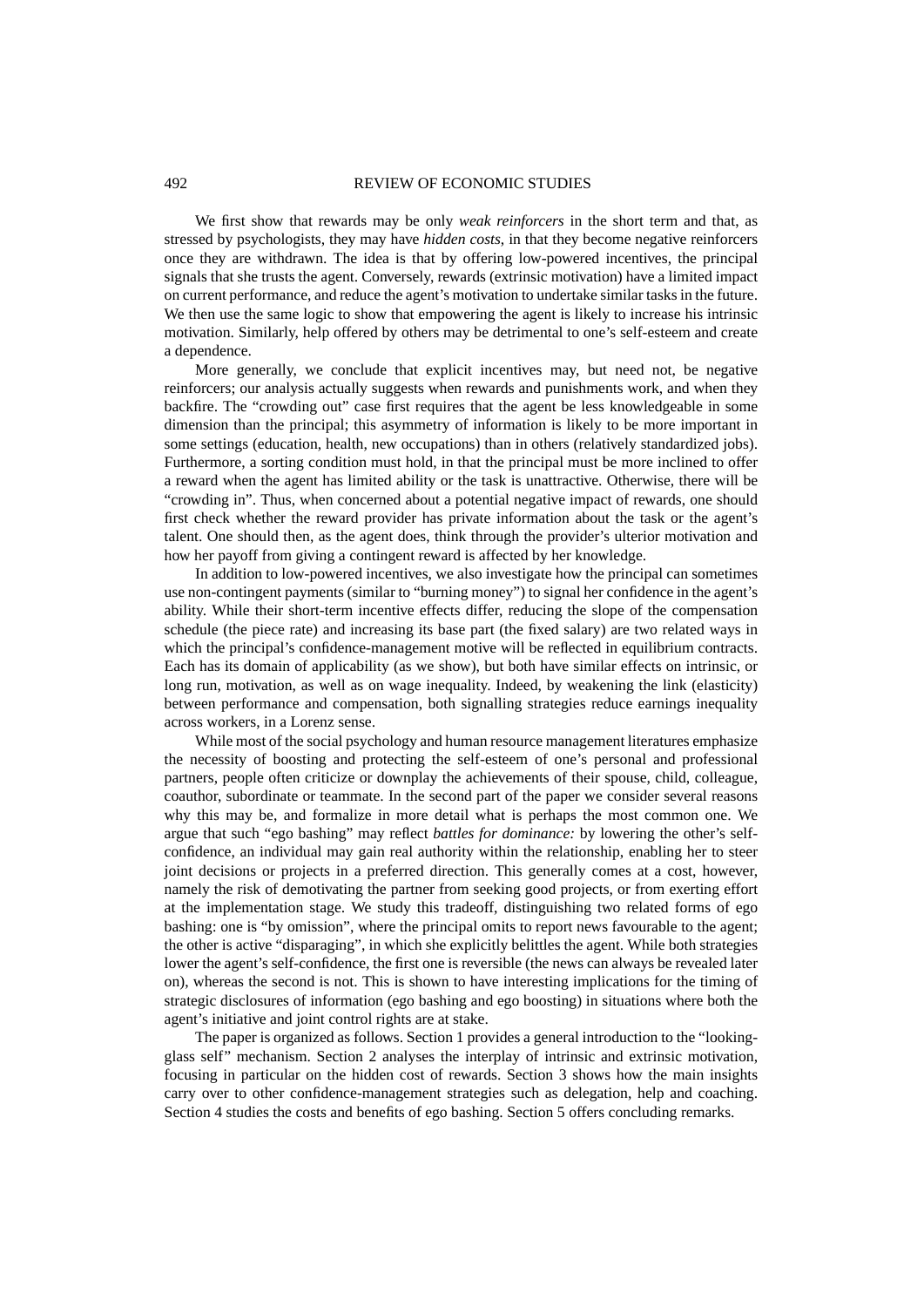We first show that rewards may be only *weak reinforcers* in the short term and that, as stressed by psychologists, they may have *hidden costs*, in that they become negative reinforcers once they are withdrawn. The idea is that by offering low-powered incentives, the principal signals that she trusts the agent. Conversely, rewards (extrinsic motivation) have a limited impact on current performance, and reduce the agent's motivation to undertake similar tasks in the future. We then use the same logic to show that empowering the agent is likely to increase his intrinsic motivation. Similarly, help offered by others may be detrimental to one's self-esteem and create a dependence.

More generally, we conclude that explicit incentives may, but need not, be negative reinforcers; our analysis actually suggests when rewards and punishments work, and when they backfire. The "crowding out" case first requires that the agent be less knowledgeable in some dimension than the principal; this asymmetry of information is likely to be more important in some settings (education, health, new occupations) than in others (relatively standardized jobs). Furthermore, a sorting condition must hold, in that the principal must be more inclined to offer a reward when the agent has limited ability or the task is unattractive. Otherwise, there will be "crowding in". Thus, when concerned about a potential negative impact of rewards, one should first check whether the reward provider has private information about the task or the agent's talent. One should then, as the agent does, think through the provider's ulterior motivation and how her payoff from giving a contingent reward is affected by her knowledge.

In addition to low-powered incentives, we also investigate how the principal can sometimes use non-contingent payments (similar to "burning money") to signal her confidence in the agent's ability. While their short-term incentive effects differ, reducing the slope of the compensation schedule (the piece rate) and increasing its base part (the fixed salary) are two related ways in which the principal's confidence-management motive will be reflected in equilibrium contracts. Each has its domain of applicability (as we show), but both have similar effects on intrinsic, or long run, motivation, as well as on wage inequality. Indeed, by weakening the link (elasticity) between performance and compensation, both signalling strategies reduce earnings inequality across workers, in a Lorenz sense.

While most of the social psychology and human resource management literatures emphasize the necessity of boosting and protecting the self-esteem of one's personal and professional partners, people often criticize or downplay the achievements of their spouse, child, colleague, coauthor, subordinate or teammate. In the second part of the paper we consider several reasons why this may be, and formalize in more detail what is perhaps the most common one. We argue that such "ego bashing" may reflect *battles for dominance:* by lowering the other's selfconfidence, an individual may gain real authority within the relationship, enabling her to steer joint decisions or projects in a preferred direction. This generally comes at a cost, however, namely the risk of demotivating the partner from seeking good projects, or from exerting effort at the implementation stage. We study this tradeoff, distinguishing two related forms of ego bashing: one is "by omission", where the principal omits to report news favourable to the agent; the other is active "disparaging", in which she explicitly belittles the agent. While both strategies lower the agent's self-confidence, the first one is reversible (the news can always be revealed later on), whereas the second is not. This is shown to have interesting implications for the timing of strategic disclosures of information (ego bashing and ego boosting) in situations where both the agent's initiative and joint control rights are at stake.

The paper is organized as follows. Section 1 provides a general introduction to the "lookingglass self" mechanism. Section 2 analyses the interplay of intrinsic and extrinsic motivation, focusing in particular on the hidden cost of rewards. Section 3 shows how the main insights carry over to other confidence-management strategies such as delegation, help and coaching. Section 4 studies the costs and benefits of ego bashing. Section 5 offers concluding remarks.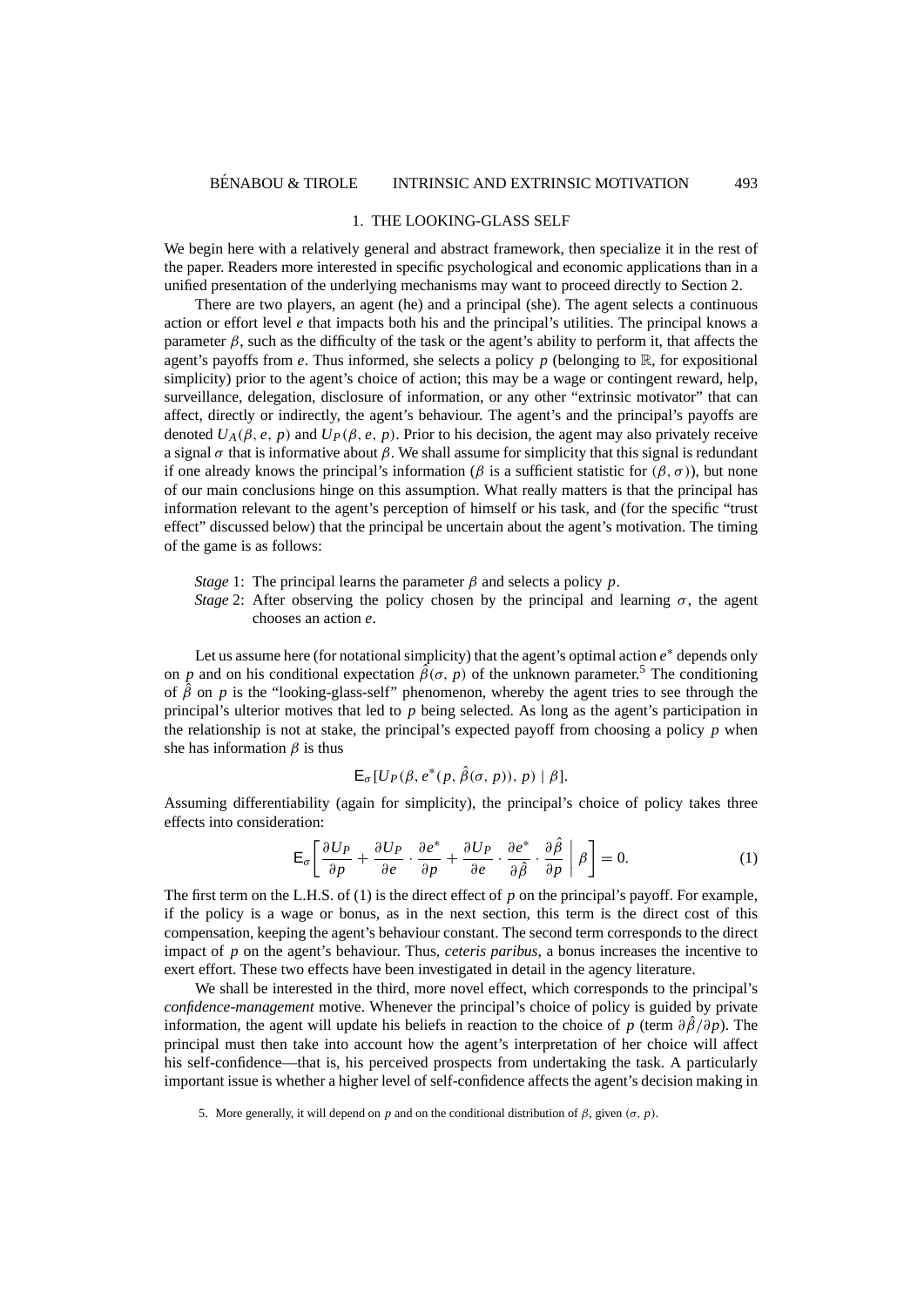## 1. THE LOOKING-GLASS SELF

We begin here with a relatively general and abstract framework, then specialize it in the rest of the paper. Readers more interested in specific psychological and economic applications than in a unified presentation of the underlying mechanisms may want to proceed directly to Section 2.

There are two players, an agent (he) and a principal (she). The agent selects a continuous action or effort level *e* that impacts both his and the principal's utilities. The principal knows a parameter  $\beta$ , such as the difficulty of the task or the agent's ability to perform it, that affects the agent's payoffs from  $e$ . Thus informed, she selects a policy  $p$  (belonging to  $\mathbb{R}$ , for expositional simplicity) prior to the agent's choice of action; this may be a wage or contingent reward, help, surveillance, delegation, disclosure of information, or any other "extrinsic motivator" that can affect, directly or indirectly, the agent's behaviour. The agent's and the principal's payoffs are denoted  $U_A(\beta, e, p)$  and  $U_P(\beta, e, p)$ . Prior to his decision, the agent may also privately receive a signal  $\sigma$  that is informative about  $\beta$ . We shall assume for simplicity that this signal is redundant if one already knows the principal's information ( $\beta$  is a sufficient statistic for  $(\beta, \sigma)$ ), but none of our main conclusions hinge on this assumption. What really matters is that the principal has information relevant to the agent's perception of himself or his task, and (for the specific "trust effect" discussed below) that the principal be uncertain about the agent's motivation. The timing of the game is as follows:

- *Stage* 1: The principal learns the parameter  $\beta$  and selects a policy  $p$ .
- *Stage* 2: After observing the policy chosen by the principal and learning σ, the agent chooses an action *e*.

Let us assume here (for notational simplicity) that the agent's optimal action *e*<sup>∗</sup> depends only on *p* and on his conditional expectation  $\hat{\beta}(\sigma, p)$  of the unknown parameter.<sup>5</sup> The conditioning of  $\hat{\beta}$  on *p* is the "looking-glass-self" phenomenon, whereby the agent tries to see through the principal's ulterior motives that led to *p* being selected. As long as the agent's participation in the relationship is not at stake, the principal's expected payoff from choosing a policy  $p$  when she has information  $\beta$  is thus

$$
\mathsf{E}_{\sigma}[U_P(\beta, e^*(p, \hat{\beta}(\sigma, p)), p) | \beta].
$$

Assuming differentiability (again for simplicity), the principal's choice of policy takes three effects into consideration:

$$
\mathsf{E}_{\sigma} \left[ \frac{\partial U_P}{\partial p} + \frac{\partial U_P}{\partial e} \cdot \frac{\partial e^*}{\partial p} + \frac{\partial U_P}{\partial e} \cdot \frac{\partial e^*}{\partial \hat{\beta}} \cdot \frac{\partial \hat{\beta}}{\partial p} \middle| \beta \right] = 0. \tag{1}
$$

The first term on the L.H.S. of (1) is the direct effect of *p* on the principal's payoff. For example, if the policy is a wage or bonus, as in the next section, this term is the direct cost of this compensation, keeping the agent's behaviour constant. The second term corresponds to the direct impact of *p* on the agent's behaviour. Thus, *ceteris paribus*, a bonus increases the incentive to exert effort. These two effects have been investigated in detail in the agency literature.

We shall be interested in the third, more novel effect, which corresponds to the principal's *confidence-management* motive. Whenever the principal's choice of policy is guided by private information, the agent will update his beliefs in reaction to the choice of *p* (term  $\partial \hat{\beta}/\partial p$ ). The principal must then take into account how the agent's interpretation of her choice will affect his self-confidence—that is, his perceived prospects from undertaking the task. A particularly important issue is whether a higher level of self-confidence affects the agent's decision making in

5. More generally, it will depend on *p* and on the conditional distribution of β, given (σ, *p*).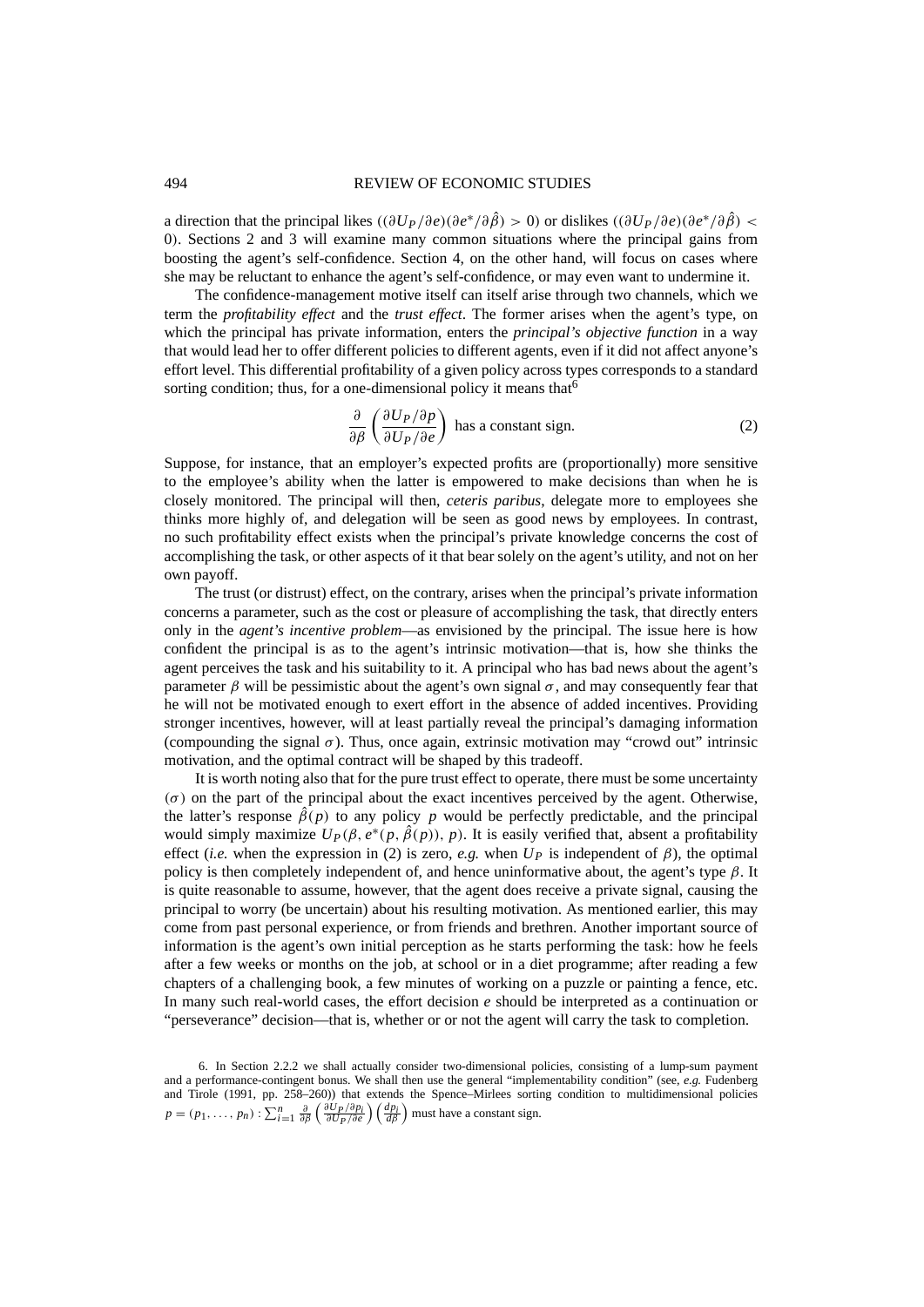a direction that the principal likes  $((\partial U_P/\partial e)(\partial e^*/\partial \hat{\beta}) > 0)$  or dislikes  $((\partial U_P/\partial e)(\partial e^*/\partial \hat{\beta}) <$ 0). Sections 2 and 3 will examine many common situations where the principal gains from boosting the agent's self-confidence. Section 4, on the other hand, will focus on cases where she may be reluctant to enhance the agent's self-confidence, or may even want to undermine it.

The confidence-management motive itself can itself arise through two channels, which we term the *profitability effect* and the *trust effect*. The former arises when the agent's type, on which the principal has private information, enters the *principal's objective function* in a way that would lead her to offer different policies to different agents, even if it did not affect anyone's effort level. This differential profitability of a given policy across types corresponds to a standard sorting condition; thus, for a one-dimensional policy it means that  $6$ 

$$
\frac{\partial}{\partial \beta} \left( \frac{\partial U_P / \partial p}{\partial U_P / \partial e} \right)
$$
 has a constant sign. (2)

Suppose, for instance, that an employer's expected profits are (proportionally) more sensitive to the employee's ability when the latter is empowered to make decisions than when he is closely monitored. The principal will then, *ceteris paribus*, delegate more to employees she thinks more highly of, and delegation will be seen as good news by employees. In contrast, no such profitability effect exists when the principal's private knowledge concerns the cost of accomplishing the task, or other aspects of it that bear solely on the agent's utility, and not on her own payoff.

The trust (or distrust) effect, on the contrary, arises when the principal's private information concerns a parameter, such as the cost or pleasure of accomplishing the task, that directly enters only in the *agent's incentive problem*—as envisioned by the principal. The issue here is how confident the principal is as to the agent's intrinsic motivation—that is, how she thinks the agent perceives the task and his suitability to it. A principal who has bad news about the agent's parameter  $\beta$  will be pessimistic about the agent's own signal  $\sigma$ , and may consequently fear that he will not be motivated enough to exert effort in the absence of added incentives. Providing stronger incentives, however, will at least partially reveal the principal's damaging information (compounding the signal  $\sigma$ ). Thus, once again, extrinsic motivation may "crowd out" intrinsic motivation, and the optimal contract will be shaped by this tradeoff.

It is worth noting also that for the pure trust effect to operate, there must be some uncertainty  $(\sigma)$  on the part of the principal about the exact incentives perceived by the agent. Otherwise, the latter's response  $\hat{\beta}(p)$  to any policy p would be perfectly predictable, and the principal would simply maximize  $U_P(\beta, e^*(p, \hat{\beta}(p)), p)$ . It is easily verified that, absent a profitability effect (*i.e.* when the expression in (2) is zero, *e.g.* when  $U_P$  is independent of  $\beta$ ), the optimal policy is then completely independent of, and hence uninformative about, the agent's type  $\beta$ . It is quite reasonable to assume, however, that the agent does receive a private signal, causing the principal to worry (be uncertain) about his resulting motivation. As mentioned earlier, this may come from past personal experience, or from friends and brethren. Another important source of information is the agent's own initial perception as he starts performing the task: how he feels after a few weeks or months on the job, at school or in a diet programme; after reading a few chapters of a challenging book, a few minutes of working on a puzzle or painting a fence, etc. In many such real-world cases, the effort decision *e* should be interpreted as a continuation or "perseverance" decision—that is, whether or or not the agent will carry the task to completion.

<sup>6.</sup> In Section 2.2.2 we shall actually consider two-dimensional policies, consisting of a lump-sum payment and a performance-contingent bonus. We shall then use the general "implementability condition" (see, *e.g.* Fudenberg and Tirole (1991, pp. 258–260)) that extends the Spence–Mirlees sorting condition to multidimensional policies  $p = (p_1, \ldots, p_n) : \sum_{i=1}^n \frac{\partial}{\partial \beta} \left( \frac{\partial U_P / \partial p_i}{\partial U_P / \partial \epsilon} \right) \left( \frac{dp_i}{d\beta} \right)$  must have a constant sign.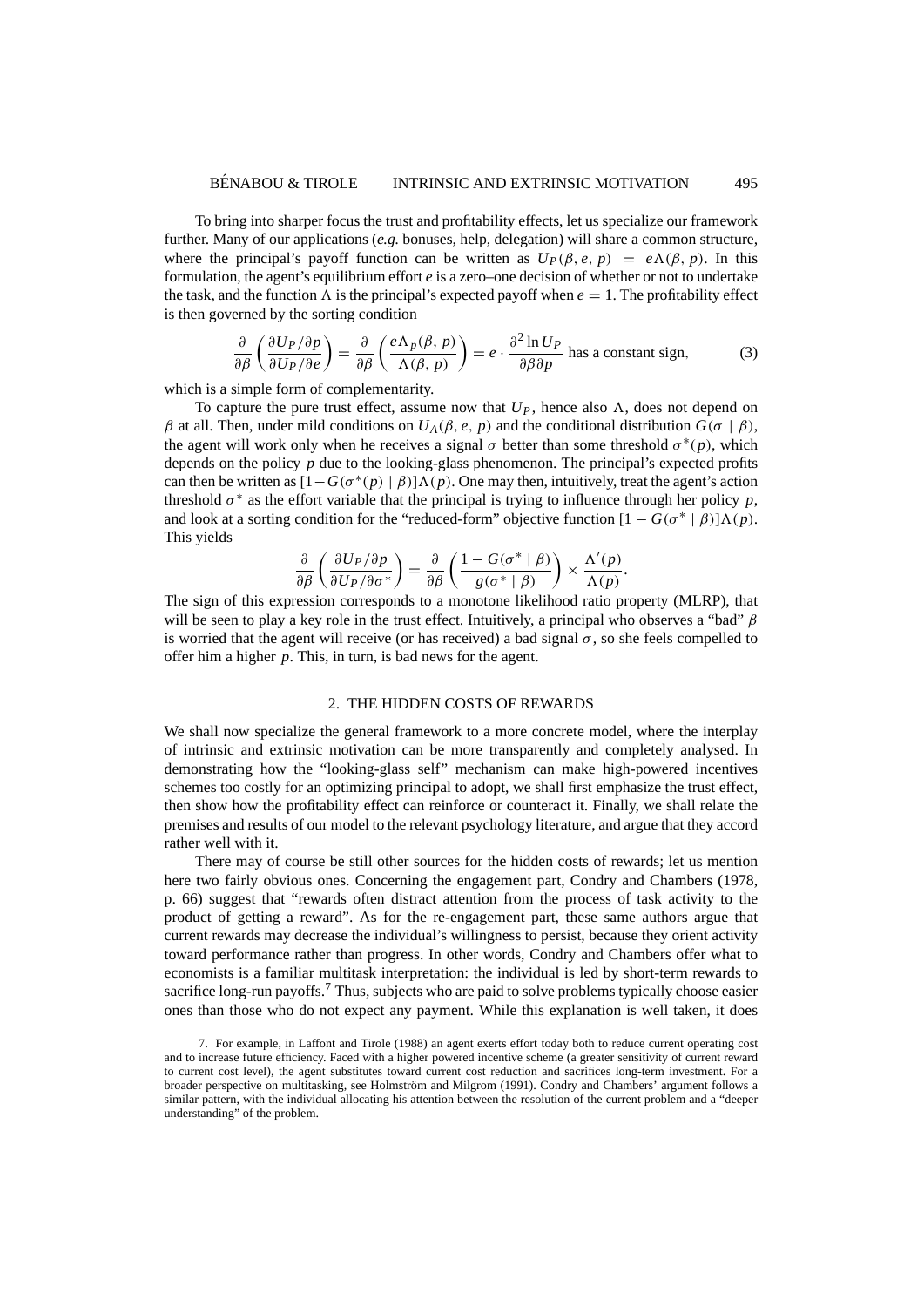To bring into sharper focus the trust and profitability effects, let us specialize our framework further. Many of our applications (*e.g.* bonuses, help, delegation) will share a common structure, where the principal's payoff function can be written as  $U_P(\beta, e, p) = e \Lambda(\beta, p)$ . In this formulation, the agent's equilibrium effort *e* is a zero–one decision of whether or not to undertake the task, and the function  $\Lambda$  is the principal's expected payoff when  $e = 1$ . The profitability effect is then governed by the sorting condition

$$
\frac{\partial}{\partial \beta} \left( \frac{\partial U_P / \partial p}{\partial U_P / \partial e} \right) = \frac{\partial}{\partial \beta} \left( \frac{e \Lambda_p (\beta, p)}{\Lambda (\beta, p)} \right) = e \cdot \frac{\partial^2 \ln U_P}{\partial \beta \partial p}
$$
 has a constant sign, (3)

which is a simple form of complementarity.

To capture the pure trust effect, assume now that  $U_P$ , hence also  $\Lambda$ , does not depend on β at all. Then, under mild conditions on  $U_A(\beta, e, p)$  and the conditional distribution  $G(\sigma | \beta)$ , the agent will work only when he receives a signal  $\sigma$  better than some threshold  $\sigma^*(p)$ , which depends on the policy *p* due to the looking-glass phenomenon. The principal's expected profits can then be written as  $[1 - G(\sigma^*(p) | \beta)] \Lambda(p)$ . One may then, intuitively, treat the agent's action threshold  $\sigma^*$  as the effort variable that the principal is trying to influence through her policy p, and look at a sorting condition for the "reduced-form" objective function  $[1 - G(\sigma^* | \beta)] \Lambda(p)$ . This yields

$$
\frac{\partial}{\partial \beta} \left( \frac{\partial U_P / \partial p}{\partial U_P / \partial \sigma^*} \right) = \frac{\partial}{\partial \beta} \left( \frac{1 - G(\sigma^* \mid \beta)}{g(\sigma^* \mid \beta)} \right) \times \frac{\Lambda'(p)}{\Lambda(p)}.
$$

The sign of this expression corresponds to a monotone likelihood ratio property (MLRP), that will be seen to play a key role in the trust effect. Intuitively, a principal who observes a "bad"  $\beta$ is worried that the agent will receive (or has received) a bad signal  $\sigma$ , so she feels compelled to offer him a higher *p*. This, in turn, is bad news for the agent.

# 2. THE HIDDEN COSTS OF REWARDS

We shall now specialize the general framework to a more concrete model, where the interplay of intrinsic and extrinsic motivation can be more transparently and completely analysed. In demonstrating how the "looking-glass self" mechanism can make high-powered incentives schemes too costly for an optimizing principal to adopt, we shall first emphasize the trust effect, then show how the profitability effect can reinforce or counteract it. Finally, we shall relate the premises and results of our model to the relevant psychology literature, and argue that they accord rather well with it.

There may of course be still other sources for the hidden costs of rewards; let us mention here two fairly obvious ones. Concerning the engagement part, Condry and Chambers (1978, p. 66) suggest that "rewards often distract attention from the process of task activity to the product of getting a reward". As for the re-engagement part, these same authors argue that current rewards may decrease the individual's willingness to persist, because they orient activity toward performance rather than progress. In other words, Condry and Chambers offer what to economists is a familiar multitask interpretation: the individual is led by short-term rewards to sacrifice long-run payoffs.<sup>7</sup> Thus, subjects who are paid to solve problems typically choose easier ones than those who do not expect any payment. While this explanation is well taken, it does

<sup>7.</sup> For example, in Laffont and Tirole (1988) an agent exerts effort today both to reduce current operating cost and to increase future efficiency. Faced with a higher powered incentive scheme (a greater sensitivity of current reward to current cost level), the agent substitutes toward current cost reduction and sacrifices long-term investment. For a broader perspective on multitasking, see Holmström and Milgrom (1991). Condry and Chambers' argument follows a similar pattern, with the individual allocating his attention between the resolution of the current problem and a "deeper understanding" of the problem.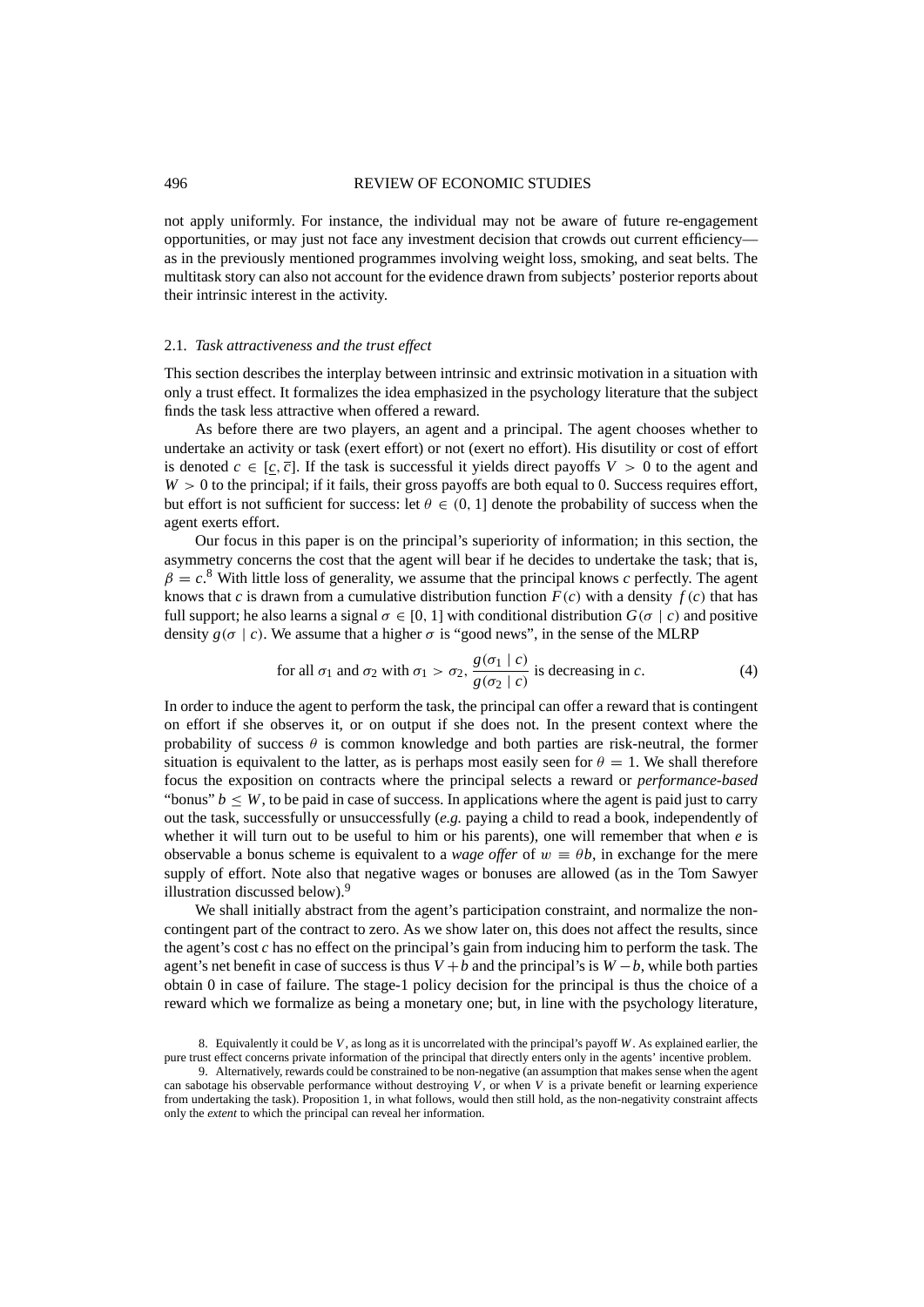not apply uniformly. For instance, the individual may not be aware of future re-engagement opportunities, or may just not face any investment decision that crowds out current efficiency as in the previously mentioned programmes involving weight loss, smoking, and seat belts. The multitask story can also not account for the evidence drawn from subjects' posterior reports about their intrinsic interest in the activity.

#### 2.1*. Task attractiveness and the trust effect*

This section describes the interplay between intrinsic and extrinsic motivation in a situation with only a trust effect. It formalizes the idea emphasized in the psychology literature that the subject finds the task less attractive when offered a reward.

As before there are two players, an agent and a principal. The agent chooses whether to undertake an activity or task (exert effort) or not (exert no effort). His disutility or cost of effort is denoted  $c \in [c, \overline{c}]$ . If the task is successful it yields direct payoffs  $V > 0$  to the agent and  $W > 0$  to the principal; if it fails, their gross payoffs are both equal to 0. Success requires effort, but effort is not sufficient for success: let  $\theta \in (0, 1]$  denote the probability of success when the agent exerts effort.

Our focus in this paper is on the principal's superiority of information; in this section, the asymmetry concerns the cost that the agent will bear if he decides to undertake the task; that is,  $\beta = c$ .<sup>8</sup> With little loss of generality, we assume that the principal knows *c* perfectly. The agent knows that *c* is drawn from a cumulative distribution function  $F(c)$  with a density  $f(c)$  that has full support; he also learns a signal  $\sigma \in [0, 1]$  with conditional distribution  $G(\sigma \mid c)$  and positive density  $g(\sigma \mid c)$ . We assume that a higher  $\sigma$  is "good news", in the sense of the MLRP

for all 
$$
\sigma_1
$$
 and  $\sigma_2$  with  $\sigma_1 > \sigma_2$ ,  $\frac{g(\sigma_1 \mid c)}{g(\sigma_2 \mid c)}$  is decreasing in *c*. (4)

In order to induce the agent to perform the task, the principal can offer a reward that is contingent on effort if she observes it, or on output if she does not. In the present context where the probability of success  $\theta$  is common knowledge and both parties are risk-neutral, the former situation is equivalent to the latter, as is perhaps most easily seen for  $\theta = 1$ . We shall therefore focus the exposition on contracts where the principal selects a reward or *performance-based* "bonus"  $b \leq W$ , to be paid in case of success. In applications where the agent is paid just to carry out the task, successfully or unsuccessfully (*e.g.* paying a child to read a book, independently of whether it will turn out to be useful to him or his parents), one will remember that when *e* is observable a bonus scheme is equivalent to a *wage offer* of  $w \equiv \theta b$ , in exchange for the mere supply of effort. Note also that negative wages or bonuses are allowed (as in the Tom Sawyer illustration discussed below).<sup>9</sup>

We shall initially abstract from the agent's participation constraint, and normalize the noncontingent part of the contract to zero. As we show later on, this does not affect the results, since the agent's cost *c* has no effect on the principal's gain from inducing him to perform the task. The agent's net benefit in case of success is thus  $V + b$  and the principal's is  $W - b$ , while both parties obtain 0 in case of failure. The stage-1 policy decision for the principal is thus the choice of a reward which we formalize as being a monetary one; but, in line with the psychology literature,

<sup>8.</sup> Equivalently it could be *V*, as long as it is uncorrelated with the principal's payoff *W*. As explained earlier, the pure trust effect concerns private information of the principal that directly enters only in the agents' incentive problem.

<sup>9.</sup> Alternatively, rewards could be constrained to be non-negative (an assumption that makes sense when the agent can sabotage his observable performance without destroying *V*, or when *V* is a private benefit or learning experience from undertaking the task). Proposition 1, in what follows, would then still hold, as the non-negativity constraint affects only the *extent* to which the principal can reveal her information.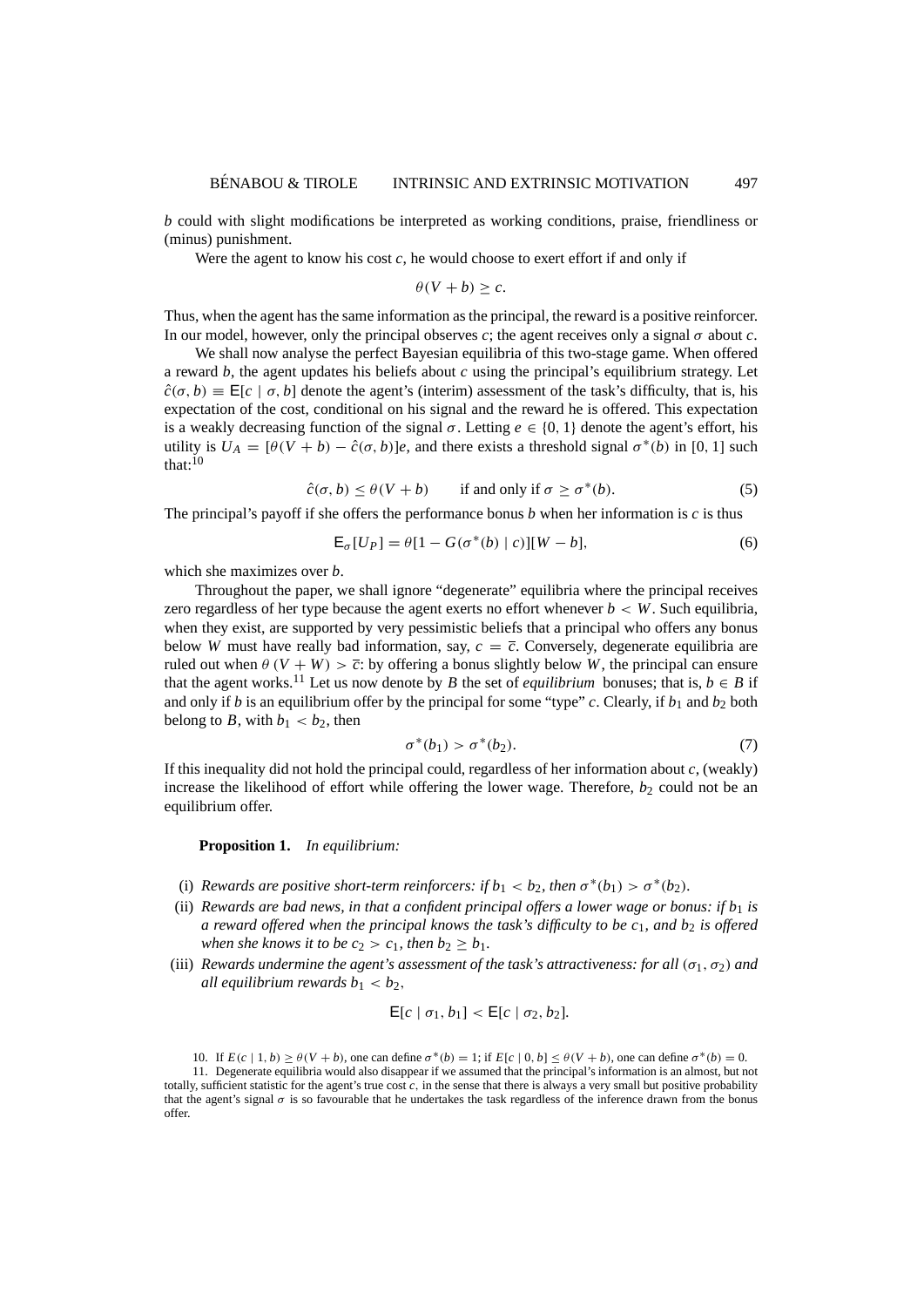*b* could with slight modifications be interpreted as working conditions, praise, friendliness or (minus) punishment.

Were the agent to know his cost  $c$ , he would choose to exert effort if and only if

$$
\theta(V+b)\geq c.
$$

Thus, when the agent has the same information as the principal, the reward is a positive reinforcer. In our model, however, only the principal observes *c*; the agent receives only a signal  $\sigma$  about *c*.

We shall now analyse the perfect Bayesian equilibria of this two-stage game. When offered a reward *b*, the agent updates his beliefs about *c* using the principal's equilibrium strategy. Let  $\hat{c}(\sigma, b) \equiv \mathsf{E}[c | \sigma, b]$  denote the agent's (interim) assessment of the task's difficulty, that is, his expectation of the cost, conditional on his signal and the reward he is offered. This expectation is a weakly decreasing function of the signal  $\sigma$ . Letting  $e \in \{0, 1\}$  denote the agent's effort, his utility is  $U_A = [\theta(V + b) - \hat{c}(\sigma, b)]e$ , and there exists a threshold signal  $\sigma^*(b)$  in [0, 1] such that: $^{10}$ 

$$
\hat{c}(\sigma, b) \le \theta(V + b) \qquad \text{if and only if } \sigma \ge \sigma^*(b). \tag{5}
$$

The principal's payoff if she offers the performance bonus *b* when her information is *c* is thus

$$
\mathsf{E}_{\sigma}[U_P] = \theta[1 - G(\sigma^*(b) \mid c)][W - b],\tag{6}
$$

which she maximizes over *b*.

Throughout the paper, we shall ignore "degenerate" equilibria where the principal receives zero regardless of her type because the agent exerts no effort whenever  $b < W$ . Such equilibria, when they exist, are supported by very pessimistic beliefs that a principal who offers any bonus below *W* must have really bad information, say,  $c = \overline{c}$ . Conversely, degenerate equilibria are ruled out when  $\theta$  ( $V + W$ ) >  $\overline{c}$ : by offering a bonus slightly below *W*, the principal can ensure that the agent works.<sup>11</sup> Let us now denote by *B* the set of *equilibrium* bonuses; that is,  $b \in B$  if and only if *b* is an equilibrium offer by the principal for some "type" *c*. Clearly, if  $b_1$  and  $b_2$  both belong to *B*, with  $b_1 < b_2$ , then

$$
\sigma^*(b_1) > \sigma^*(b_2). \tag{7}
$$

If this inequality did not hold the principal could, regardless of her information about *c*, (weakly) increase the likelihood of effort while offering the lower wage. Therefore,  $b<sub>2</sub>$  could not be an equilibrium offer.

**Proposition 1.** *In equilibrium:*

- (i) *Rewards are positive short-term reinforcers: if*  $b_1 < b_2$ *, then*  $\sigma^*(b_1) > \sigma^*(b_2)$ *.*
- (ii) *Rewards are bad news, in that a confident principal offers a lower wage or bonus: if*  $b_1$  *is a reward offered when the principal knows the task's difficulty to be c<sub>1</sub>, and b<sub>2</sub> is offered when she knows it to be*  $c_2 > c_1$ *, then*  $b_2 \geq b_1$ *.*
- (iii) *Rewards undermine the agent's assessment of the task's attractiveness: for all* ( $\sigma_1$ ,  $\sigma_2$ ) *and all equilibrium rewards*  $b_1 < b_2$ ,

$$
\mathsf{E}[c \mid \sigma_1, b_1] < \mathsf{E}[c \mid \sigma_2, b_2].
$$

10. If  $E(c | 1, b) \ge \theta(V + b)$ , one can define  $\sigma^*(b) = 1$ ; if  $E[c | 0, b] \le \theta(V + b)$ , one can define  $\sigma^*(b) = 0$ .

<sup>11.</sup> Degenerate equilibria would also disappear if we assumed that the principal's information is an almost, but not totally, sufficient statistic for the agent's true cost *c*, in the sense that there is always a very small but positive probability that the agent's signal  $\sigma$  is so favourable that he undertakes the task regardless of the inference drawn from the bonus offer.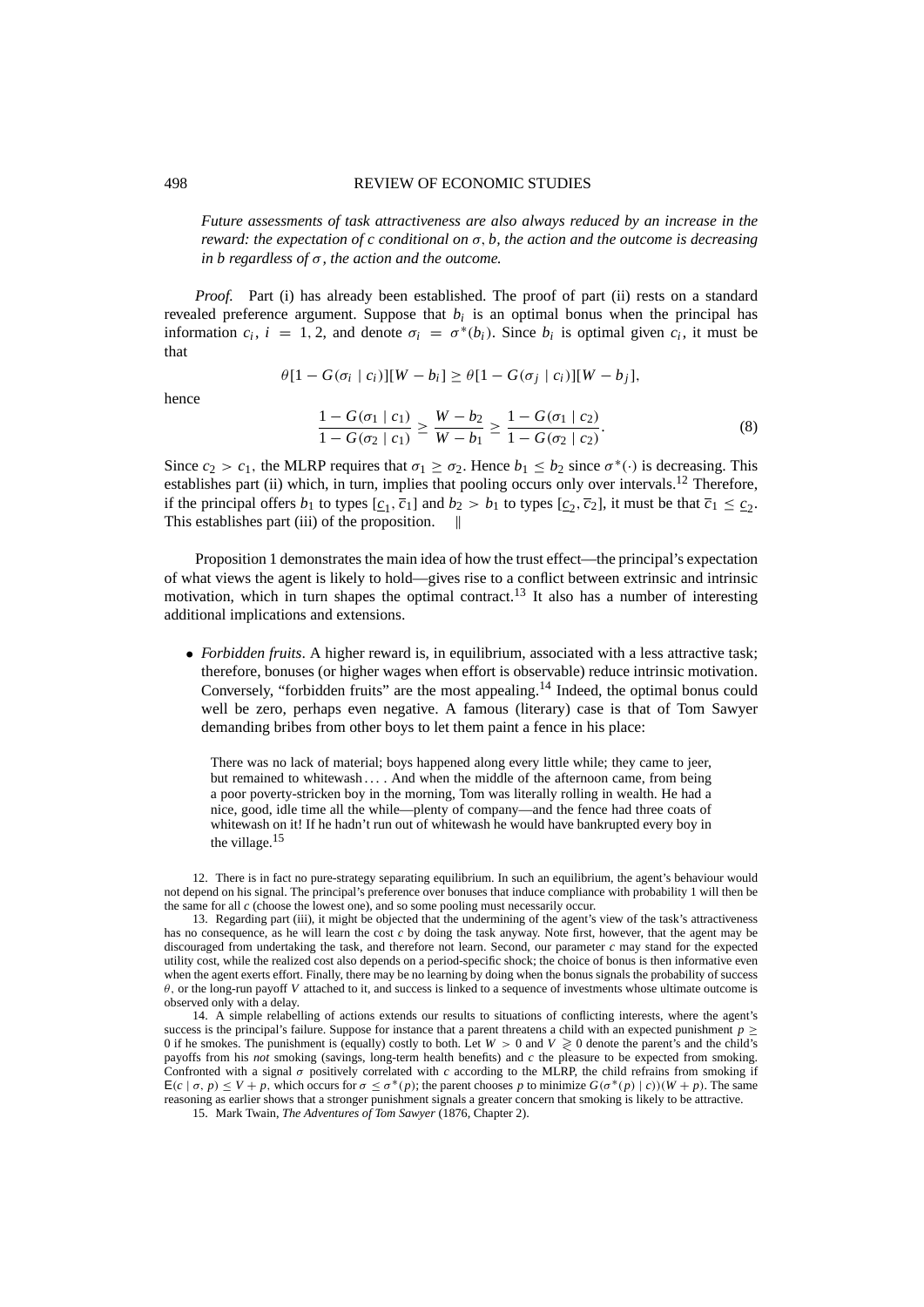*Future assessments of task attractiveness are also always reduced by an increase in the reward: the expectation of c conditional on* σ, *b, the action and the outcome is decreasing in b regardless of* σ*, the action and the outcome.*

*Proof.* Part (i) has already been established. The proof of part (ii) rests on a standard revealed preference argument. Suppose that  $b_i$  is an optimal bonus when the principal has information  $c_i$ ,  $i = 1, 2$ , and denote  $\sigma_i = \sigma^*(b_i)$ . Since  $b_i$  is optimal given  $c_i$ , it must be that

hence

$$
\theta[1 - G(\sigma_i \mid c_i)][W - b_i] \ge \theta[1 - G(\sigma_j \mid c_i)][W - b_j],
$$
  

$$
\frac{1 - G(\sigma_1 \mid c_1)}{1 - G(\sigma_2 \mid c_1)} \ge \frac{W - b_2}{W - b_1} \ge \frac{1 - G(\sigma_1 \mid c_2)}{1 - G(\sigma_2 \mid c_2)}.
$$
 (8)

Since 
$$
c_2 > c_1
$$
, the MLRP requires that  $\sigma_1 \ge \sigma_2$ . Hence  $b_1 \le b_2$  since  $\sigma^*(\cdot)$  is decreasing. This  
establishes part (ii) which, in turn, implies that pooling occurs only over intervals.<sup>12</sup> Therefore,  
if the principal offers  $b_1$  to types [ $\underline{c}_1, \overline{c}_1$ ] and  $b_2 > b_1$  to types [ $\underline{c}_2, \overline{c}_2$ ], it must be that  $\overline{c}_1 \le \underline{c}_2$ .  
This establishes part (iii) of the proposition.

Proposition 1 demonstrates the main idea of how the trust effect—the principal's expectation of what views the agent is likely to hold—gives rise to a conflict between extrinsic and intrinsic motivation, which in turn shapes the optimal contract.<sup>13</sup> It also has a number of interesting additional implications and extensions.

• *Forbidden fruits*. A higher reward is, in equilibrium, associated with a less attractive task; therefore, bonuses (or higher wages when effort is observable) reduce intrinsic motivation. Conversely, "forbidden fruits" are the most appealing.<sup>14</sup> Indeed, the optimal bonus could well be zero, perhaps even negative. A famous (literary) case is that of Tom Sawyer demanding bribes from other boys to let them paint a fence in his place:

There was no lack of material; boys happened along every little while; they came to jeer, but remained to whitewash . . . . And when the middle of the afternoon came, from being a poor poverty-stricken boy in the morning, Tom was literally rolling in wealth. He had a nice, good, idle time all the while—plenty of company—and the fence had three coats of whitewash on it! If he hadn't run out of whitewash he would have bankrupted every boy in the village.<sup>15</sup>

12. There is in fact no pure-strategy separating equilibrium. In such an equilibrium, the agent's behaviour would not depend on his signal. The principal's preference over bonuses that induce compliance with probability 1 will then be the same for all *c* (choose the lowest one), and so some pooling must necessarily occur.

13. Regarding part (iii), it might be objected that the undermining of the agent's view of the task's attractiveness has no consequence, as he will learn the cost *c* by doing the task anyway. Note first, however, that the agent may be discouraged from undertaking the task, and therefore not learn. Second, our parameter *c* may stand for the expected utility cost, while the realized cost also depends on a period-specific shock; the choice of bonus is then informative even when the agent exerts effort. Finally, there may be no learning by doing when the bonus signals the probability of success θ , or the long-run payoff *V* attached to it, and success is linked to a sequence of investments whose ultimate outcome is observed only with a delay.

14. A simple relabelling of actions extends our results to situations of conflicting interests, where the agent's success is the principal's failure. Suppose for instance that a parent threatens a child with an expected punishment  $p \geq$ 0 if he smokes. The punishment is (equally) costly to both. Let  $W > 0$  and  $V \ge 0$  denote the parent's and the child's payoffs from his *not* smoking (savings, long-term health benefits) and *c* the pleasure to be expected from smoking. Confronted with a signal σ positively correlated with *c* according to the MLRP, the child refrains from smoking if  $E(c \mid \sigma, p) \le V + p$ , which occurs for  $\sigma \le \sigma^*(p)$ ; the parent chooses *p* to minimize  $G(\sigma^*(p) \mid c)$  $(W + p)$ . The same reasoning as earlier shows that a stronger punishment signals a greater concern that smoking is likely to be attractive.

15. Mark Twain, *The Adventures of Tom Sawyer* (1876, Chapter 2).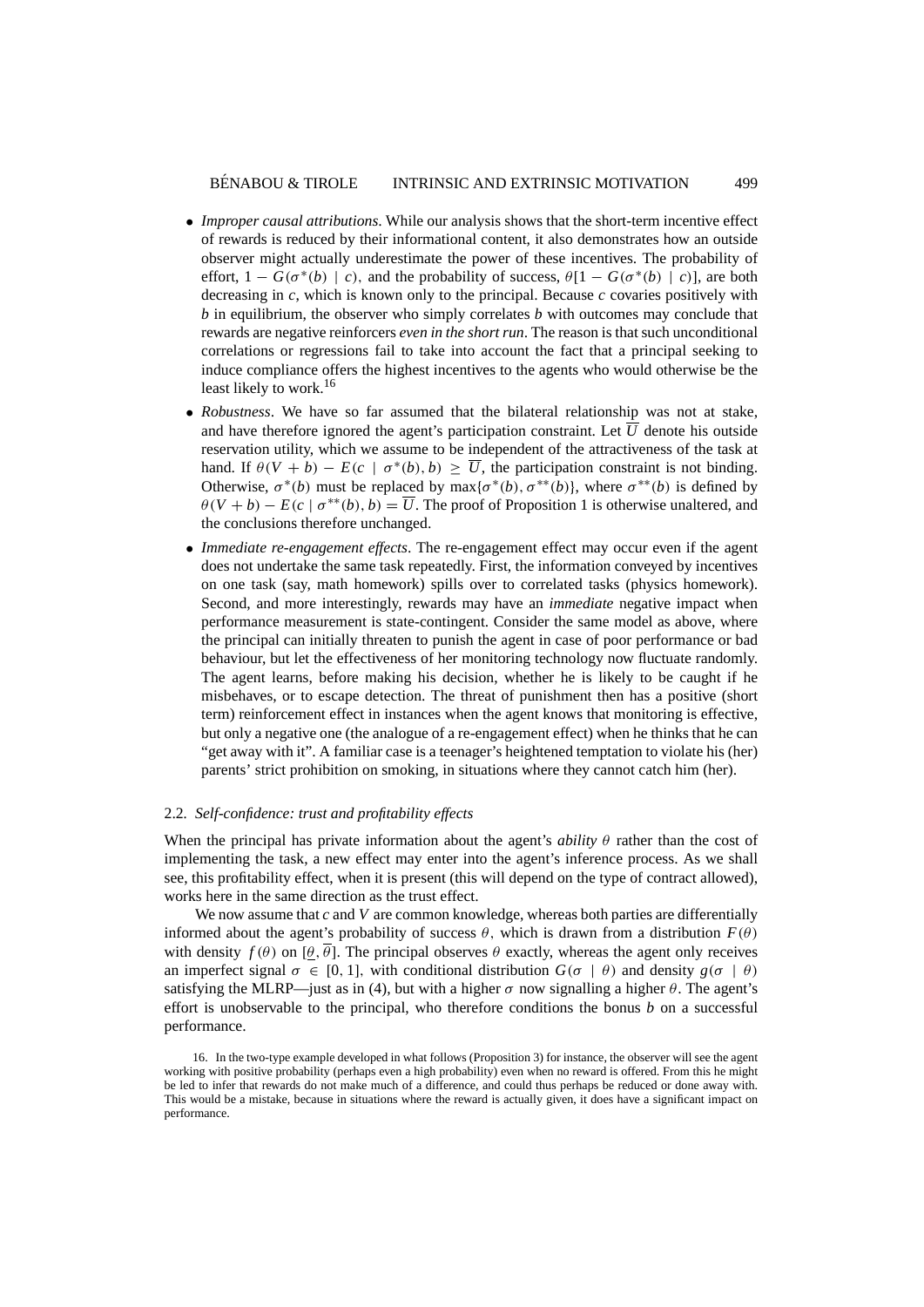- *Improper causal attributions*. While our analysis shows that the short-term incentive effect of rewards is reduced by their informational content, it also demonstrates how an outside observer might actually underestimate the power of these incentives. The probability of effort,  $1 - G(\sigma^*(b) \mid c)$ , and the probability of success,  $\theta[1 - G(\sigma^*(b) \mid c)]$ , are both decreasing in *c*, which is known only to the principal. Because *c* covaries positively with *b* in equilibrium, the observer who simply correlates *b* with outcomes may conclude that rewards are negative reinforcers *even in the short run*. The reason is that such unconditional correlations or regressions fail to take into account the fact that a principal seeking to induce compliance offers the highest incentives to the agents who would otherwise be the least likely to work.<sup>16</sup>
- *Robustness*. We have so far assumed that the bilateral relationship was not at stake, and have therefore ignored the agent's participation constraint. Let  $\overline{U}$  denote his outside reservation utility, which we assume to be independent of the attractiveness of the task at hand. If  $\theta(V + b) - E(c \mid \sigma^*(b), b) \ge \overline{U}$ , the participation constraint is not binding. Otherwise,  $\sigma^*(b)$  must be replaced by max $\{\sigma^*(b), \sigma^{**}(b)\}$ , where  $\sigma^{**}(b)$  is defined by  $\theta(V + b) - E(c \mid \sigma^{**}(b), b) = \overline{U}$ . The proof of Proposition 1 is otherwise unaltered, and the conclusions therefore unchanged.
- *Immediate re-engagement effects*. The re-engagement effect may occur even if the agent does not undertake the same task repeatedly. First, the information conveyed by incentives on one task (say, math homework) spills over to correlated tasks (physics homework). Second, and more interestingly, rewards may have an *immediate* negative impact when performance measurement is state-contingent. Consider the same model as above, where the principal can initially threaten to punish the agent in case of poor performance or bad behaviour, but let the effectiveness of her monitoring technology now fluctuate randomly. The agent learns, before making his decision, whether he is likely to be caught if he misbehaves, or to escape detection. The threat of punishment then has a positive (short term) reinforcement effect in instances when the agent knows that monitoring is effective, but only a negative one (the analogue of a re-engagement effect) when he thinks that he can "get away with it". A familiar case is a teenager's heightened temptation to violate his (her) parents' strict prohibition on smoking, in situations where they cannot catch him (her).

#### 2.2*. Self-confidence: trust and profitability effects*

When the principal has private information about the agent's *ability*  $\theta$  rather than the cost of implementing the task, a new effect may enter into the agent's inference process. As we shall see, this profitability effect, when it is present (this will depend on the type of contract allowed), works here in the same direction as the trust effect.

We now assume that *c* and *V* are common knowledge, whereas both parties are differentially informed about the agent's probability of success  $\theta$ , which is drawn from a distribution  $F(\theta)$ with density  $f(\theta)$  on  $[\theta, \overline{\theta}]$ . The principal observes  $\theta$  exactly, whereas the agent only receives an imperfect signal  $\sigma \in [0, 1]$ , with conditional distribution  $G(\sigma \mid \theta)$  and density  $g(\sigma \mid \theta)$ satisfying the MLRP—just as in (4), but with a higher  $\sigma$  now signalling a higher  $\theta$ . The agent's effort is unobservable to the principal, who therefore conditions the bonus *b* on a successful performance.

<sup>16.</sup> In the two-type example developed in what follows (Proposition 3) for instance, the observer will see the agent working with positive probability (perhaps even a high probability) even when no reward is offered. From this he might be led to infer that rewards do not make much of a difference, and could thus perhaps be reduced or done away with. This would be a mistake, because in situations where the reward is actually given, it does have a significant impact on performance.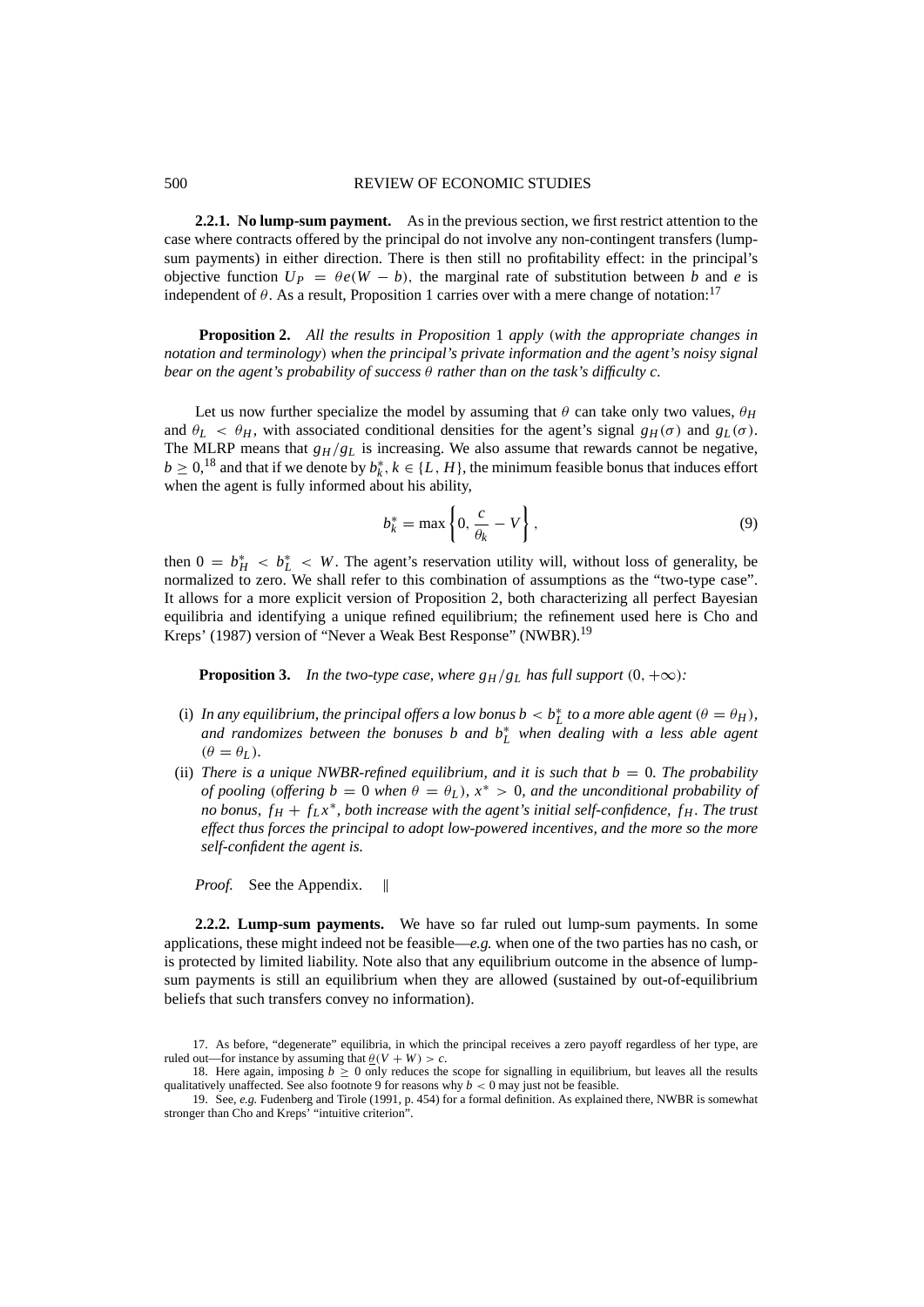**2.2.1. No lump-sum payment.** As in the previous section, we first restrict attention to the case where contracts offered by the principal do not involve any non-contingent transfers (lumpsum payments) in either direction. There is then still no profitability effect: in the principal's objective function  $U_P = \theta e(W - b)$ , the marginal rate of substitution between *b* and *e* is independent of  $\theta$ . As a result, Proposition 1 carries over with a mere change of notation:<sup>17</sup>

**Proposition 2.** *All the results in Proposition* 1 *apply* (*with the appropriate changes in notation and terminology*) *when the principal's private information and the agent's noisy signal bear on the agent's probability of success* θ *rather than on the task's difficulty c.*

Let us now further specialize the model by assuming that  $\theta$  can take only two values,  $\theta_H$ and  $\theta_L < \theta_H$ , with associated conditional densities for the agent's signal  $g_H(\sigma)$  and  $g_L(\sigma)$ . The MLRP means that  $g_H/g_L$  is increasing. We also assume that rewards cannot be negative,  $b \geq 0$ <sup>18</sup> and that if we denote by  $b_k^*$ ,  $k \in \{L, H\}$ , the minimum feasible bonus that induces effort when the agent is fully informed about his ability,

$$
b_k^* = \max\left\{0, \frac{c}{\theta_k} - V\right\},\tag{9}
$$

then  $0 = b_H^* < b_L^* < W$ . The agent's reservation utility will, without loss of generality, be normalized to zero. We shall refer to this combination of assumptions as the "two-type case". It allows for a more explicit version of Proposition 2, both characterizing all perfect Bayesian equilibria and identifying a unique refined equilibrium; the refinement used here is Cho and Kreps' (1987) version of "Never a Weak Best Response" (NWBR).<sup>19</sup>

**Proposition 3.** *In the two-type case, where*  $g_H/g_L$  *has full support*  $(0, +\infty)$ *:* 

- (i) In any equilibrium, the principal offers a low bonus  $b < b_L^*$  to a more able agent  $(\theta = \theta_H)$ , *and randomizes between the bonuses b and b*<sup>∗</sup> *<sup>L</sup> when dealing with a less able agent*  $(\theta = \theta_L)$ .
- (ii) *There is a unique NWBR-refined equilibrium, and it is such that*  $b = 0$ *. The probability of pooling* (*offering*  $b = 0$  *when*  $\theta = \theta_L$ ),  $x^* > 0$ , and the unconditional probability of *no bonus,*  $f_H + f_L x^*$ , both increase with the agent's initial self-confidence,  $f_H$ . The trust *effect thus forces the principal to adopt low-powered incentives, and the more so the more self-confident the agent is.*

*Proof.* See the Appendix.  $\parallel$ 

**2.2.2. Lump-sum payments.** We have so far ruled out lump-sum payments. In some applications, these might indeed not be feasible—*e.g.* when one of the two parties has no cash, or is protected by limited liability. Note also that any equilibrium outcome in the absence of lumpsum payments is still an equilibrium when they are allowed (sustained by out-of-equilibrium beliefs that such transfers convey no information).

<sup>17.</sup> As before, "degenerate" equilibria, in which the principal receives a zero payoff regardless of her type, are ruled out—for instance by assuming that  $\theta(V + W) > c$ .

<sup>18.</sup> Here again, imposing  $b \ge 0$  only reduces the scope for signalling in equilibrium, but leaves all the results qualitatively unaffected. See also footnote 9 for reasons why  $\vec{b}$  < 0 may just not be feasible.

<sup>19.</sup> See, *e.g.* Fudenberg and Tirole (1991, p. 454) for a formal definition. As explained there, NWBR is somewhat stronger than Cho and Kreps' "intuitive criterion".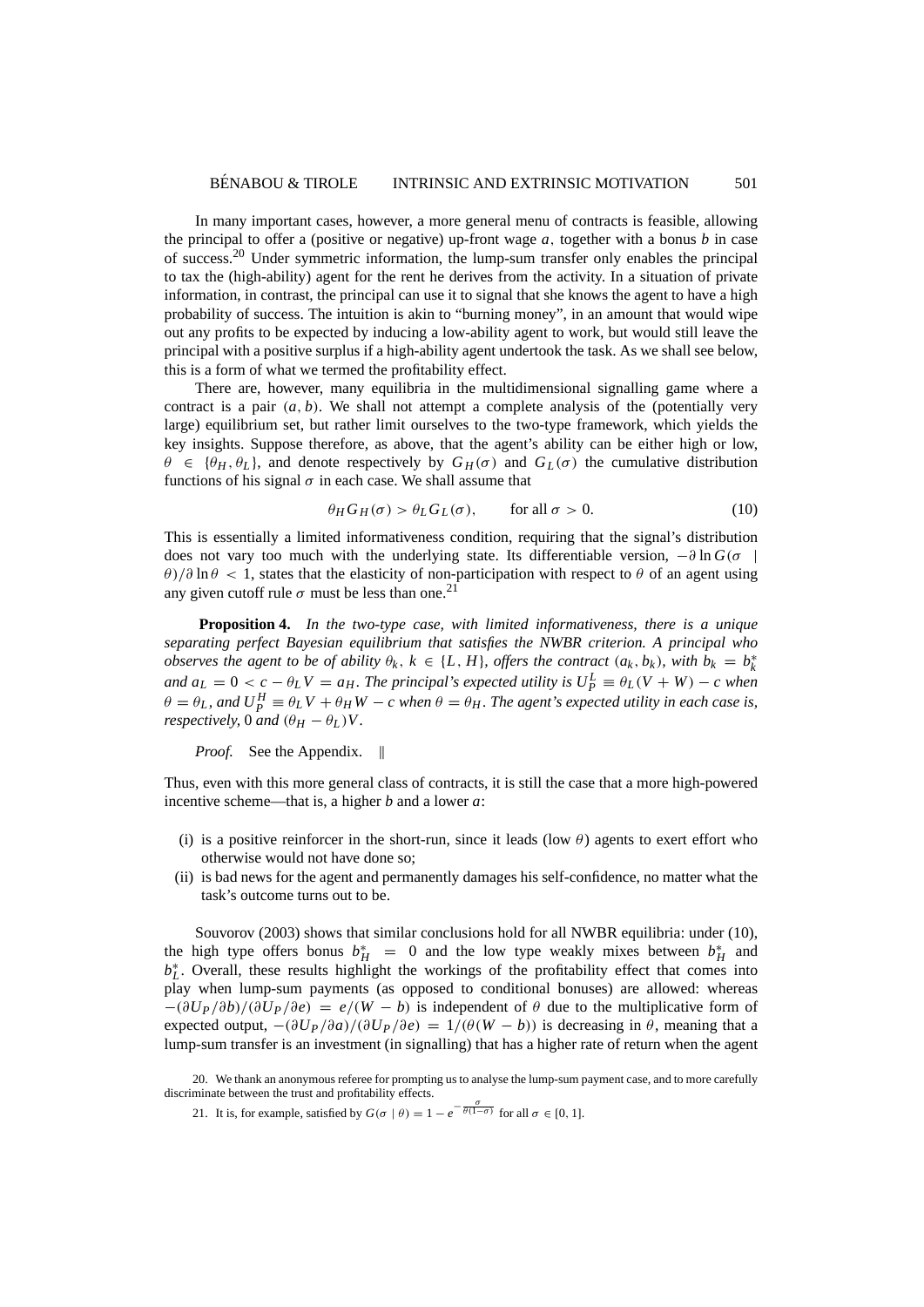## BENABOU & TIROLE INTRINSIC AND EXTRINSIC MOTIVATION 501 ´

In many important cases, however, a more general menu of contracts is feasible, allowing the principal to offer a (positive or negative) up-front wage *a*, together with a bonus *b* in case of success.<sup>20</sup> Under symmetric information, the lump-sum transfer only enables the principal to tax the (high-ability) agent for the rent he derives from the activity. In a situation of private information, in contrast, the principal can use it to signal that she knows the agent to have a high probability of success. The intuition is akin to "burning money", in an amount that would wipe out any profits to be expected by inducing a low-ability agent to work, but would still leave the principal with a positive surplus if a high-ability agent undertook the task. As we shall see below, this is a form of what we termed the profitability effect.

There are, however, many equilibria in the multidimensional signalling game where a contract is a pair  $(a, b)$ . We shall not attempt a complete analysis of the (potentially very large) equilibrium set, but rather limit ourselves to the two-type framework, which yields the key insights. Suppose therefore, as above, that the agent's ability can be either high or low,  $\theta \in {\theta_H, \theta_L}$ , and denote respectively by  $G_H(\sigma)$  and  $G_L(\sigma)$  the cumulative distribution functions of his signal  $\sigma$  in each case. We shall assume that

$$
\theta_H G_H(\sigma) > \theta_L G_L(\sigma), \qquad \text{for all } \sigma > 0. \tag{10}
$$

This is essentially a limited informativeness condition, requiring that the signal's distribution does not vary too much with the underlying state. Its differentiable version,  $-\partial \ln G(\sigma)$  $\theta$ )/∂ ln  $\theta$  < 1, states that the elasticity of non-participation with respect to  $\theta$  of an agent using any given cutoff rule  $\sigma$  must be less than one.<sup>21</sup>

**Proposition 4.** *In the two-type case, with limited informativeness, there is a unique separating perfect Bayesian equilibrium that satisfies the NWBR criterion. A principal who observes the agent to be of ability*  $\theta_k$ ,  $k \in \{L, H\}$ , *offers the contract*  $(a_k, b_k)$ , with  $b_k = b_k^*$ *and*  $a_L = 0 < c - \theta_L V = a_H$ . The principal's expected utility is  $U_P^L \equiv \theta_L(V + W) - c$  when  $\theta = \theta_L$ , and  $U_P^H \equiv \theta_L V + \theta_H W - c$  when  $\theta = \theta_H$ . The agent's expected utility in each case is, *respectively,* 0 *and*  $(\theta_H - \theta_L)V$ .

*Proof.* See the Appendix.  $\parallel$ 

Thus, even with this more general class of contracts, it is still the case that a more high-powered incentive scheme—that is, a higher *b* and a lower *a*:

- (i) is a positive reinforcer in the short-run, since it leads (low  $\theta$ ) agents to exert effort who otherwise would not have done so;
- (ii) is bad news for the agent and permanently damages his self-confidence, no matter what the task's outcome turns out to be.

Souvorov (2003) shows that similar conclusions hold for all NWBR equilibria: under (10), the high type offers bonus  $b_H^* = 0$  and the low type weakly mixes between  $b_H^*$  and  $b<sub>L</sub><sup>h</sup>$ . Overall, these results highlight the workings of the profitability effect that comes into play when lump-sum payments (as opposed to conditional bonuses) are allowed: whereas  $-(\partial U_P/\partial b)/(\partial U_P/\partial e) = e/(W - b)$  is independent of  $\theta$  due to the multiplicative form of expected output,  $-(\partial U_P/\partial a)/(\partial U_P/\partial e) = 1/(\theta(W - b))$  is decreasing in  $\theta$ , meaning that a lump-sum transfer is an investment (in signalling) that has a higher rate of return when the agent

<sup>20.</sup> We thank an anonymous referee for prompting us to analyse the lump-sum payment case, and to more carefully discriminate between the trust and profitability effects.

<sup>21.</sup> It is, for example, satisfied by  $G(\sigma | \theta) = 1 - e^{-\frac{\sigma}{\theta(1-\sigma)}}$  for all  $\sigma \in [0, 1]$ .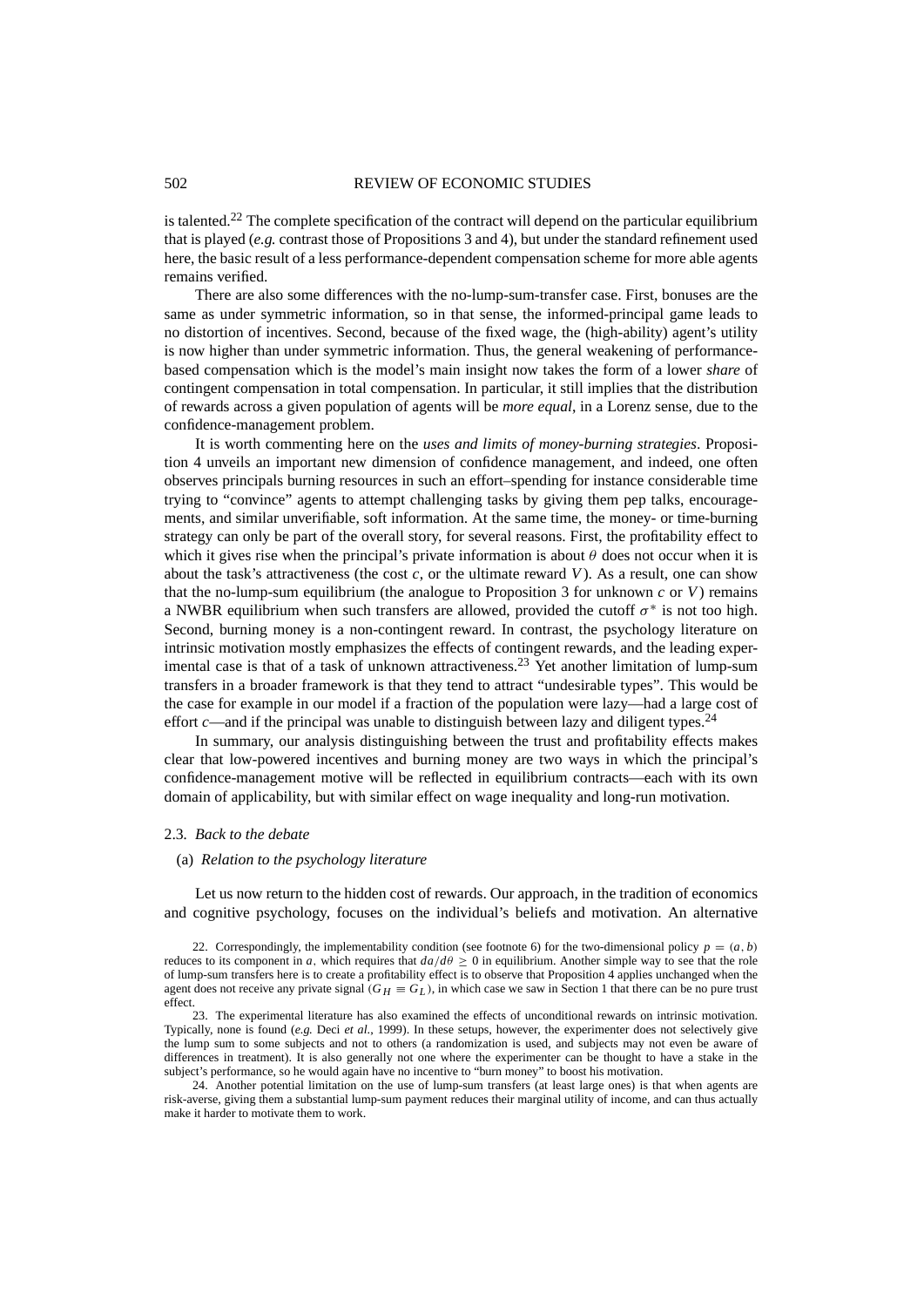is talented.<sup>22</sup> The complete specification of the contract will depend on the particular equilibrium that is played (*e.g.* contrast those of Propositions 3 and 4), but under the standard refinement used here, the basic result of a less performance-dependent compensation scheme for more able agents remains verified.

There are also some differences with the no-lump-sum-transfer case. First, bonuses are the same as under symmetric information, so in that sense, the informed-principal game leads to no distortion of incentives. Second, because of the fixed wage, the (high-ability) agent's utility is now higher than under symmetric information. Thus, the general weakening of performancebased compensation which is the model's main insight now takes the form of a lower *share* of contingent compensation in total compensation. In particular, it still implies that the distribution of rewards across a given population of agents will be *more equal*, in a Lorenz sense, due to the confidence-management problem.

It is worth commenting here on the *uses and limits of money-burning strategies*. Proposition 4 unveils an important new dimension of confidence management, and indeed, one often observes principals burning resources in such an effort–spending for instance considerable time trying to "convince" agents to attempt challenging tasks by giving them pep talks, encouragements, and similar unverifiable, soft information. At the same time, the money- or time-burning strategy can only be part of the overall story, for several reasons. First, the profitability effect to which it gives rise when the principal's private information is about  $\theta$  does not occur when it is about the task's attractiveness (the cost *c*, or the ultimate reward *V*). As a result, one can show that the no-lump-sum equilibrium (the analogue to Proposition 3 for unknown  $c$  or  $V$ ) remains a NWBR equilibrium when such transfers are allowed, provided the cutoff  $\sigma^*$  is not too high. Second, burning money is a non-contingent reward. In contrast, the psychology literature on intrinsic motivation mostly emphasizes the effects of contingent rewards, and the leading experimental case is that of a task of unknown attractiveness.<sup>23</sup> Yet another limitation of lump-sum transfers in a broader framework is that they tend to attract "undesirable types". This would be the case for example in our model if a fraction of the population were lazy—had a large cost of effort *c*—and if the principal was unable to distinguish between lazy and diligent types.<sup>24</sup>

In summary, our analysis distinguishing between the trust and profitability effects makes clear that low-powered incentives and burning money are two ways in which the principal's confidence-management motive will be reflected in equilibrium contracts—each with its own domain of applicability, but with similar effect on wage inequality and long-run motivation.

#### 2.3*. Back to the debate*

#### (a) *Relation to the psychology literature*

Let us now return to the hidden cost of rewards. Our approach, in the tradition of economics and cognitive psychology, focuses on the individual's beliefs and motivation. An alternative

<sup>22.</sup> Correspondingly, the implementability condition (see footnote 6) for the two-dimensional policy  $p = (a, b)$ reduces to its component in *a*, which requires that  $da/d\theta \ge 0$  in equilibrium. Another simple way to see that the role of lump-sum transfers here is to create a profitability effect is to observe that Proposition 4 applies unchanged when the agent does not receive any private signal  $(G_H \equiv G_L)$ , in which case we saw in Section 1 that there can be no pure trust effect.

<sup>23.</sup> The experimental literature has also examined the effects of unconditional rewards on intrinsic motivation. Typically, none is found (*e.g.* Deci *et al*., 1999). In these setups, however, the experimenter does not selectively give the lump sum to some subjects and not to others (a randomization is used, and subjects may not even be aware of differences in treatment). It is also generally not one where the experimenter can be thought to have a stake in the subject's performance, so he would again have no incentive to "burn money" to boost his motivation.

<sup>24.</sup> Another potential limitation on the use of lump-sum transfers (at least large ones) is that when agents are risk-averse, giving them a substantial lump-sum payment reduces their marginal utility of income, and can thus actually make it harder to motivate them to work.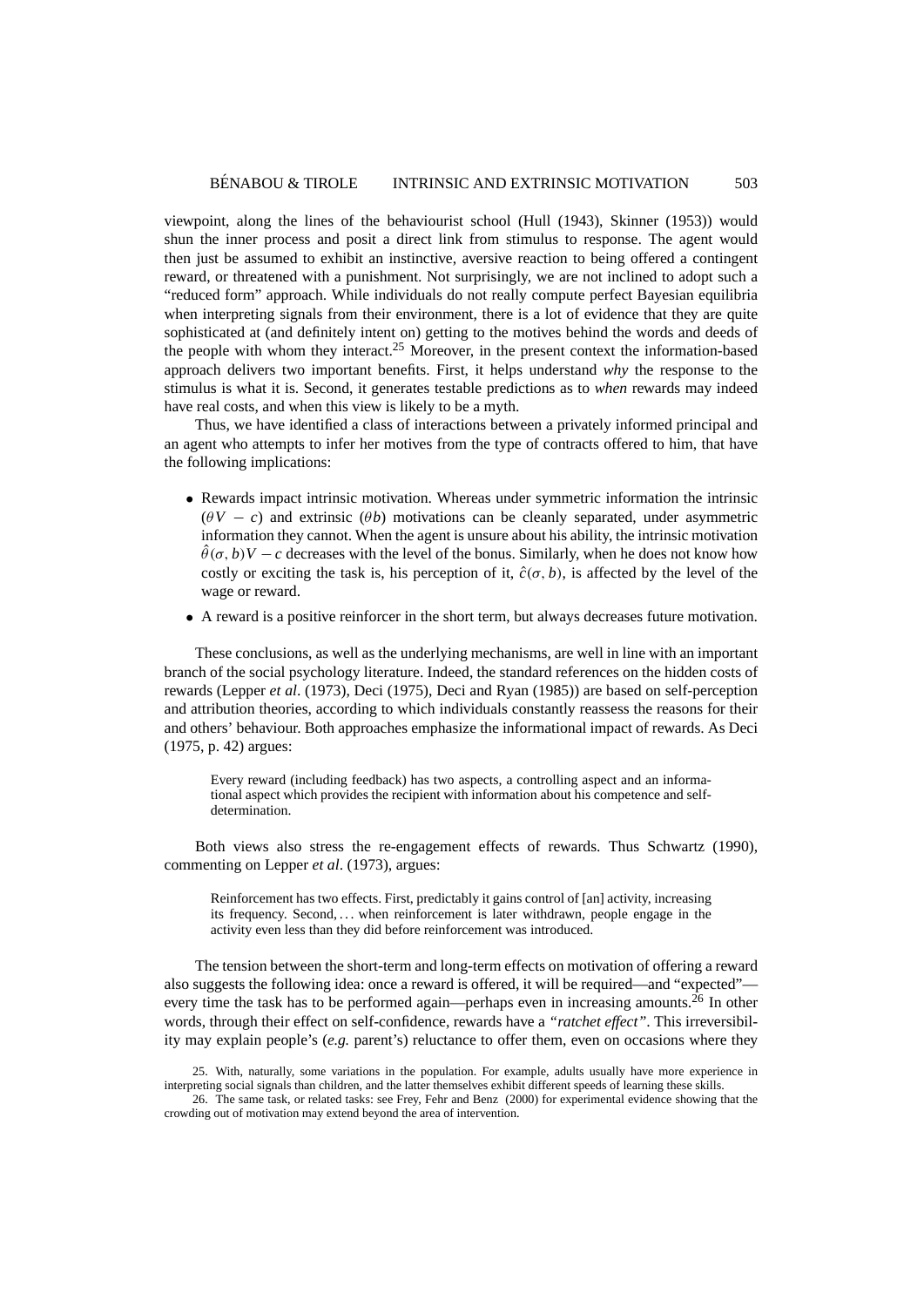viewpoint, along the lines of the behaviourist school (Hull (1943), Skinner (1953)) would shun the inner process and posit a direct link from stimulus to response. The agent would then just be assumed to exhibit an instinctive, aversive reaction to being offered a contingent reward, or threatened with a punishment. Not surprisingly, we are not inclined to adopt such a "reduced form" approach. While individuals do not really compute perfect Bayesian equilibria when interpreting signals from their environment, there is a lot of evidence that they are quite sophisticated at (and definitely intent on) getting to the motives behind the words and deeds of the people with whom they interact.<sup>25</sup> Moreover, in the present context the information-based approach delivers two important benefits. First, it helps understand *why* the response to the stimulus is what it is. Second, it generates testable predictions as to *when* rewards may indeed have real costs, and when this view is likely to be a myth.

Thus, we have identified a class of interactions between a privately informed principal and an agent who attempts to infer her motives from the type of contracts offered to him, that have the following implications:

- Rewards impact intrinsic motivation. Whereas under symmetric information the intrinsic  $(\theta V - c)$  and extrinsic  $(\theta b)$  motivations can be cleanly separated, under asymmetric information they cannot. When the agent is unsure about his ability, the intrinsic motivation  $\hat{\theta}(\sigma, b)V - c$  decreases with the level of the bonus. Similarly, when he does not know how costly or exciting the task is, his perception of it,  $\hat{c}(\sigma, b)$ , is affected by the level of the wage or reward.
- A reward is a positive reinforcer in the short term, but always decreases future motivation.

These conclusions, as well as the underlying mechanisms, are well in line with an important branch of the social psychology literature. Indeed, the standard references on the hidden costs of rewards (Lepper *et al*. (1973), Deci (1975), Deci and Ryan (1985)) are based on self-perception and attribution theories, according to which individuals constantly reassess the reasons for their and others' behaviour. Both approaches emphasize the informational impact of rewards. As Deci (1975, p. 42) argues:

Every reward (including feedback) has two aspects, a controlling aspect and an informational aspect which provides the recipient with information about his competence and selfdetermination.

Both views also stress the re-engagement effects of rewards. Thus Schwartz (1990), commenting on Lepper *et al*. (1973), argues:

Reinforcement has two effects. First, predictably it gains control of [an] activity, increasing its frequency. Second, ... when reinforcement is later withdrawn, people engage in the activity even less than they did before reinforcement was introduced.

The tension between the short-term and long-term effects on motivation of offering a reward also suggests the following idea: once a reward is offered, it will be required—and "expected" every time the task has to be performed again—perhaps even in increasing amounts.<sup>26</sup> In other words, through their effect on self-confidence, rewards have a *"ratchet effect"*. This irreversibility may explain people's (*e.g.* parent's) reluctance to offer them, even on occasions where they

<sup>25.</sup> With, naturally, some variations in the population. For example, adults usually have more experience in interpreting social signals than children, and the latter themselves exhibit different speeds of learning these skills.

<sup>26.</sup> The same task, or related tasks: see Frey, Fehr and Benz (2000) for experimental evidence showing that the crowding out of motivation may extend beyond the area of intervention.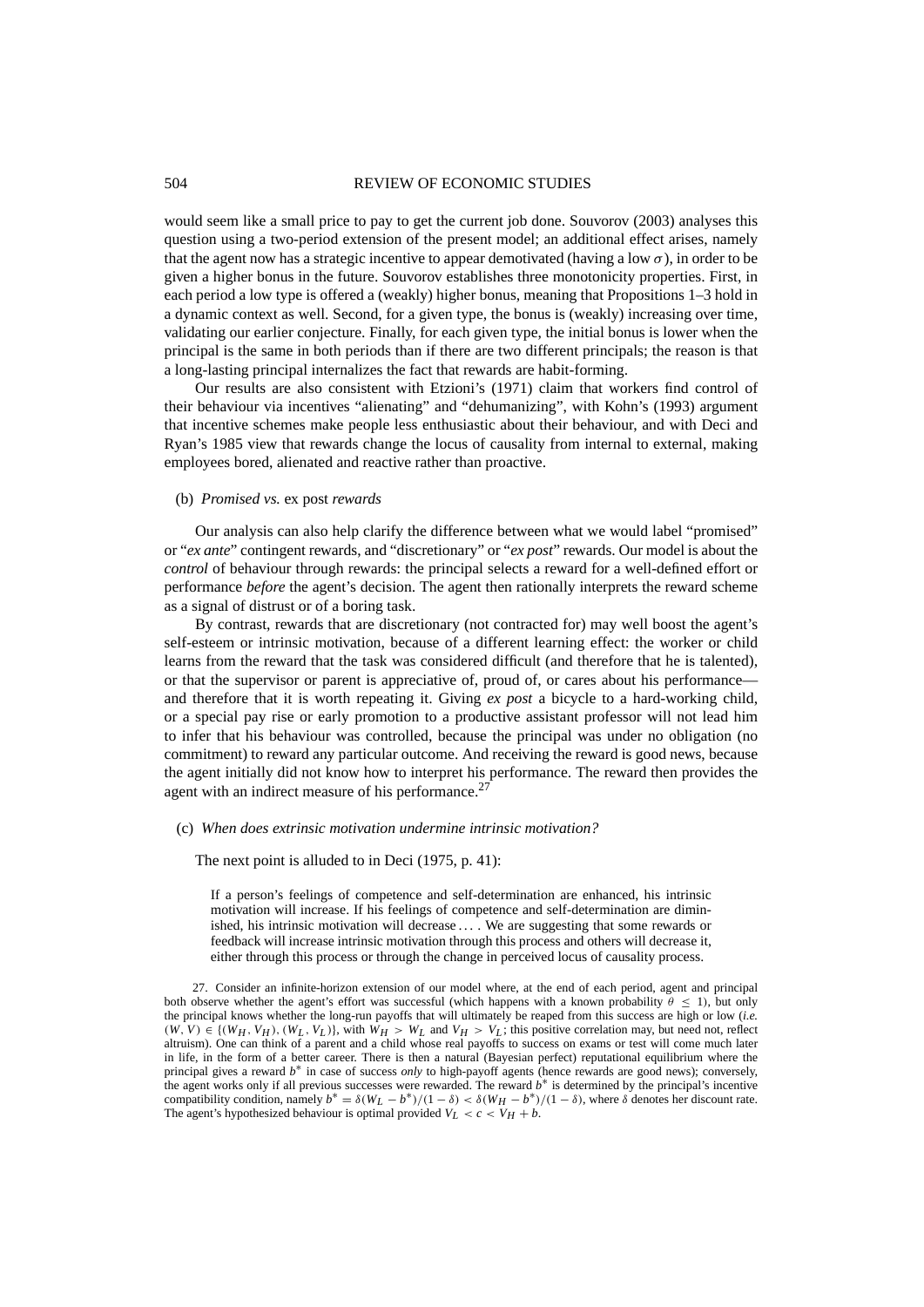would seem like a small price to pay to get the current job done. Souvorov (2003) analyses this question using a two-period extension of the present model; an additional effect arises, namely that the agent now has a strategic incentive to appear demotivated (having a low  $\sigma$ ), in order to be given a higher bonus in the future. Souvorov establishes three monotonicity properties. First, in each period a low type is offered a (weakly) higher bonus, meaning that Propositions 1–3 hold in a dynamic context as well. Second, for a given type, the bonus is (weakly) increasing over time, validating our earlier conjecture. Finally, for each given type, the initial bonus is lower when the principal is the same in both periods than if there are two different principals; the reason is that a long-lasting principal internalizes the fact that rewards are habit-forming.

Our results are also consistent with Etzioni's (1971) claim that workers find control of their behaviour via incentives "alienating" and "dehumanizing", with Kohn's (1993) argument that incentive schemes make people less enthusiastic about their behaviour, and with Deci and Ryan's 1985 view that rewards change the locus of causality from internal to external, making employees bored, alienated and reactive rather than proactive.

#### (b) *Promised vs.* ex post *rewards*

Our analysis can also help clarify the difference between what we would label "promised" or "*ex ante*" contingent rewards, and "discretionary" or "*ex post*" rewards. Our model is about the *control* of behaviour through rewards: the principal selects a reward for a well-defined effort or performance *before* the agent's decision. The agent then rationally interprets the reward scheme as a signal of distrust or of a boring task.

By contrast, rewards that are discretionary (not contracted for) may well boost the agent's self-esteem or intrinsic motivation, because of a different learning effect: the worker or child learns from the reward that the task was considered difficult (and therefore that he is talented), or that the supervisor or parent is appreciative of, proud of, or cares about his performance and therefore that it is worth repeating it. Giving *ex post* a bicycle to a hard-working child, or a special pay rise or early promotion to a productive assistant professor will not lead him to infer that his behaviour was controlled, because the principal was under no obligation (no commitment) to reward any particular outcome. And receiving the reward is good news, because the agent initially did not know how to interpret his performance. The reward then provides the agent with an indirect measure of his performance.<sup>27</sup>

#### (c) *When does extrinsic motivation undermine intrinsic motivation?*

The next point is alluded to in Deci (1975, p. 41):

If a person's feelings of competence and self-determination are enhanced, his intrinsic motivation will increase. If his feelings of competence and self-determination are diminished, his intrinsic motivation will decrease . . . . We are suggesting that some rewards or feedback will increase intrinsic motivation through this process and others will decrease it, either through this process or through the change in perceived locus of causality process.

27. Consider an infinite-horizon extension of our model where, at the end of each period, agent and principal both observe whether the agent's effort was successful (which happens with a known probability  $\theta \leq 1$ ), but only the principal knows whether the long-run payoffs that will ultimately be reaped from this success are high or low (*i.e.*  $(W, V) \in \{(W_H, V_H), (W_L, V_L)\}\$ , with  $\hat{W}_H > W_L$  and  $V_H > V_L$ ; this positive correlation may, but need not, reflect altruism). One can think of a parent and a child whose real payoffs to success on exams or test will come much later in life, in the form of a better career. There is then a natural (Bayesian perfect) reputational equilibrium where the principal gives a reward *b* ∗ in case of success *only* to high-payoff agents (hence rewards are good news); conversely, the agent works only if all previous successes were rewarded. The reward *b* ∗ is determined by the principal's incentive compatibility condition, namely  $b^* = \delta(W_L - b^*)/(1 - \delta) < \delta(W_H - b^*)/(1 - \delta)$ , where  $\delta$  denotes her discount rate. The agent's hypothesized behaviour is optimal provided  $V_L < c < V_H + b$ .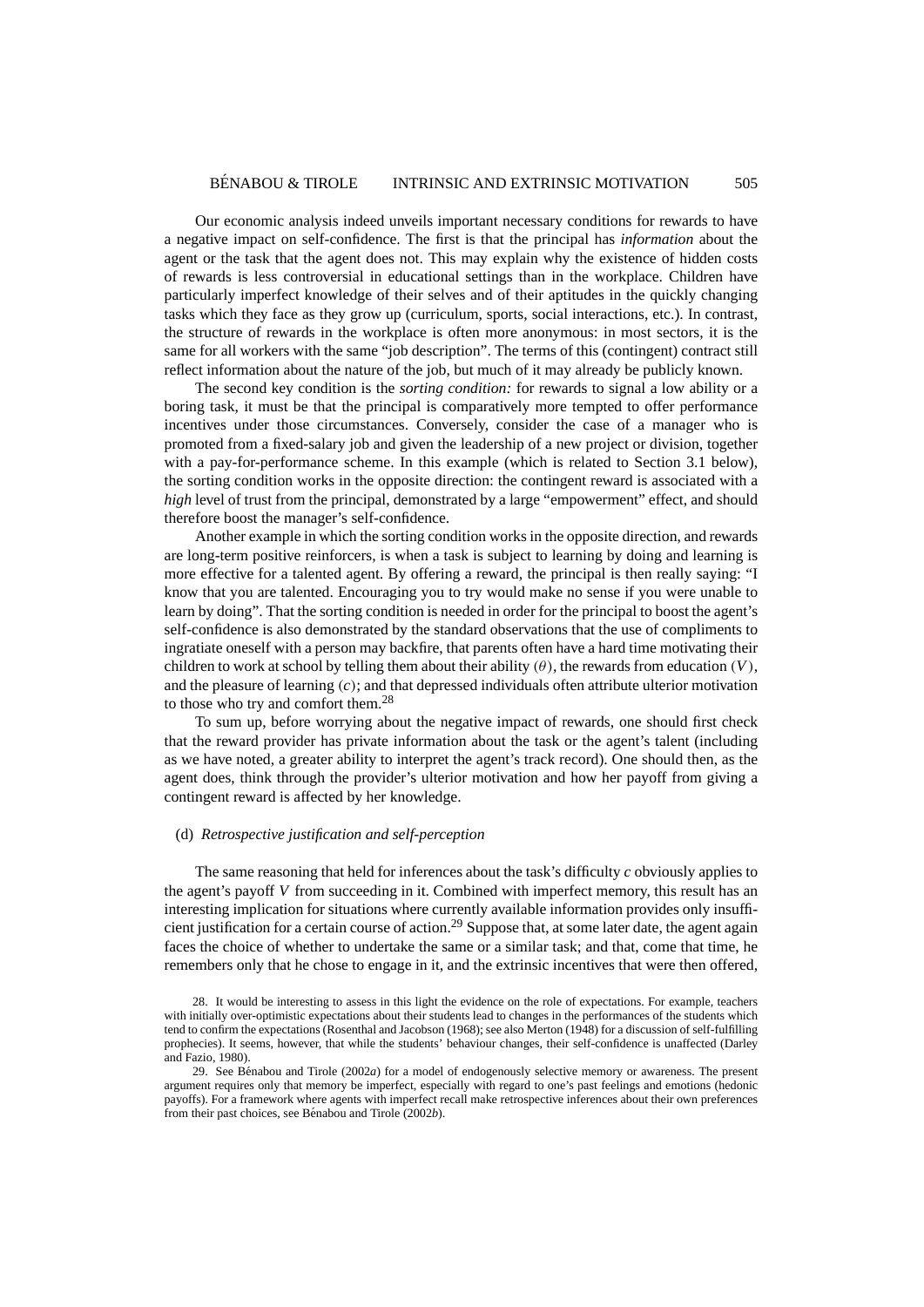# BENABOU & TIROLE INTRINSIC AND EXTRINSIC MOTIVATION 505 ´

Our economic analysis indeed unveils important necessary conditions for rewards to have a negative impact on self-confidence. The first is that the principal has *information* about the agent or the task that the agent does not. This may explain why the existence of hidden costs of rewards is less controversial in educational settings than in the workplace. Children have particularly imperfect knowledge of their selves and of their aptitudes in the quickly changing tasks which they face as they grow up (curriculum, sports, social interactions, etc.). In contrast, the structure of rewards in the workplace is often more anonymous: in most sectors, it is the same for all workers with the same "job description". The terms of this (contingent) contract still reflect information about the nature of the job, but much of it may already be publicly known.

The second key condition is the *sorting condition:* for rewards to signal a low ability or a boring task, it must be that the principal is comparatively more tempted to offer performance incentives under those circumstances. Conversely, consider the case of a manager who is promoted from a fixed-salary job and given the leadership of a new project or division, together with a pay-for-performance scheme. In this example (which is related to Section 3.1 below), the sorting condition works in the opposite direction: the contingent reward is associated with a *high* level of trust from the principal, demonstrated by a large "empowerment" effect, and should therefore boost the manager's self-confidence.

Another example in which the sorting condition works in the opposite direction, and rewards are long-term positive reinforcers, is when a task is subject to learning by doing and learning is more effective for a talented agent. By offering a reward, the principal is then really saying: "I know that you are talented. Encouraging you to try would make no sense if you were unable to learn by doing". That the sorting condition is needed in order for the principal to boost the agent's self-confidence is also demonstrated by the standard observations that the use of compliments to ingratiate oneself with a person may backfire, that parents often have a hard time motivating their children to work at school by telling them about their ability  $(\theta)$ , the rewards from education  $(V)$ , and the pleasure of learning (*c*); and that depressed individuals often attribute ulterior motivation to those who try and comfort them.<sup>28</sup>

To sum up, before worrying about the negative impact of rewards, one should first check that the reward provider has private information about the task or the agent's talent (including as we have noted, a greater ability to interpret the agent's track record). One should then, as the agent does, think through the provider's ulterior motivation and how her payoff from giving a contingent reward is affected by her knowledge.

#### (d) *Retrospective justification and self-perception*

The same reasoning that held for inferences about the task's difficulty *c* obviously applies to the agent's payoff *V* from succeeding in it. Combined with imperfect memory, this result has an interesting implication for situations where currently available information provides only insufficient justification for a certain course of action.<sup>29</sup> Suppose that, at some later date, the agent again faces the choice of whether to undertake the same or a similar task; and that, come that time, he remembers only that he chose to engage in it, and the extrinsic incentives that were then offered,

<sup>28.</sup> It would be interesting to assess in this light the evidence on the role of expectations. For example, teachers with initially over-optimistic expectations about their students lead to changes in the performances of the students which tend to confirm the expectations (Rosenthal and Jacobson (1968); see also Merton (1948) for a discussion of self-fulfilling prophecies). It seems, however, that while the students' behaviour changes, their self-confidence is unaffected (Darley and Fazio, 1980).

<sup>29.</sup> See Bénabou and Tirole (2002a) for a model of endogenously selective memory or awareness. The present argument requires only that memory be imperfect, especially with regard to one's past feelings and emotions (hedonic payoffs). For a framework where agents with imperfect recall make retrospective inferences about their own preferences from their past choices, see Bénabou and Tirole (2002b).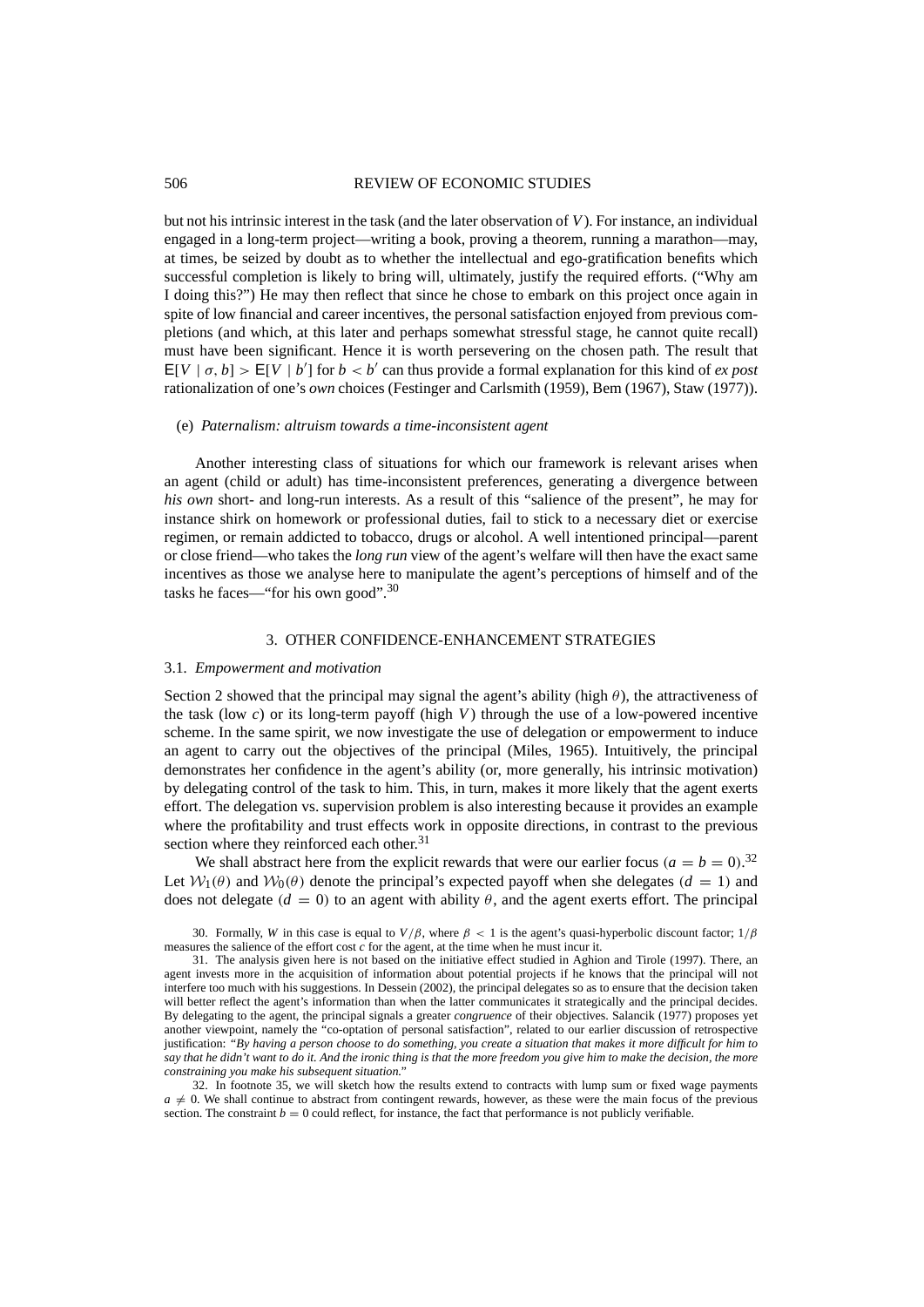but not his intrinsic interest in the task (and the later observation of *V*). For instance, an individual engaged in a long-term project—writing a book, proving a theorem, running a marathon—may, at times, be seized by doubt as to whether the intellectual and ego-gratification benefits which successful completion is likely to bring will, ultimately, justify the required efforts. ("Why am I doing this?") He may then reflect that since he chose to embark on this project once again in spite of low financial and career incentives, the personal satisfaction enjoyed from previous completions (and which, at this later and perhaps somewhat stressful stage, he cannot quite recall) must have been significant. Hence it is worth persevering on the chosen path. The result that  $E[V | \sigma, b] > E[V | b']$  for  $b < b'$  can thus provide a formal explanation for this kind of *ex post* rationalization of one's *own* choices (Festinger and Carlsmith (1959), Bem (1967), Staw (1977)).

#### (e) *Paternalism: altruism towards a time-inconsistent agent*

Another interesting class of situations for which our framework is relevant arises when an agent (child or adult) has time-inconsistent preferences, generating a divergence between *his own* short- and long-run interests. As a result of this "salience of the present", he may for instance shirk on homework or professional duties, fail to stick to a necessary diet or exercise regimen, or remain addicted to tobacco, drugs or alcohol. A well intentioned principal—parent or close friend—who takes the *long run* view of the agent's welfare will then have the exact same incentives as those we analyse here to manipulate the agent's perceptions of himself and of the tasks he faces—"for his own good".<sup>30</sup>

#### 3. OTHER CONFIDENCE-ENHANCEMENT STRATEGIES

#### 3.1*. Empowerment and motivation*

Section 2 showed that the principal may signal the agent's ability (high  $\theta$ ), the attractiveness of the task (low *c*) or its long-term payoff (high *V*) through the use of a low-powered incentive scheme. In the same spirit, we now investigate the use of delegation or empowerment to induce an agent to carry out the objectives of the principal (Miles, 1965). Intuitively, the principal demonstrates her confidence in the agent's ability (or, more generally, his intrinsic motivation) by delegating control of the task to him. This, in turn, makes it more likely that the agent exerts effort. The delegation vs. supervision problem is also interesting because it provides an example where the profitability and trust effects work in opposite directions, in contrast to the previous section where they reinforced each other. $31$ 

We shall abstract here from the explicit rewards that were our earlier focus  $(a = b = 0)^{32}$ Let  $W_1(\theta)$  and  $W_0(\theta)$  denote the principal's expected payoff when she delegates ( $d = 1$ ) and does not delegate ( $d = 0$ ) to an agent with ability  $\theta$ , and the agent exerts effort. The principal

30. Formally, *W* in this case is equal to  $V/\beta$ , where  $\beta < 1$  is the agent's quasi-hyperbolic discount factor;  $1/\beta$ measures the salience of the effort cost *c* for the agent, at the time when he must incur it.

32. In footnote 35, we will sketch how the results extend to contracts with lump sum or fixed wage payments  $a \neq 0$ . We shall continue to abstract from contingent rewards, however, as these were the main focus of the previous section. The constraint  $b = 0$  could reflect, for instance, the fact that performance is not publicly verifiable.

<sup>31.</sup> The analysis given here is not based on the initiative effect studied in Aghion and Tirole (1997). There, an agent invests more in the acquisition of information about potential projects if he knows that the principal will not interfere too much with his suggestions. In Dessein (2002), the principal delegates so as to ensure that the decision taken will better reflect the agent's information than when the latter communicates it strategically and the principal decides. By delegating to the agent, the principal signals a greater *congruence* of their objectives. Salancik (1977) proposes yet another viewpoint, namely the "co-optation of personal satisfaction", related to our earlier discussion of retrospective justification: *"By having a person choose to do something, you create a situation that makes it more difficult for him to say that he didn't want to do it. And the ironic thing is that the more freedom you give him to make the decision, the more constraining you make his subsequent situation."*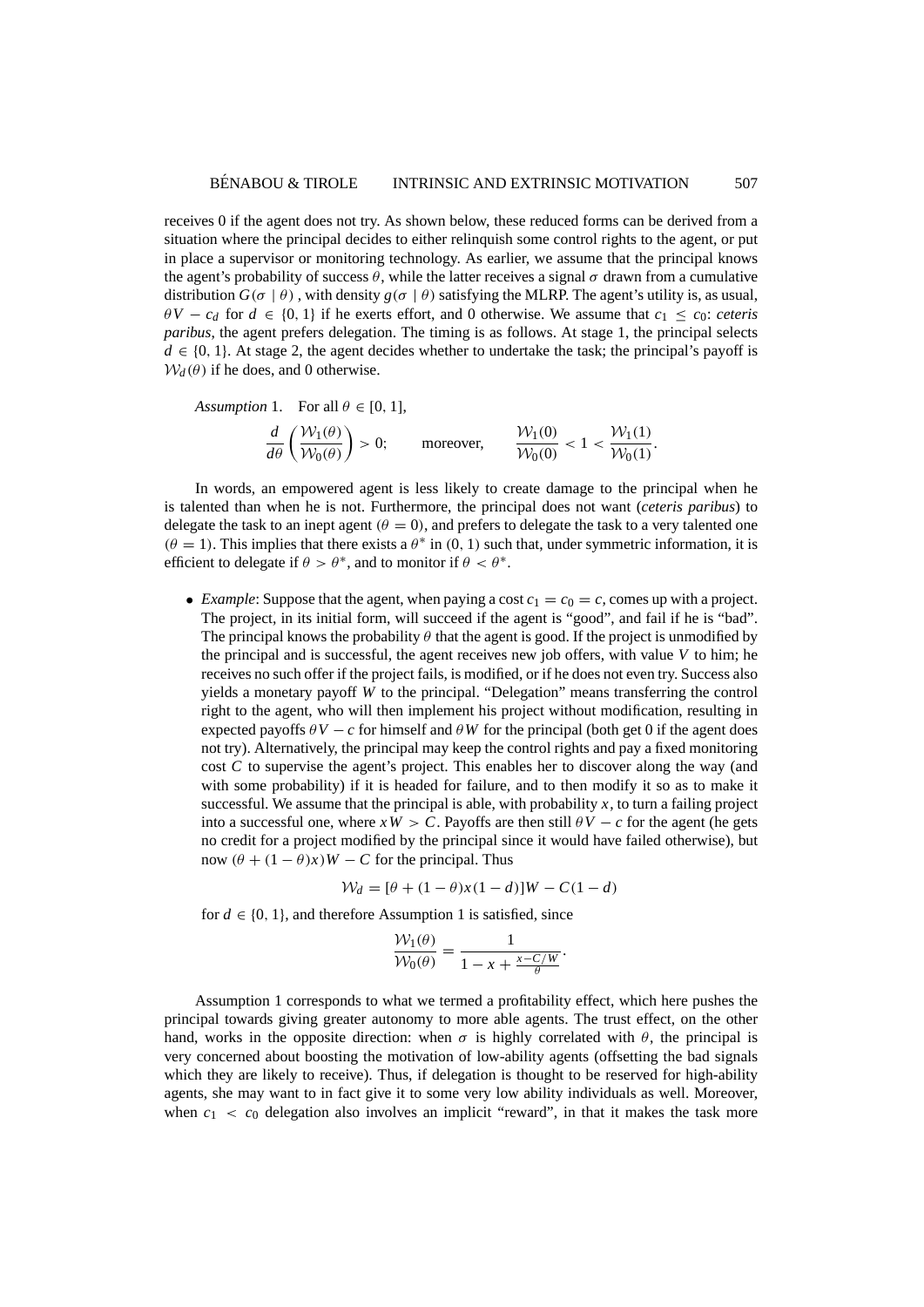receives 0 if the agent does not try. As shown below, these reduced forms can be derived from a situation where the principal decides to either relinquish some control rights to the agent, or put in place a supervisor or monitoring technology. As earlier, we assume that the principal knows the agent's probability of success  $\theta$ , while the latter receives a signal  $\sigma$  drawn from a cumulative distribution  $G(\sigma | \theta)$ , with density  $g(\sigma | \theta)$  satisfying the MLRP. The agent's utility is, as usual,  $\theta V - c_d$  for  $d \in \{0, 1\}$  if he exerts effort, and 0 otherwise. We assume that  $c_1 \leq c_0$ : *ceteris paribus*, the agent prefers delegation. The timing is as follows. At stage 1, the principal selects  $d \in \{0, 1\}$ . At stage 2, the agent decides whether to undertake the task; the principal's payoff is  $W_d(\theta)$  if he does, and 0 otherwise.

*Assumption* 1. For all  $\theta \in [0, 1]$ ,

*d d*θ  $\left(\frac{\mathcal{W}_1(\theta)}{\mathcal{W}_0(\theta)}\right) > 0;$  moreover,  $\frac{\mathcal{W}_1(0)}{\mathcal{W}_0(0)}$  $\frac{\mathcal{W}_1(0)}{\mathcal{W}_0(0)} < 1 < \frac{\mathcal{W}_1(1)}{\mathcal{W}_0(1)}$  $\frac{\overline{W_1(1)}}{\overline{W_0(1)}}$ .

In words, an empowered agent is less likely to create damage to the principal when he is talented than when he is not. Furthermore, the principal does not want (*ceteris paribus*) to delegate the task to an inept agent  $(\theta = 0)$ , and prefers to delegate the task to a very talented one  $(\theta = 1)$ . This implies that there exists a  $\theta^*$  in  $(0, 1)$  such that, under symmetric information, it is efficient to delegate if  $\theta > \theta^*$ , and to monitor if  $\theta < \theta^*$ .

• *Example*: Suppose that the agent, when paying a cost  $c_1 = c_0 = c$ , comes up with a project. The project, in its initial form, will succeed if the agent is "good", and fail if he is "bad". The principal knows the probability  $\theta$  that the agent is good. If the project is unmodified by the principal and is successful, the agent receives new job offers, with value *V* to him; he receives no such offer if the project fails, is modified, or if he does not even try. Success also yields a monetary payoff *W* to the principal. "Delegation" means transferring the control right to the agent, who will then implement his project without modification, resulting in expected payoffs  $\theta V - c$  for himself and  $\theta W$  for the principal (both get 0 if the agent does not try). Alternatively, the principal may keep the control rights and pay a fixed monitoring cost *C* to supervise the agent's project. This enables her to discover along the way (and with some probability) if it is headed for failure, and to then modify it so as to make it successful. We assume that the principal is able, with probability *x*, to turn a failing project into a successful one, where  $xW > C$ . Payoffs are then still  $\theta V - c$  for the agent (he gets no credit for a project modified by the principal since it would have failed otherwise), but now  $(\theta + (1 - \theta)x)W - C$  for the principal. Thus

$$
\mathcal{W}_d = [\theta + (1 - \theta)x(1 - d)]W - C(1 - d)
$$

for  $d \in \{0, 1\}$ , and therefore Assumption 1 is satisfied, since

$$
\frac{\mathcal{W}_1(\theta)}{\mathcal{W}_0(\theta)} = \frac{1}{1 - x + \frac{x - C/W}{\theta}}.
$$

Assumption 1 corresponds to what we termed a profitability effect, which here pushes the principal towards giving greater autonomy to more able agents. The trust effect, on the other hand, works in the opposite direction: when  $\sigma$  is highly correlated with  $\theta$ , the principal is very concerned about boosting the motivation of low-ability agents (offsetting the bad signals which they are likely to receive). Thus, if delegation is thought to be reserved for high-ability agents, she may want to in fact give it to some very low ability individuals as well. Moreover, when  $c_1 < c_0$  delegation also involves an implicit "reward", in that it makes the task more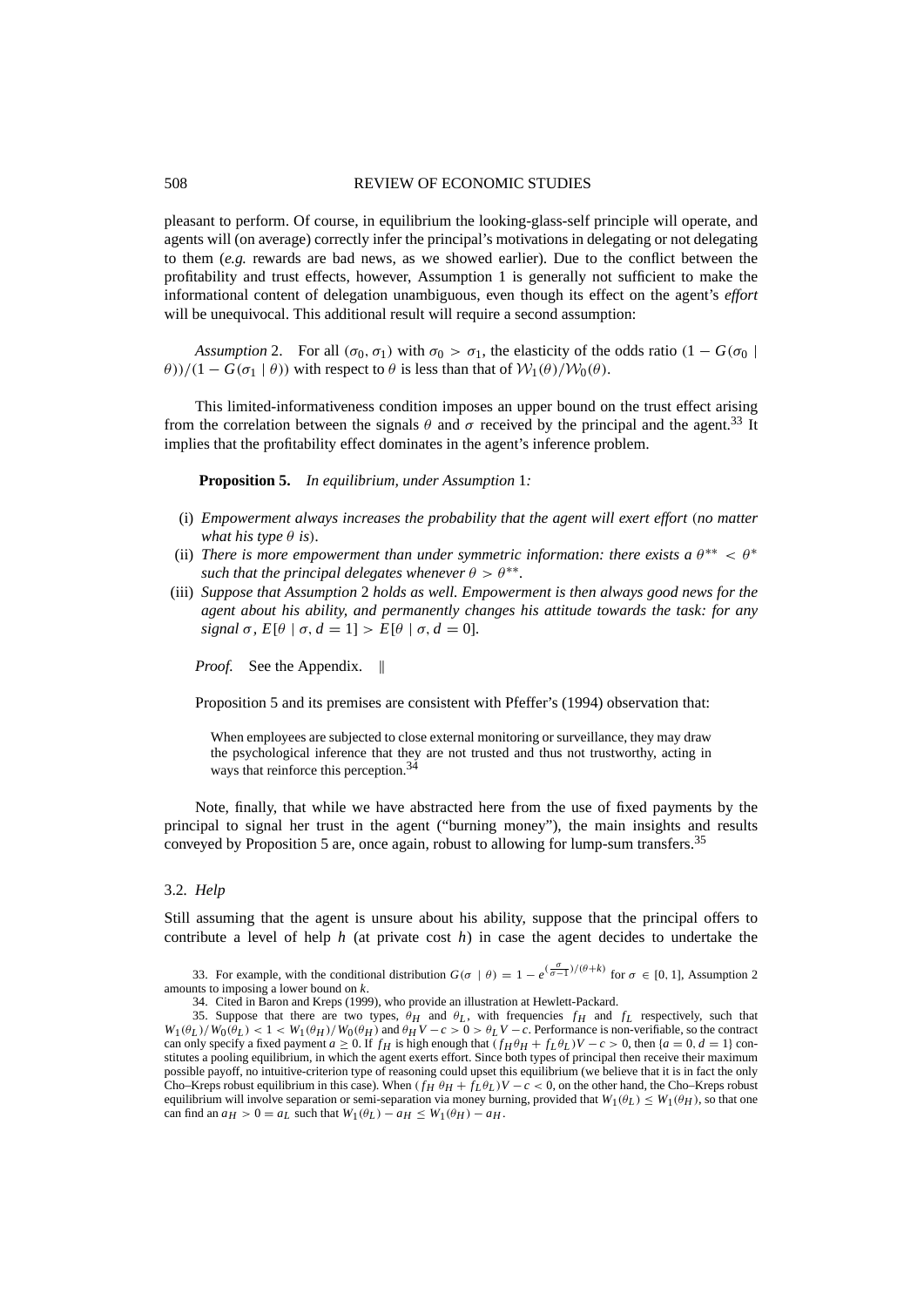pleasant to perform. Of course, in equilibrium the looking-glass-self principle will operate, and agents will (on average) correctly infer the principal's motivations in delegating or not delegating to them (*e.g.* rewards are bad news, as we showed earlier). Due to the conflict between the profitability and trust effects, however, Assumption 1 is generally not sufficient to make the informational content of delegation unambiguous, even though its effect on the agent's *effort* will be unequivocal. This additional result will require a second assumption:

*Assumption* 2. For all ( $\sigma_0$ ,  $\sigma_1$ ) with  $\sigma_0 > \sigma_1$ , the elasticity of the odds ratio (1 – *G*( $\sigma_0$ )  $\theta$ ))/(1 – *G*( $\sigma_1$  |  $\theta$ )) with respect to  $\theta$  is less than that of  $W_1(\theta)/W_0(\theta)$ .

This limited-informativeness condition imposes an upper bound on the trust effect arising from the correlation between the signals  $\theta$  and  $\sigma$  received by the principal and the agent.<sup>33</sup> It implies that the profitability effect dominates in the agent's inference problem.

**Proposition 5.** *In equilibrium, under Assumption* 1*:*

- (i) *Empowerment always increases the probability that the agent will exert effort* (*no matter what his type*  $\theta$  *is*).
- (ii) There is more empowerment than under symmetric information: there exists a  $\theta^{**} < \theta^*$ *such that the principal delegates whenever*  $\theta > \theta^{**}$ .
- (iii) *Suppose that Assumption* 2 *holds as well. Empowerment is then always good news for the agent about his ability, and permanently changes his attitude towards the task: for any signal*  $\sigma$ *,*  $E[\theta | \sigma, d = 1] > E[\theta | \sigma, d = 0]$ *.*

*Proof.* See the Appendix.  $\parallel$ 

Proposition 5 and its premises are consistent with Pfeffer's (1994) observation that:

When employees are subjected to close external monitoring or surveillance, they may draw the psychological inference that they are not trusted and thus not trustworthy, acting in ways that reinforce this perception.<sup>34</sup>

Note, finally, that while we have abstracted here from the use of fixed payments by the principal to signal her trust in the agent ("burning money"), the main insights and results conveyed by Proposition 5 are, once again, robust to allowing for lump-sum transfers.<sup>35</sup>

#### 3.2*. Help*

Still assuming that the agent is unsure about his ability, suppose that the principal offers to contribute a level of help  $h$  (at private cost  $h$ ) in case the agent decides to undertake the

33. For example, with the conditional distribution  $G(\sigma | \theta) = 1 - e^{(\frac{\sigma}{\sigma-1})/(\theta+k)}$  for  $\sigma \in [0, 1]$ , Assumption 2 amounts to imposing a lower bound on *k*.

34. Cited in Baron and Kreps (1999), who provide an illustration at Hewlett-Packard.

35. Suppose that there are two types,  $\dot{\theta}_H$  and  $\theta_L$ , with frequencies  $f_H$  and  $f_L$  respectively, such that  $W_1(\theta_L)/W_0(\theta_L) < 1 < W_1(\theta_H)/W_0(\theta_H)$  and  $\theta_H V - c > 0 > \theta_L V - c$ . Performance is non-verifiable, so the contract can only specify a fixed payment  $a \ge 0$ . If  $f_H$  is high enough that  $(f_H \theta_H + f_L \theta_L) V - c > 0$ , then  $\{a = 0, d = 1\}$  constitutes a pooling equilibrium, in which the agent exerts effort. Since both types of principal then receive their maximum possible payoff, no intuitive-criterion type of reasoning could upset this equilibrium (we believe that it is in fact the only Cho–Kreps robust equilibrium in this case). When  $(f_H \theta_H + f_L \theta_L)V - c < 0$ , on the other hand, the Cho–Kreps robust equilibrium will involve separation or semi-separation via money burning, provided that  $W_1(\theta_L) \leq W_1(\theta_H)$ , so that one can find an  $a_H > 0 = a_L$  such that  $W_1(\theta_L) - a_H \leq W_1(\theta_H) - a_H$ .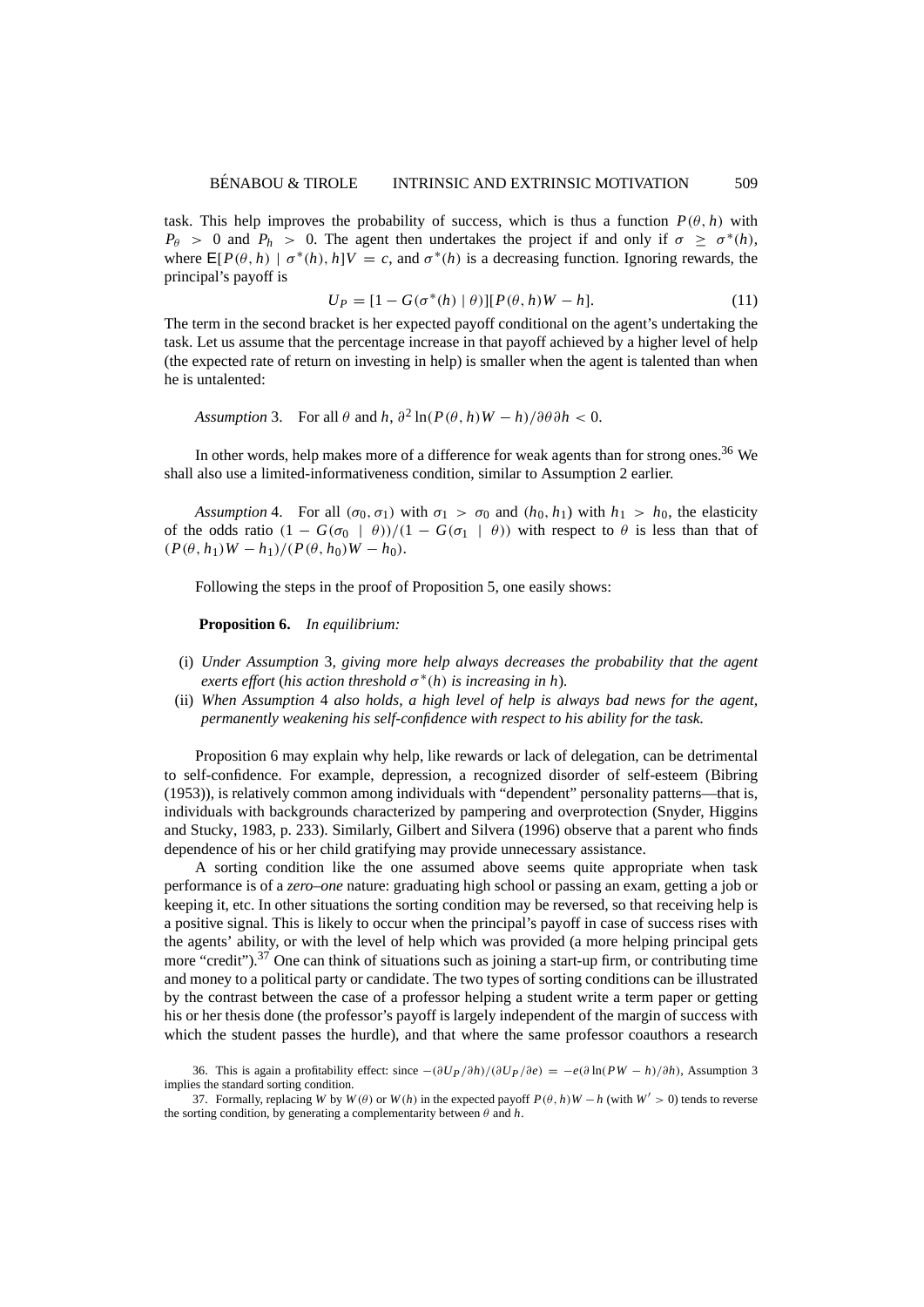task. This help improves the probability of success, which is thus a function  $P(\theta, h)$  with  $P_{\theta} > 0$  and  $P_h > 0$ . The agent then undertakes the project if and only if  $\sigma \geq \sigma^*(h)$ , where  $E[P(\theta, h) | \sigma^*(h), h]V = c$ , and  $\sigma^*(h)$  is a decreasing function. Ignoring rewards, the principal's payoff is

$$
U_P = [1 - G(\sigma^*(h) | \theta)] [P(\theta, h)W - h].
$$
\n(11)

The term in the second bracket is her expected payoff conditional on the agent's undertaking the task. Let us assume that the percentage increase in that payoff achieved by a higher level of help (the expected rate of return on investing in help) is smaller when the agent is talented than when he is untalented:

*Assumption* 3. For all  $\theta$  and  $h$ ,  $\partial^2 \ln(P(\theta, h)W - h)/\partial\theta\partial h < 0$ .

In other words, help makes more of a difference for weak agents than for strong ones.<sup>36</sup> We shall also use a limited-informativeness condition, similar to Assumption 2 earlier.

*Assumption* 4. For all  $(\sigma_0, \sigma_1)$  with  $\sigma_1 > \sigma_0$  and  $(h_0, h_1)$  with  $h_1 > h_0$ , the elasticity of the odds ratio  $(1 - G(\sigma_0 \mid \theta))/(1 - G(\sigma_1 \mid \theta))$  with respect to  $\theta$  is less than that of  $(P(\theta, h_1)W - h_1)/(P(\theta, h_0)W - h_0).$ 

Following the steps in the proof of Proposition 5, one easily shows:

**Proposition 6.** *In equilibrium:*

- (i) *Under Assumption* 3*, giving more help always decreases the probability that the agent exerts effort* (*his action threshold* σ ∗ (*h*) *is increasing in h*)*.*
- (ii) *When Assumption* 4 *also holds, a high level of help is always bad news for the agent, permanently weakening his self-confidence with respect to his ability for the task.*

Proposition 6 may explain why help, like rewards or lack of delegation, can be detrimental to self-confidence. For example, depression, a recognized disorder of self-esteem (Bibring (1953)), is relatively common among individuals with "dependent" personality patterns—that is, individuals with backgrounds characterized by pampering and overprotection (Snyder, Higgins and Stucky, 1983, p. 233). Similarly, Gilbert and Silvera (1996) observe that a parent who finds dependence of his or her child gratifying may provide unnecessary assistance.

A sorting condition like the one assumed above seems quite appropriate when task performance is of a *zero–one* nature: graduating high school or passing an exam, getting a job or keeping it, etc. In other situations the sorting condition may be reversed, so that receiving help is a positive signal. This is likely to occur when the principal's payoff in case of success rises with the agents' ability, or with the level of help which was provided (a more helping principal gets more "credit").<sup>37</sup> One can think of situations such as joining a start-up firm, or contributing time and money to a political party or candidate. The two types of sorting conditions can be illustrated by the contrast between the case of a professor helping a student write a term paper or getting his or her thesis done (the professor's payoff is largely independent of the margin of success with which the student passes the hurdle), and that where the same professor coauthors a research

<sup>36.</sup> This is again a profitability effect: since  $-(\frac{\partial U_P}{\partial h})/(\frac{\partial U_P}{\partial e}) = -e(\frac{\partial \ln(PW - h)}{\partial h})$ , Assumption 3 implies the standard sorting condition.

<sup>37.</sup> Formally, replacing *W* by  $W(\theta)$  or  $W(h)$  in the expected payoff  $P(\theta, h)W - h$  (with  $W' > 0$ ) tends to reverse the sorting condition, by generating a complementarity between  $\theta$  and  $h$ .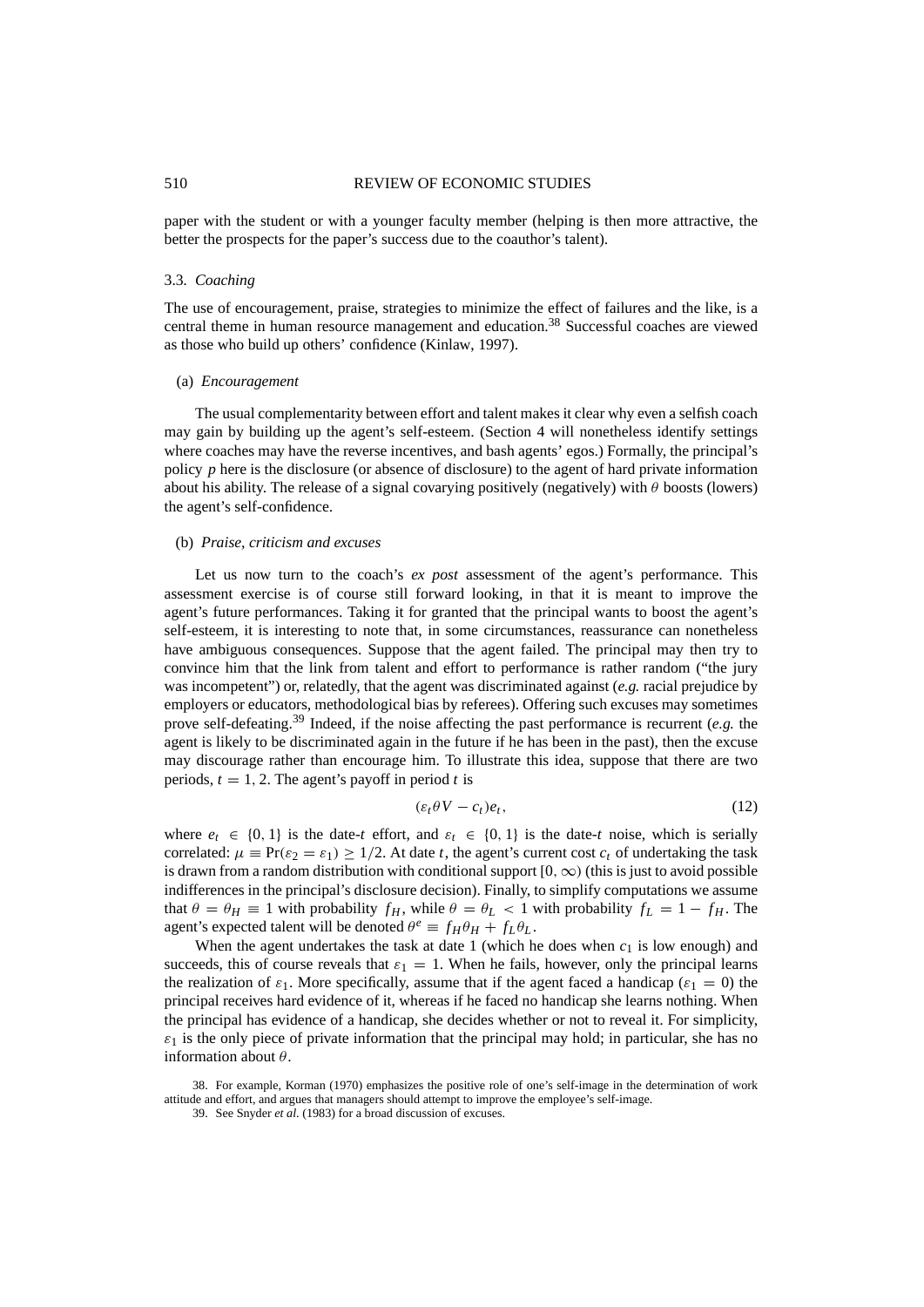paper with the student or with a younger faculty member (helping is then more attractive, the better the prospects for the paper's success due to the coauthor's talent).

#### 3.3*. Coaching*

The use of encouragement, praise, strategies to minimize the effect of failures and the like, is a central theme in human resource management and education.<sup>38</sup> Successful coaches are viewed as those who build up others' confidence (Kinlaw, 1997).

#### (a) *Encouragement*

The usual complementarity between effort and talent makes it clear why even a selfish coach may gain by building up the agent's self-esteem. (Section 4 will nonetheless identify settings where coaches may have the reverse incentives, and bash agents' egos.) Formally, the principal's policy *p* here is the disclosure (or absence of disclosure) to the agent of hard private information about his ability. The release of a signal covarying positively (negatively) with  $\theta$  boosts (lowers) the agent's self-confidence.

#### (b) *Praise, criticism and excuses*

Let us now turn to the coach's *ex post* assessment of the agent's performance. This assessment exercise is of course still forward looking, in that it is meant to improve the agent's future performances. Taking it for granted that the principal wants to boost the agent's self-esteem, it is interesting to note that, in some circumstances, reassurance can nonetheless have ambiguous consequences. Suppose that the agent failed. The principal may then try to convince him that the link from talent and effort to performance is rather random ("the jury was incompetent") or, relatedly, that the agent was discriminated against (*e.g.* racial prejudice by employers or educators, methodological bias by referees). Offering such excuses may sometimes prove self-defeating.<sup>39</sup> Indeed, if the noise affecting the past performance is recurrent (*e.g.* the agent is likely to be discriminated again in the future if he has been in the past), then the excuse may discourage rather than encourage him. To illustrate this idea, suppose that there are two periods,  $t = 1$ , 2. The agent's payoff in period  $t$  is

$$
(\varepsilon_t \theta V - c_t) e_t, \tag{12}
$$

where  $e_t \in \{0, 1\}$  is the date-*t* effort, and  $\varepsilon_t \in \{0, 1\}$  is the date-*t* noise, which is serially correlated:  $\mu \equiv \Pr(\varepsilon_2 = \varepsilon_1) \geq 1/2$ . At date *t*, the agent's current cost  $c_t$  of undertaking the task is drawn from a random distribution with conditional support  $[0, \infty)$  (this is just to avoid possible indifferences in the principal's disclosure decision). Finally, to simplify computations we assume that  $\theta = \theta_H \equiv 1$  with probability  $f_H$ , while  $\theta = \theta_L < 1$  with probability  $f_L = 1 - f_H$ . The agent's expected talent will be denoted  $\theta^e \equiv f_H \theta_H + f_L \theta_L$ .

When the agent undertakes the task at date 1 (which he does when  $c_1$  is low enough) and succeeds, this of course reveals that  $\varepsilon_1 = 1$ . When he fails, however, only the principal learns the realization of  $\varepsilon_1$ . More specifically, assume that if the agent faced a handicap ( $\varepsilon_1 = 0$ ) the principal receives hard evidence of it, whereas if he faced no handicap she learns nothing. When the principal has evidence of a handicap, she decides whether or not to reveal it. For simplicity,  $\varepsilon_1$  is the only piece of private information that the principal may hold; in particular, she has no information about  $\theta$ .

<sup>38.</sup> For example, Korman (1970) emphasizes the positive role of one's self-image in the determination of work attitude and effort, and argues that managers should attempt to improve the employee's self-image.

<sup>39.</sup> See Snyder *et al*. (1983) for a broad discussion of excuses.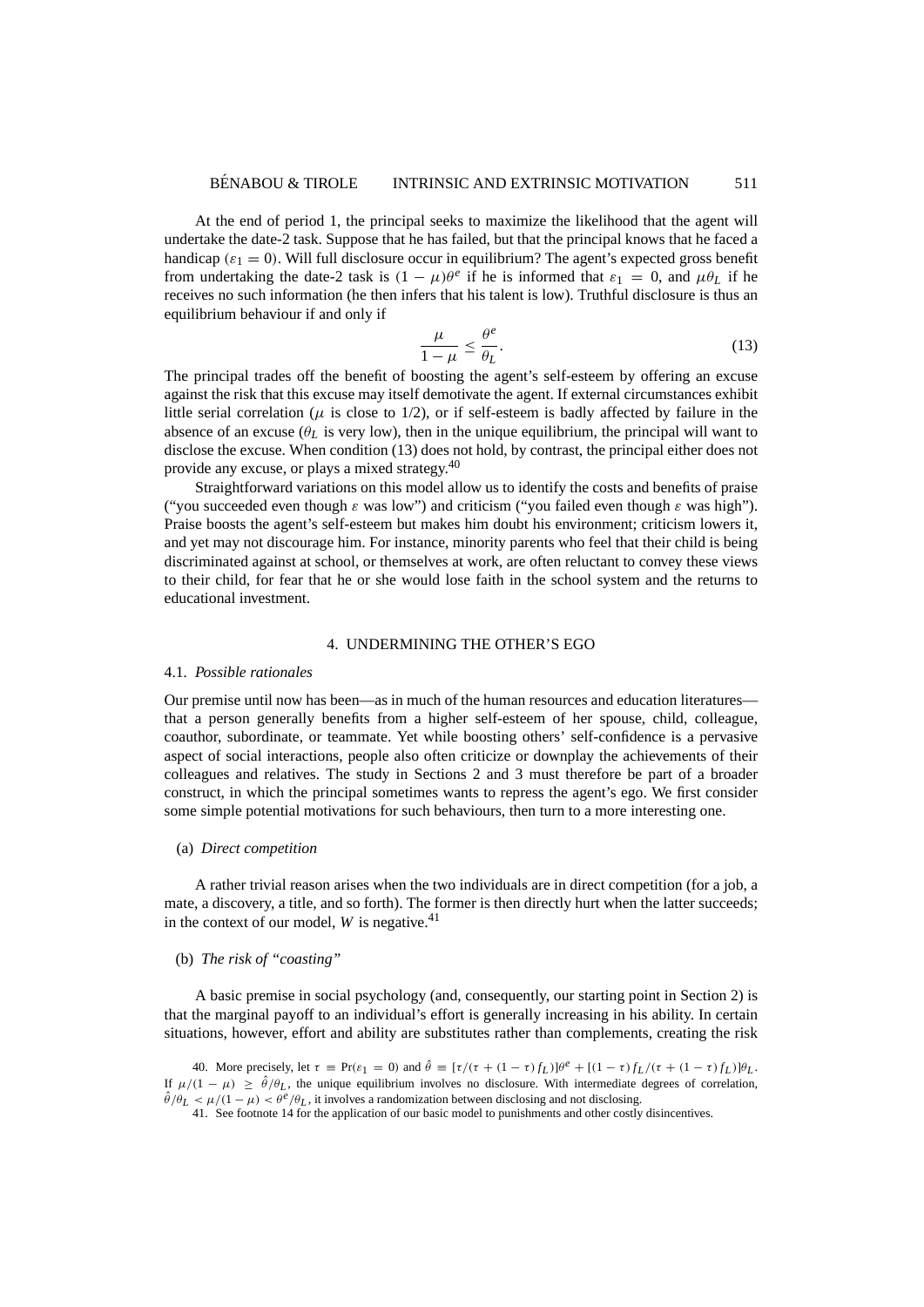At the end of period 1, the principal seeks to maximize the likelihood that the agent will undertake the date-2 task. Suppose that he has failed, but that the principal knows that he faced a handicap ( $\varepsilon_1 = 0$ ). Will full disclosure occur in equilibrium? The agent's expected gross benefit from undertaking the date-2 task is  $(1 - \mu)\theta^e$  if he is informed that  $\varepsilon_1 = 0$ , and  $\mu\theta_L$  if he receives no such information (he then infers that his talent is low). Truthful disclosure is thus an equilibrium behaviour if and only if

$$
\frac{\mu}{1-\mu} \le \frac{\theta^e}{\theta_L}.\tag{13}
$$

The principal trades off the benefit of boosting the agent's self-esteem by offering an excuse against the risk that this excuse may itself demotivate the agent. If external circumstances exhibit little serial correlation ( $\mu$  is close to 1/2), or if self-esteem is badly affected by failure in the absence of an excuse  $(\theta_L)$  is very low), then in the unique equilibrium, the principal will want to disclose the excuse. When condition (13) does not hold, by contrast, the principal either does not provide any excuse, or plays a mixed strategy.<sup>40</sup>

Straightforward variations on this model allow us to identify the costs and benefits of praise ("you succeeded even though  $\varepsilon$  was low") and criticism ("you failed even though  $\varepsilon$  was high"). Praise boosts the agent's self-esteem but makes him doubt his environment; criticism lowers it, and yet may not discourage him. For instance, minority parents who feel that their child is being discriminated against at school, or themselves at work, are often reluctant to convey these views to their child, for fear that he or she would lose faith in the school system and the returns to educational investment.

#### 4. UNDERMINING THE OTHER'S EGO

## 4.1*. Possible rationales*

Our premise until now has been—as in much of the human resources and education literatures that a person generally benefits from a higher self-esteem of her spouse, child, colleague, coauthor, subordinate, or teammate. Yet while boosting others' self-confidence is a pervasive aspect of social interactions, people also often criticize or downplay the achievements of their colleagues and relatives. The study in Sections 2 and 3 must therefore be part of a broader construct, in which the principal sometimes wants to repress the agent's ego. We first consider some simple potential motivations for such behaviours, then turn to a more interesting one.

#### (a) *Direct competition*

A rather trivial reason arises when the two individuals are in direct competition (for a job, a mate, a discovery, a title, and so forth). The former is then directly hurt when the latter succeeds; in the context of our model,  $W$  is negative.<sup>41</sup>

# (b) *The risk of "coasting"*

A basic premise in social psychology (and, consequently, our starting point in Section 2) is that the marginal payoff to an individual's effort is generally increasing in his ability. In certain situations, however, effort and ability are substitutes rather than complements, creating the risk

40. More precisely, let  $\tau \equiv \Pr(\varepsilon_1 = 0)$  and  $\hat{\theta} \equiv [\tau/(\tau + (1 - \tau)f_L)]\theta^{\ell} + [(1 - \tau)f_L/(\tau + (1 - \tau)f_L)]\theta_L$ . If  $\mu/(1 - \mu) \ge \hat{\theta}/\theta_L$ , the unique equilibrium involves no disclosure. With intermediate degrees of correlation,  $\hat{\theta}/\theta_L < \mu/(1-\mu) < \theta^e/\theta_L$ , it involves a randomization between disclosing and not disclosing.

<sup>41.</sup> See footnote 14 for the application of our basic model to punishments and other costly disincentives.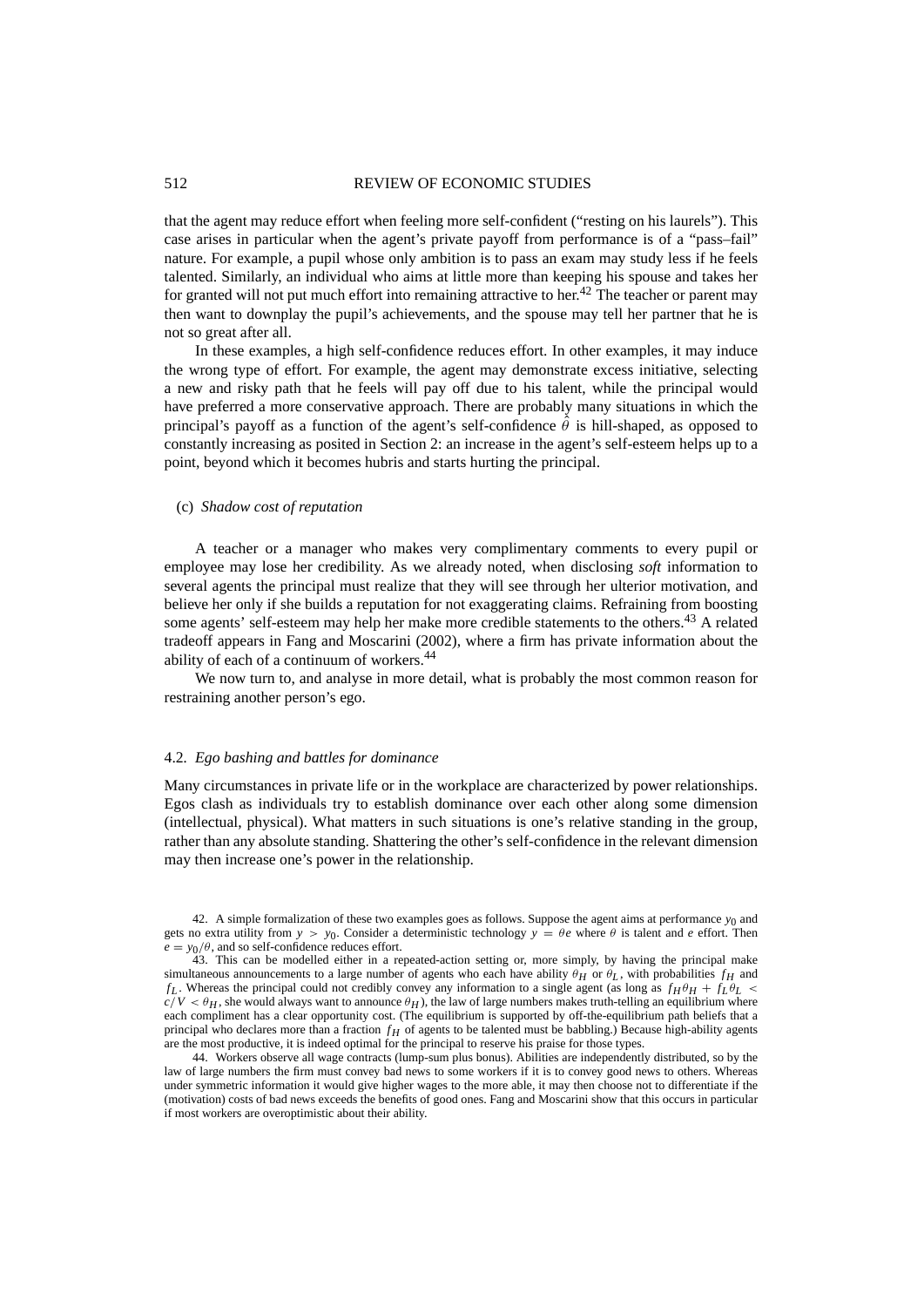that the agent may reduce effort when feeling more self-confident ("resting on his laurels"). This case arises in particular when the agent's private payoff from performance is of a "pass–fail" nature. For example, a pupil whose only ambition is to pass an exam may study less if he feels talented. Similarly, an individual who aims at little more than keeping his spouse and takes her for granted will not put much effort into remaining attractive to her.<sup>42</sup> The teacher or parent may then want to downplay the pupil's achievements, and the spouse may tell her partner that he is not so great after all.

In these examples, a high self-confidence reduces effort. In other examples, it may induce the wrong type of effort. For example, the agent may demonstrate excess initiative, selecting a new and risky path that he feels will pay off due to his talent, while the principal would have preferred a more conservative approach. There are probably many situations in which the principal's payoff as a function of the agent's self-confidence  $\hat{\theta}$  is hill-shaped, as opposed to constantly increasing as posited in Section 2: an increase in the agent's self-esteem helps up to a point, beyond which it becomes hubris and starts hurting the principal.

#### (c) *Shadow cost of reputation*

A teacher or a manager who makes very complimentary comments to every pupil or employee may lose her credibility. As we already noted, when disclosing *soft* information to several agents the principal must realize that they will see through her ulterior motivation, and believe her only if she builds a reputation for not exaggerating claims. Refraining from boosting some agents' self-esteem may help her make more credible statements to the others.<sup>43</sup> A related tradeoff appears in Fang and Moscarini (2002), where a firm has private information about the ability of each of a continuum of workers.<sup>44</sup>

We now turn to, and analyse in more detail, what is probably the most common reason for restraining another person's ego.

## 4.2*. Ego bashing and battles for dominance*

Many circumstances in private life or in the workplace are characterized by power relationships. Egos clash as individuals try to establish dominance over each other along some dimension (intellectual, physical). What matters in such situations is one's relative standing in the group, rather than any absolute standing. Shattering the other's self-confidence in the relevant dimension may then increase one's power in the relationship.

<sup>42.</sup> A simple formalization of these two examples goes as follows. Suppose the agent aims at performance  $y_0$  and gets no extra utility from  $y > y_0$ . Consider a deterministic technology  $y = \theta e$  where  $\theta$  is talent and *e* effort. Then  $e = v_0/\theta$ , and so self-confidence reduces effort.

<sup>43.</sup> This can be modelled either in a repeated-action setting or, more simply, by having the principal make simultaneous announcements to a large number of agents who each have ability  $\theta_H$  or  $\theta_L$ , with probabilities  $f_H$  and *f*<sub>L</sub>. Whereas the principal could not credibly convey any information to a single agent (as long as  $f_H \theta_H + f_L \theta_L$  <  $c/V < \theta_H$ , she would always want to announce  $\theta_H$ ), the law of large numbers makes truth-telling an equilibrium where each compliment has a clear opportunity cost. (The equilibrium is supported by off-the-equilibrium path beliefs that a principal who declares more than a fraction *fH* of agents to be talented must be babbling.) Because high-ability agents are the most productive, it is indeed optimal for the principal to reserve his praise for those types.

<sup>44.</sup> Workers observe all wage contracts (lump-sum plus bonus). Abilities are independently distributed, so by the law of large numbers the firm must convey bad news to some workers if it is to convey good news to others. Whereas under symmetric information it would give higher wages to the more able, it may then choose not to differentiate if the (motivation) costs of bad news exceeds the benefits of good ones. Fang and Moscarini show that this occurs in particular if most workers are overoptimistic about their ability.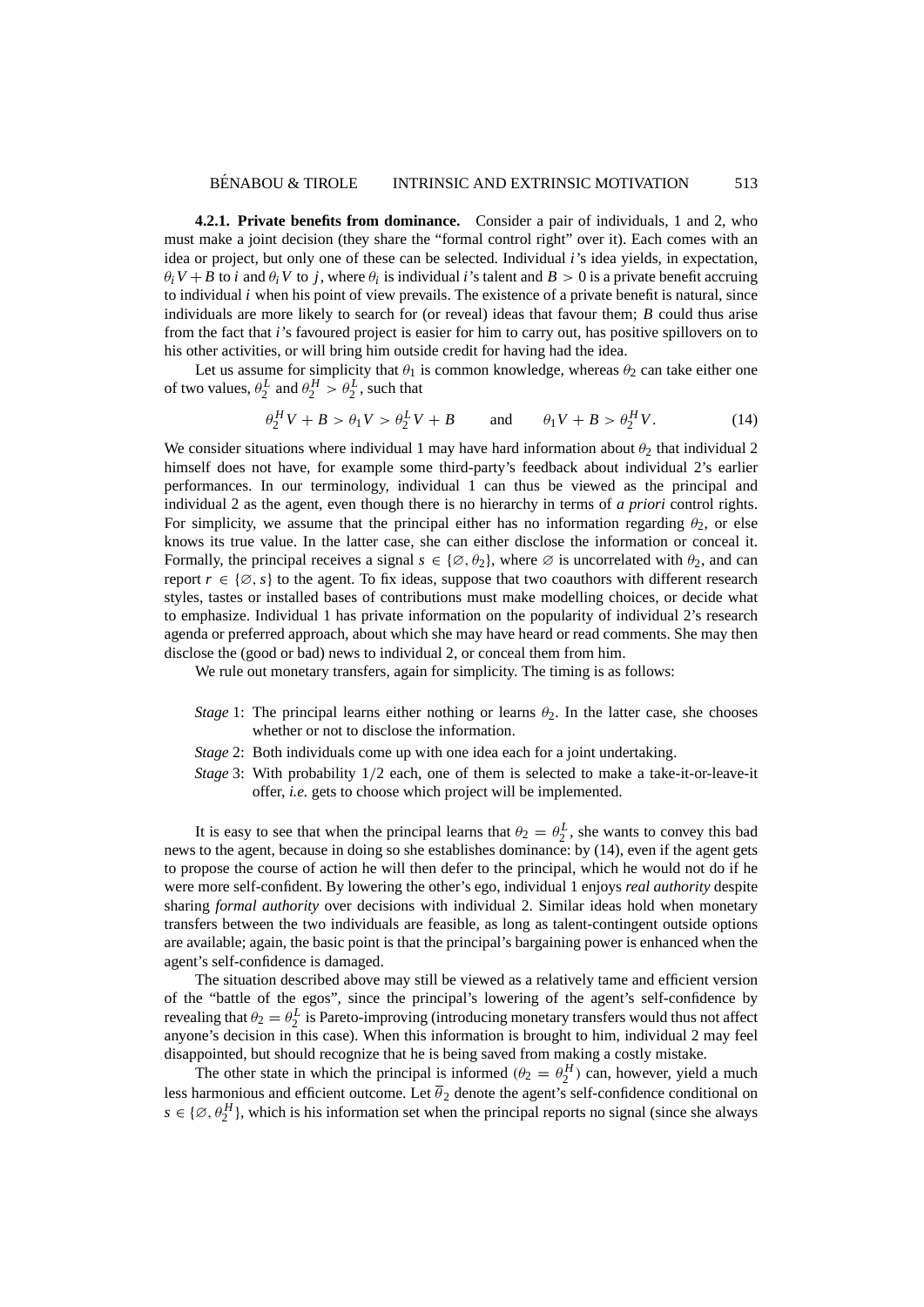## BENABOU & TIROLE INTRINSIC AND EXTRINSIC MOTIVATION 513 ´

**4.2.1. Private benefits from dominance.** Consider a pair of individuals, 1 and 2, who must make a joint decision (they share the "formal control right" over it). Each comes with an idea or project, but only one of these can be selected. Individual *i*'s idea yields, in expectation,  $\theta_i V + B$  to *i* and  $\theta_i V$  to *j*, where  $\theta_i$  is individual *i*'s talent and  $B > 0$  is a private benefit accruing to individual  $i$  when his point of view prevails. The existence of a private benefit is natural, since individuals are more likely to search for (or reveal) ideas that favour them; *B* could thus arise from the fact that *i*'s favoured project is easier for him to carry out, has positive spillovers on to his other activities, or will bring him outside credit for having had the idea.

Let us assume for simplicity that  $\theta_1$  is common knowledge, whereas  $\theta_2$  can take either one of two values,  $\theta_2^L$  and  $\theta_2^H > \theta_2^L$ , such that

$$
\theta_2^H V + B > \theta_1 V > \theta_2^L V + B \quad \text{and} \quad \theta_1 V + B > \theta_2^H V. \tag{14}
$$

We consider situations where individual 1 may have hard information about  $\theta_2$  that individual 2 himself does not have, for example some third-party's feedback about individual 2's earlier performances. In our terminology, individual 1 can thus be viewed as the principal and individual 2 as the agent, even though there is no hierarchy in terms of *a priori* control rights. For simplicity, we assume that the principal either has no information regarding  $\theta_2$ , or else knows its true value. In the latter case, she can either disclose the information or conceal it. Formally, the principal receives a signal  $s \in \{\emptyset, \theta_2\}$ , where  $\emptyset$  is uncorrelated with  $\theta_2$ , and can report  $r \in \{\emptyset, s\}$  to the agent. To fix ideas, suppose that two coauthors with different research styles, tastes or installed bases of contributions must make modelling choices, or decide what to emphasize. Individual 1 has private information on the popularity of individual 2's research agenda or preferred approach, about which she may have heard or read comments. She may then disclose the (good or bad) news to individual 2, or conceal them from him.

We rule out monetary transfers, again for simplicity. The timing is as follows:

- *Stage* 1: The principal learns either nothing or learns  $\theta_2$ . In the latter case, she chooses whether or not to disclose the information.
- *Stage* 2: Both individuals come up with one idea each for a joint undertaking.
- *Stage* 3: With probability 1/2 each, one of them is selected to make a take-it-or-leave-it offer, *i.e.* gets to choose which project will be implemented.

It is easy to see that when the principal learns that  $\theta_2 = \theta_2^L$ , she wants to convey this bad news to the agent, because in doing so she establishes dominance: by (14), even if the agent gets to propose the course of action he will then defer to the principal, which he would not do if he were more self-confident. By lowering the other's ego, individual 1 enjoys *real authority* despite sharing *formal authority* over decisions with individual 2. Similar ideas hold when monetary transfers between the two individuals are feasible, as long as talent-contingent outside options are available; again, the basic point is that the principal's bargaining power is enhanced when the agent's self-confidence is damaged.

The situation described above may still be viewed as a relatively tame and efficient version of the "battle of the egos", since the principal's lowering of the agent's self-confidence by revealing that  $\theta_2 = \theta_2^L$  is Pareto-improving (introducing monetary transfers would thus not affect anyone's decision in this case). When this information is brought to him, individual 2 may feel disappointed, but should recognize that he is being saved from making a costly mistake.

The other state in which the principal is informed  $(\theta_2 = \theta_2^H)$  can, however, yield a much less harmonious and efficient outcome. Let  $\bar{\theta}_2$  denote the agent's self-confidence conditional on  $s \in \{\emptyset, \theta_2^H\}$ , which is his information set when the principal reports no signal (since she always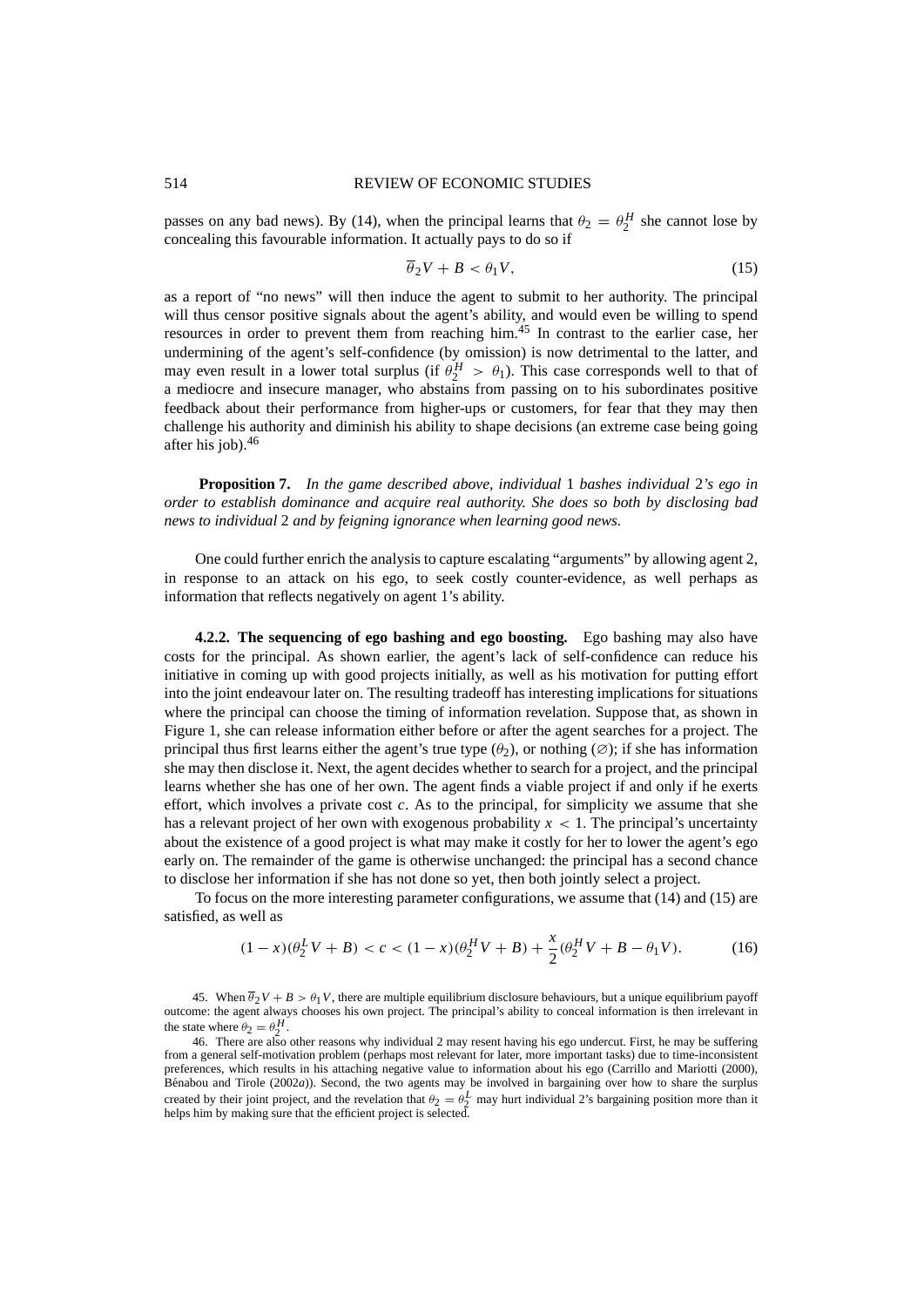passes on any bad news). By (14), when the principal learns that  $\theta_2 = \theta_2^H$  she cannot lose by concealing this favourable information. It actually pays to do so if

$$
\overline{\theta}_2 V + B < \theta_1 V,\tag{15}
$$

as a report of "no news" will then induce the agent to submit to her authority. The principal will thus censor positive signals about the agent's ability, and would even be willing to spend resources in order to prevent them from reaching him.<sup>45</sup> In contrast to the earlier case, her undermining of the agent's self-confidence (by omission) is now detrimental to the latter, and may even result in a lower total surplus (if  $\theta_2^H > \theta_1$ ). This case corresponds well to that of a mediocre and insecure manager, who abstains from passing on to his subordinates positive feedback about their performance from higher-ups or customers, for fear that they may then challenge his authority and diminish his ability to shape decisions (an extreme case being going after his job). $46$ 

**Proposition 7.** *In the game described above, individual* 1 *bashes individual* 2*'s ego in order to establish dominance and acquire real authority. She does so both by disclosing bad news to individual* 2 *and by feigning ignorance when learning good news.*

One could further enrich the analysis to capture escalating "arguments" by allowing agent 2, in response to an attack on his ego, to seek costly counter-evidence, as well perhaps as information that reflects negatively on agent 1's ability.

**4.2.2. The sequencing of ego bashing and ego boosting.** Ego bashing may also have costs for the principal. As shown earlier, the agent's lack of self-confidence can reduce his initiative in coming up with good projects initially, as well as his motivation for putting effort into the joint endeavour later on. The resulting tradeoff has interesting implications for situations where the principal can choose the timing of information revelation. Suppose that, as shown in Figure 1, she can release information either before or after the agent searches for a project. The principal thus first learns either the agent's true type  $(\theta_2)$ , or nothing  $(\emptyset)$ ; if she has information she may then disclose it. Next, the agent decides whether to search for a project, and the principal learns whether she has one of her own. The agent finds a viable project if and only if he exerts effort, which involves a private cost *c*. As to the principal, for simplicity we assume that she has a relevant project of her own with exogenous probability  $x < 1$ . The principal's uncertainty about the existence of a good project is what may make it costly for her to lower the agent's ego early on. The remainder of the game is otherwise unchanged: the principal has a second chance to disclose her information if she has not done so yet, then both jointly select a project.

To focus on the more interesting parameter configurations, we assume that (14) and (15) are satisfied, as well as

$$
(1-x)(\theta_2^L V + B) < c < (1-x)(\theta_2^H V + B) + \frac{x}{2}(\theta_2^H V + B - \theta_1 V). \tag{16}
$$

45. When  $\bar{\theta}_2 V + B > \theta_1 V$ , there are multiple equilibrium disclosure behaviours, but a unique equilibrium payoff outcome: the agent always chooses his own project. The principal's ability to conceal information is then irrelevant in the state where  $\theta_2 = \theta_2^H$ .

<sup>46.</sup> There are also other reasons why individual 2 may resent having his ego undercut. First, he may be suffering from a general self-motivation problem (perhaps most relevant for later, more important tasks) due to time-inconsistent preferences, which results in his attaching negative value to information about his ego (Carrillo and Mariotti (2000), Bénabou and Tirole (2002a)). Second, the two agents may be involved in bargaining over how to share the surplus created by their joint project, and the revelation that  $\theta_2 = \theta_2^L$  may hurt individual 2's bargaining position more than it helps him by making sure that the efficient project is selected.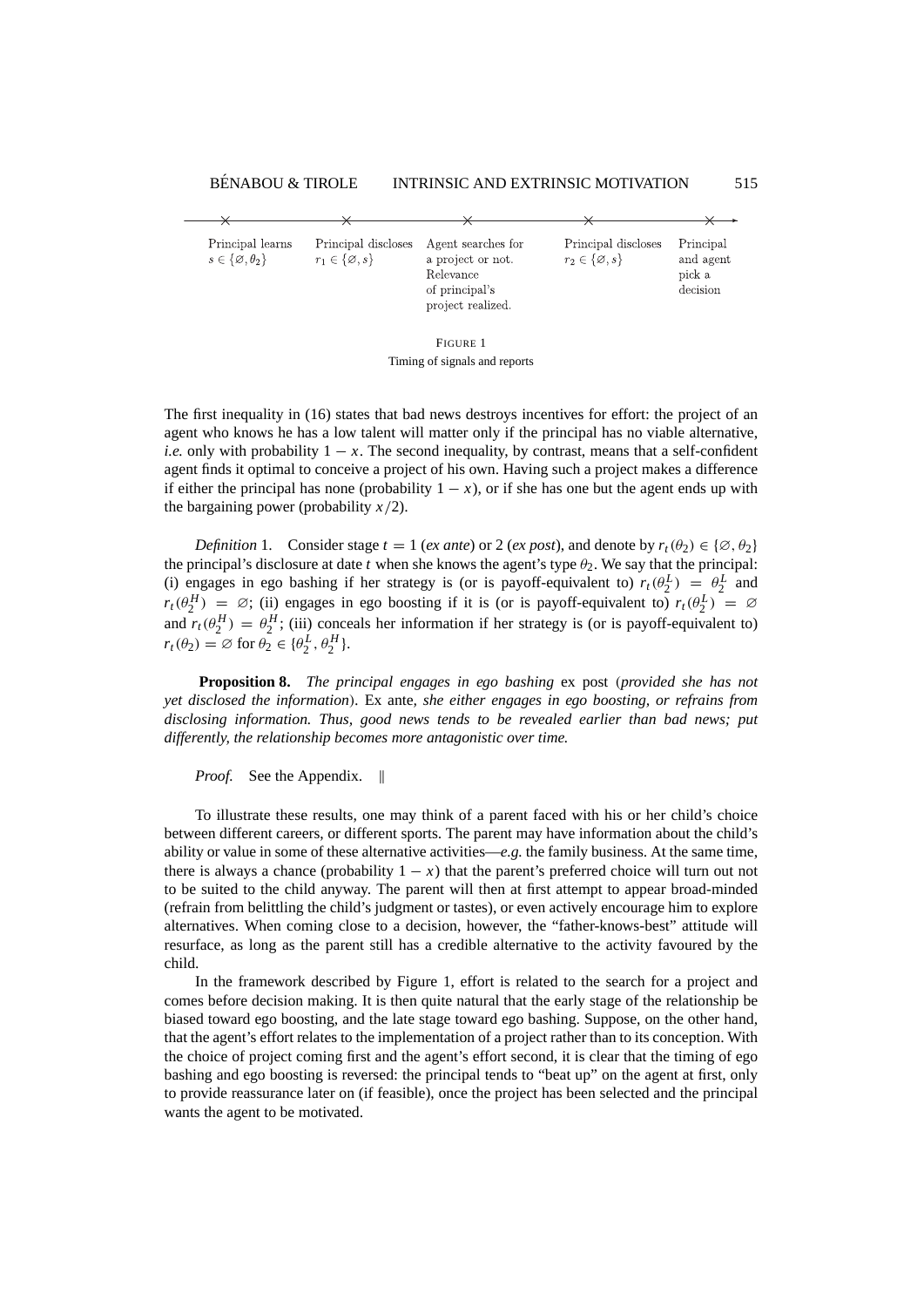| Principal learns<br>$s \in \{\varnothing, \theta_2\}$ | Principal discloses<br>$r_1 \in \{\emptyset, s\}$ | Agent searches for<br>a project or not.<br>Relevance<br>of principal's<br>project realized. | Principal discloses<br>$r_2 \in \{\emptyset, s\}$ | Principal<br>and agent<br>pick a<br>decision |
|-------------------------------------------------------|---------------------------------------------------|---------------------------------------------------------------------------------------------|---------------------------------------------------|----------------------------------------------|
|                                                       |                                                   |                                                                                             |                                                   |                                              |

FIGURE 1 Timing of signals and reports

The first inequality in (16) states that bad news destroys incentives for effort: the project of an agent who knows he has a low talent will matter only if the principal has no viable alternative, *i.e.* only with probability  $1 - x$ . The second inequality, by contrast, means that a self-confident agent finds it optimal to conceive a project of his own. Having such a project makes a difference if either the principal has none (probability  $1 - x$ ), or if she has one but the agent ends up with the bargaining power (probability *x*/2).

*Definition* 1. Consider stage  $t = 1$  (*ex ante*) or 2 (*ex post*), and denote by  $r_t(\theta_2) \in \{ \emptyset, \theta_2 \}$ the principal's disclosure at date  $t$  when she knows the agent's type  $\theta_2$ . We say that the principal: (i) engages in ego bashing if her strategy is (or is payoff-equivalent to)  $r_t(\theta_2^L) = \theta_2^L$  and  $r_t(\theta_2^H) = \emptyset$ ; (ii) engages in ego boosting if it is (or is payoff-equivalent to)  $r_t(\theta_2^L) = \emptyset$ and  $r_t(\theta_2^H) = \theta_2^H$ ; (iii) conceals her information if her strategy is (or is payoff-equivalent to)  $r_t(\theta_2) = \emptyset$  for  $\theta_2 \in {\theta_2^L, \theta_2^H}$ .

**Proposition 8.** *The principal engages in ego bashing* ex post (*provided she has not yet disclosed the information*)*.* Ex ante*, she either engages in ego boosting, or refrains from disclosing information. Thus, good news tends to be revealed earlier than bad news; put differently, the relationship becomes more antagonistic over time.*

*Proof.* See the Appendix.  $\parallel$ 

To illustrate these results, one may think of a parent faced with his or her child's choice between different careers, or different sports. The parent may have information about the child's ability or value in some of these alternative activities—*e.g.* the family business. At the same time, there is always a chance (probability  $1 - x$ ) that the parent's preferred choice will turn out not to be suited to the child anyway. The parent will then at first attempt to appear broad-minded (refrain from belittling the child's judgment or tastes), or even actively encourage him to explore alternatives. When coming close to a decision, however, the "father-knows-best" attitude will resurface, as long as the parent still has a credible alternative to the activity favoured by the child.

In the framework described by Figure 1, effort is related to the search for a project and comes before decision making. It is then quite natural that the early stage of the relationship be biased toward ego boosting, and the late stage toward ego bashing. Suppose, on the other hand, that the agent's effort relates to the implementation of a project rather than to its conception. With the choice of project coming first and the agent's effort second, it is clear that the timing of ego bashing and ego boosting is reversed: the principal tends to "beat up" on the agent at first, only to provide reassurance later on (if feasible), once the project has been selected and the principal wants the agent to be motivated.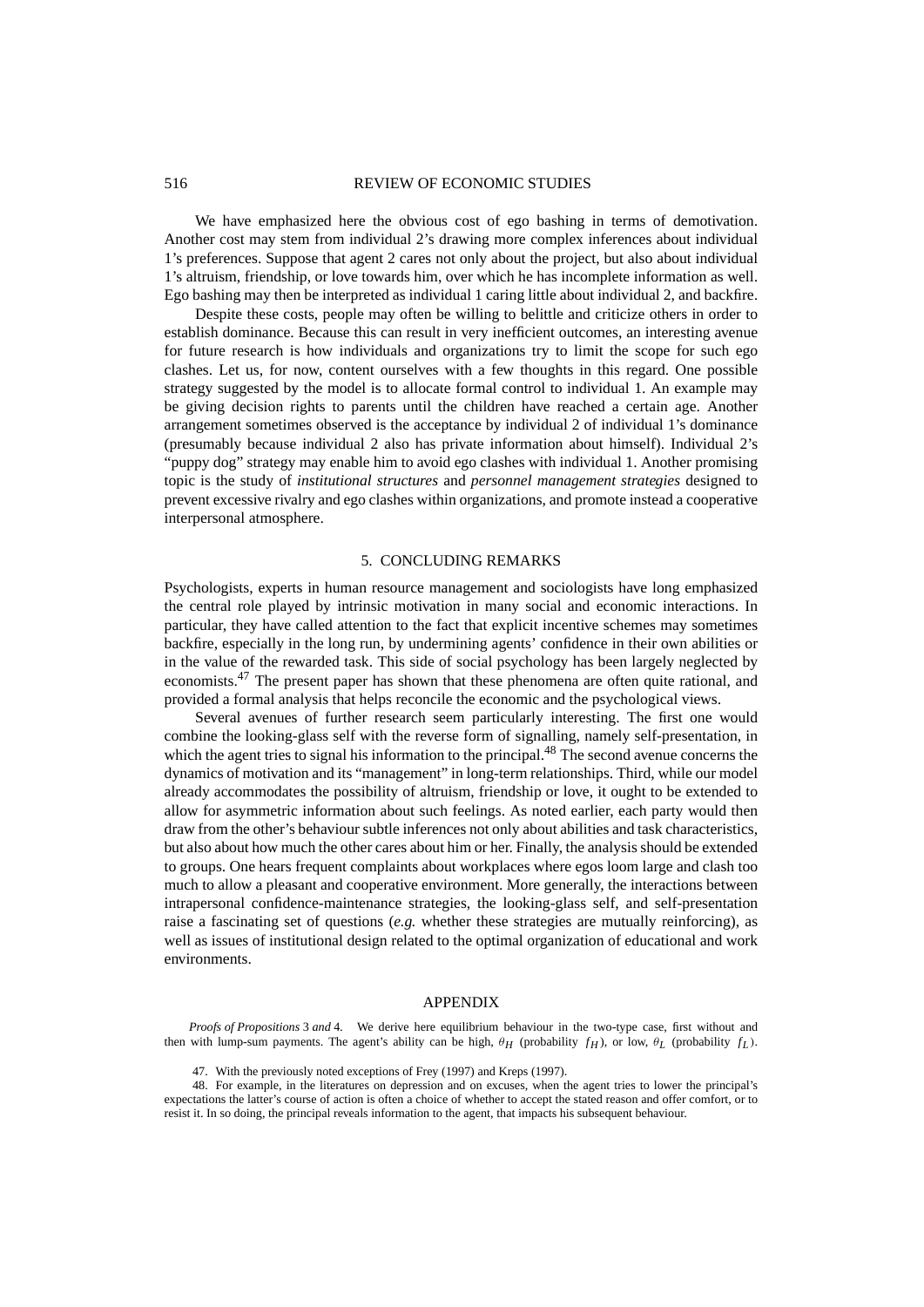We have emphasized here the obvious cost of ego bashing in terms of demotivation. Another cost may stem from individual 2's drawing more complex inferences about individual 1's preferences. Suppose that agent 2 cares not only about the project, but also about individual 1's altruism, friendship, or love towards him, over which he has incomplete information as well. Ego bashing may then be interpreted as individual 1 caring little about individual 2, and backfire.

Despite these costs, people may often be willing to belittle and criticize others in order to establish dominance. Because this can result in very inefficient outcomes, an interesting avenue for future research is how individuals and organizations try to limit the scope for such ego clashes. Let us, for now, content ourselves with a few thoughts in this regard. One possible strategy suggested by the model is to allocate formal control to individual 1. An example may be giving decision rights to parents until the children have reached a certain age. Another arrangement sometimes observed is the acceptance by individual 2 of individual 1's dominance (presumably because individual 2 also has private information about himself). Individual 2's "puppy dog" strategy may enable him to avoid ego clashes with individual 1. Another promising topic is the study of *institutional structures* and *personnel management strategies* designed to prevent excessive rivalry and ego clashes within organizations, and promote instead a cooperative interpersonal atmosphere.

#### 5. CONCLUDING REMARKS

Psychologists, experts in human resource management and sociologists have long emphasized the central role played by intrinsic motivation in many social and economic interactions. In particular, they have called attention to the fact that explicit incentive schemes may sometimes backfire, especially in the long run, by undermining agents' confidence in their own abilities or in the value of the rewarded task. This side of social psychology has been largely neglected by economists.<sup>47</sup> The present paper has shown that these phenomena are often quite rational, and provided a formal analysis that helps reconcile the economic and the psychological views.

Several avenues of further research seem particularly interesting. The first one would combine the looking-glass self with the reverse form of signalling, namely self-presentation, in which the agent tries to signal his information to the principal.<sup>48</sup> The second avenue concerns the dynamics of motivation and its "management" in long-term relationships. Third, while our model already accommodates the possibility of altruism, friendship or love, it ought to be extended to allow for asymmetric information about such feelings. As noted earlier, each party would then draw from the other's behaviour subtle inferences not only about abilities and task characteristics, but also about how much the other cares about him or her. Finally, the analysis should be extended to groups. One hears frequent complaints about workplaces where egos loom large and clash too much to allow a pleasant and cooperative environment. More generally, the interactions between intrapersonal confidence-maintenance strategies, the looking-glass self, and self-presentation raise a fascinating set of questions (*e.g.* whether these strategies are mutually reinforcing), as well as issues of institutional design related to the optimal organization of educational and work environments.

#### APPENDIX

*Proofs of Propositions* 3 *and* 4*.* We derive here equilibrium behaviour in the two-type case, first without and then with lump-sum payments. The agent's ability can be high,  $\theta_H$  (probability  $f_H$ ), or low,  $\theta_L$  (probability  $f_L$ ).

47. With the previously noted exceptions of Frey (1997) and Kreps (1997).

48. For example, in the literatures on depression and on excuses, when the agent tries to lower the principal's expectations the latter's course of action is often a choice of whether to accept the stated reason and offer comfort, or to resist it. In so doing, the principal reveals information to the agent, that impacts his subsequent behaviour.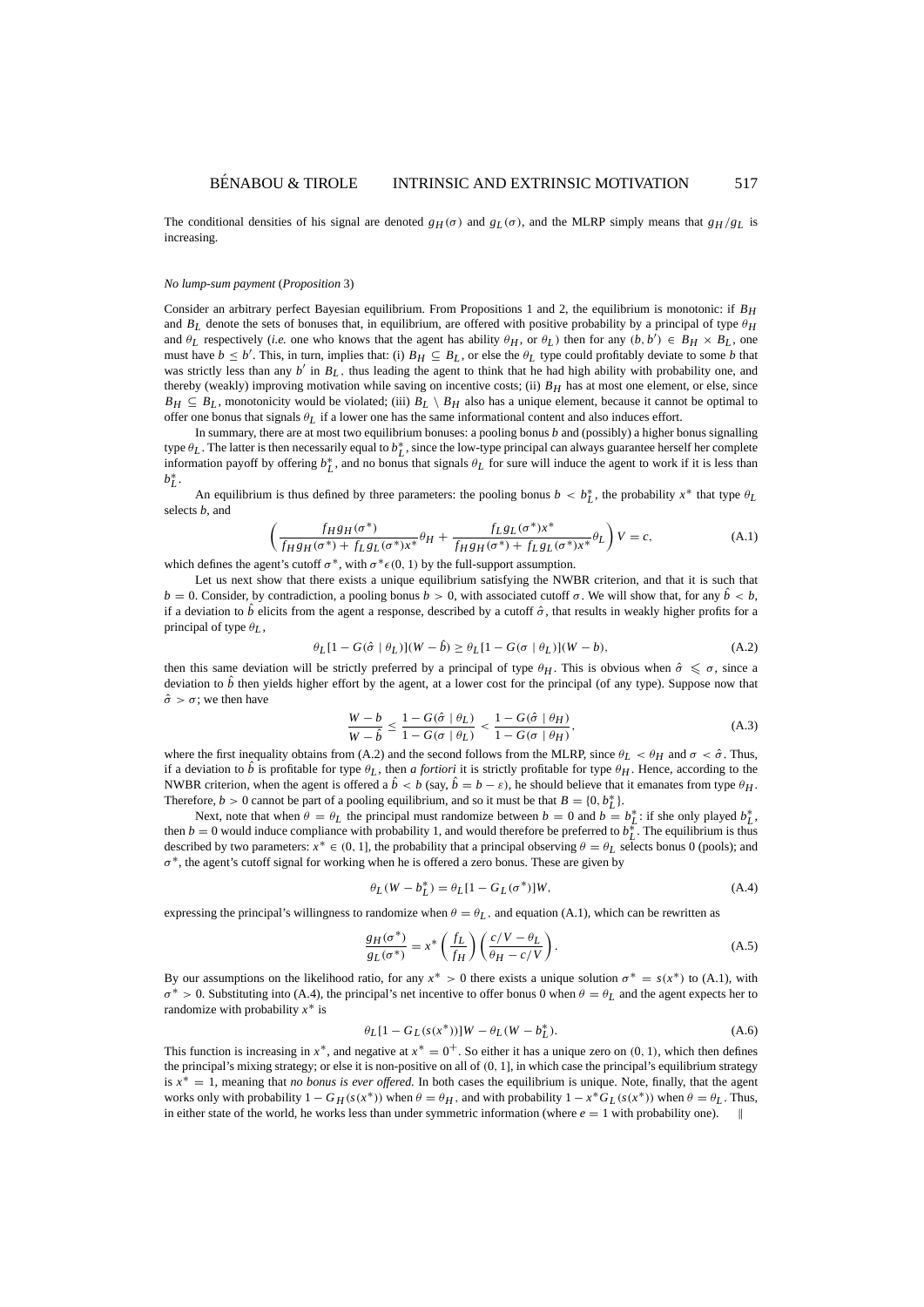The conditional densities of his signal are denoted  $g_H(\sigma)$  and  $g_L(\sigma)$ , and the MLRP simply means that  $g_H/g_L$  is increasing.

#### *No lump-sum payment* (*Proposition* 3)

Consider an arbitrary perfect Bayesian equilibrium. From Propositions 1 and 2, the equilibrium is monotonic: if *BH* and  $B_L$  denote the sets of bonuses that, in equilibrium, are offered with positive probability by a principal of type  $\theta_H$ and  $\theta_L$  respectively (*i.e.* one who knows that the agent has ability  $\theta_H$ , or  $\theta_L$ ) then for any  $(b, b') \in B_H \times B_L$ , one must have  $b \leq b'$ . This, in turn, implies that: (i)  $B_H \subseteq B_L$ , or else the  $\theta_L$  type could profitably deviate to some *b* that was strictly less than any  $b'$  in  $B_L$ , thus leading the agent to think that he had high ability with probability one, and thereby (weakly) improving motivation while saving on incentive costs; (ii) *BH* has at most one element, or else, since  $B_H \subseteq B_L$ , monotonicity would be violated; (iii)  $B_L \setminus B_H$  also has a unique element, because it cannot be optimal to offer one bonus that signals θ*L* if a lower one has the same informational content and also induces effort.

In summary, there are at most two equilibrium bonuses: a pooling bonus *b* and (possibly) a higher bonus signalling type  $\theta_L$ . The latter is then necessarily equal to  $b_L^*$ , since the low-type principal can always guarantee herself her complete information payoff by offering  $b_L^*$ , and no bonus that signals  $\theta_L$  for sure will induce the agent to work if it is less than *b* ∗ *L* .

An equilibrium is thus defined by three parameters: the pooling bonus  $b < b_L^*$ , the probability  $x^*$  that type  $\theta_L$ selects *b*, and

$$
\left(\frac{f_H g_H(\sigma^*)}{f_H g_H(\sigma^*) + f_L g_L(\sigma^*) x^*} \theta_H + \frac{f_L g_L(\sigma^*) x^*}{f_H g_H(\sigma^*) + f_L g_L(\sigma^*) x^*} \theta_L\right) V = c,\tag{A.1}
$$

which defines the agent's cutoff  $\sigma^*$ , with  $\sigma^* \epsilon(0, 1)$  by the full-support assumption.

Let us next show that there exists a unique equilibrium satisfying the NWBR criterion, and that it is such that  $b = 0$ . Consider, by contradiction, a pooling bonus  $b > 0$ , with associated cutoff  $\sigma$ . We will show that, for any  $\hat{b} < b$ , if a deviation to *b* elicits from the agent a response, described by a cutoff  $\hat{\sigma}$ , that results in weakly higher profits for a principal of type  $\theta_L$ ,

$$
\theta_L[1 - G(\hat{\sigma} \mid \theta_L)](W - \hat{b}) \ge \theta_L[1 - G(\sigma \mid \theta_L)](W - b),\tag{A.2}
$$

then this same deviation will be strictly preferred by a principal of type  $\theta$ *H*. This is obvious when  $\hat{\sigma} \leq \sigma$ , since a deviation to  $\hat{b}$  then yields higher effort by the agent, at a lower cost for the principal (of any type). Suppose now that  $\hat{\sigma} > \sigma$ ; we then have

$$
\frac{W-b}{W-\hat{b}} \le \frac{1-G(\hat{\sigma} \mid \theta_L)}{1-G(\sigma \mid \theta_L)} < \frac{1-G(\hat{\sigma} \mid \theta_H)}{1-G(\sigma \mid \theta_H)},
$$
\n(A.3)

where the first inequality obtains from (A.2) and the second follows from the MLRP, since  $\theta_L < \theta_H$  and  $\sigma < \hat{\sigma}$ . Thus, if a deviation to  $\hat{b}$  is profitable for type  $\theta_L$ , then *a fortiori* it is strictly profitable for type  $\theta_H$ . Hence, according to the NWBR criterion, when the agent is offered a  $\hat{b} < b$  (say,  $\hat{b} = b - \varepsilon$ ), he should believe that it emanates from type  $\theta_H$ . Therefore, *b* > 0 cannot be part of a pooling equilibrium, and so it must be that  $B = \{0, b_L^*\}$ .

Next, note that when  $\theta = \theta_L$  the principal must randomize between  $b = 0$  and  $b = b_L^*$ : if she only played  $b_L^*$ . then *b* = 0 would induce compliance with probability 1, and would therefore be preferred to  $b_L^*$ . The equilibrium is thus described by two parameters:  $x^* \in (0, 1]$ , the probability that a principal observing  $\theta = \theta_L$  selects bonus 0 (pools); and  $\sigma^*$ , the agent's cutoff signal for working when he is offered a zero bonus. These are given by

$$
\theta_L(W - b_L^*) = \theta_L [1 - G_L(\sigma^*)] W, \tag{A.4}
$$

expressing the principal's willingness to randomize when  $\theta = \theta_L$ , and equation (A.1), which can be rewritten as

$$
\frac{g_H(\sigma^*)}{g_L(\sigma^*)} = x^* \left(\frac{f_L}{f_H}\right) \left(\frac{c/V - \theta_L}{\theta_H - c/V}\right). \tag{A.5}
$$

By our assumptions on the likelihood ratio, for any  $x^* > 0$  there exists a unique solution  $\sigma^* = s(x^*)$  to (A.1), with  $\sigma^* > 0$ . Substituting into (A.4), the principal's net incentive to offer bonus 0 when  $\theta = \theta_L$  and the agent expects her to randomize with probability  $x^*$  is

$$
\theta_L[1 - G_L(s(x^*))]W - \theta_L(W - b_L^*).
$$
\n(A.6)

This function is increasing in  $x^*$ , and negative at  $x^* = 0^+$ . So either it has a unique zero on  $(0, 1)$ , which then defines the principal's mixing strategy; or else it is non-positive on all of (0, 1], in which case the principal's equilibrium strategy is  $x^* = 1$ , meaning that *no bonus is ever offered*. In both cases the equilibrium is unique. Note, finally, that the agent works only with probability  $1 - G_H(s(x^*))$  when  $\theta = \theta_H$ , and with probability  $1 - x^* G_L(s(x^*))$  when  $\theta = \theta_L$ . Thus, in either state of the world, he works less than under symmetric information (where  $e = 1$  with probability one).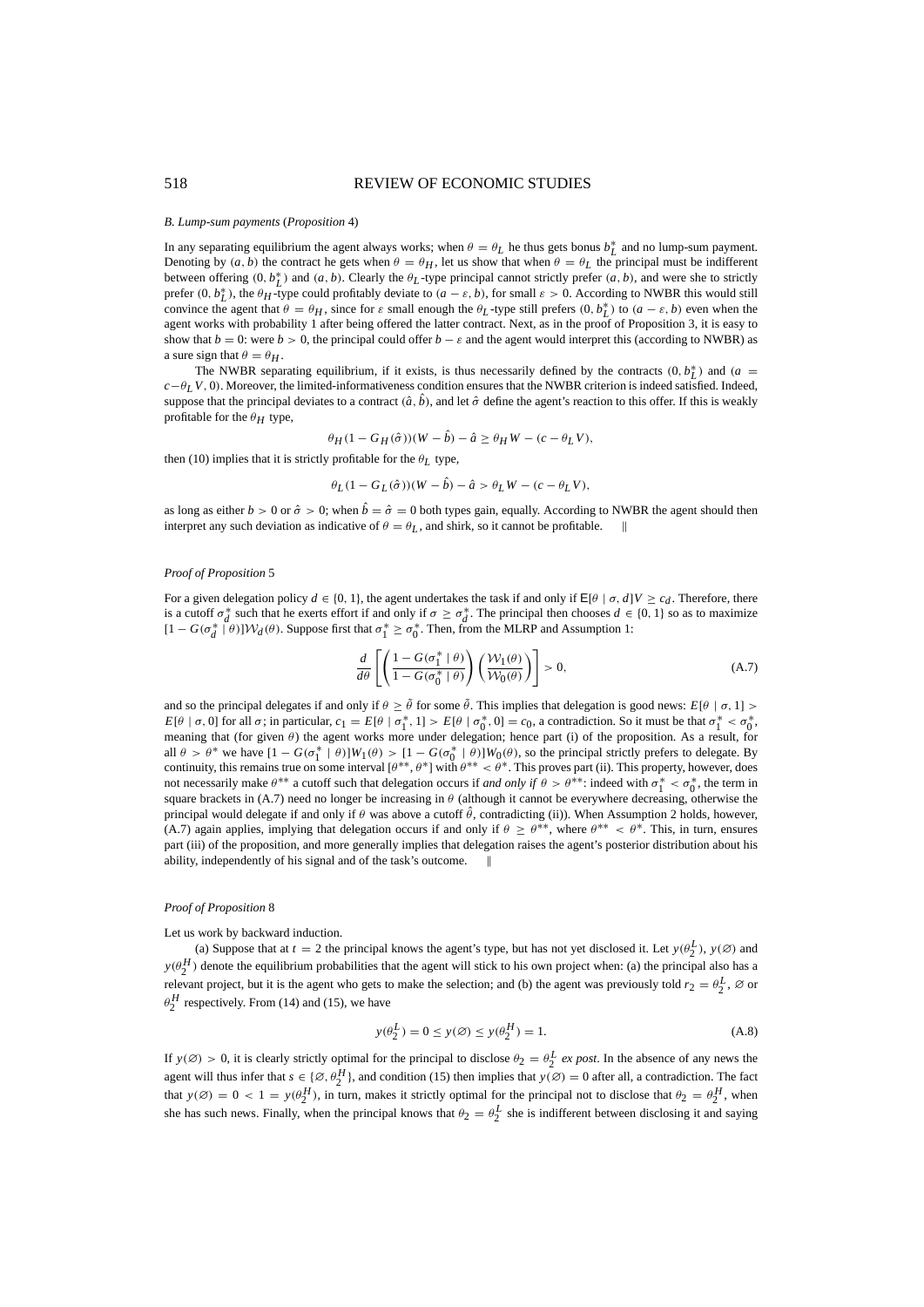#### *B. Lump-sum payments* (*Proposition* 4)

In any separating equilibrium the agent always works; when  $\theta = \theta_L$  he thus gets bonus  $b_L^*$  and no lump-sum payment. Denoting by  $(a, b)$  the contract he gets when  $\theta = \theta_H$ , let us show that when  $\theta = \theta_L$  the principal must be indifferent between offering  $(0, b_L^*)$  and  $(a, b)$ . Clearly the  $\theta_L$ -type principal cannot strictly prefer  $(a, b)$ , and were she to strictly prefer  $(0, b_L^*)$ , the  $\theta_H$ -type could profitably deviate to  $(a - \varepsilon, b)$ , for small  $\varepsilon > 0$ . According to NWBR this would still convince the agent that  $\theta = \theta_H$ , since for  $\varepsilon$  small enough the  $\theta_L$ -type still prefers  $(0, b_L^*)$  to  $(a - \varepsilon, b)$  even when the agent works with probability 1 after being offered the latter contract. Next, as in the proof of Proposition 3, it is easy to show that  $b = 0$ : were  $b > 0$ , the principal could offer  $b - \varepsilon$  and the agent would interpret this (according to NWBR) as a sure sign that  $\theta = \theta_H$ .

The NWBR separating equilibrium, if it exists, is thus necessarily defined by the contracts  $(0, b_L^*)$  and  $(a =$  $c-\theta_L V$ , 0). Moreover, the limited-informativeness condition ensures that the NWBR criterion is indeed satisfied. Indeed, suppose that the principal deviates to a contract  $(\hat{a}, \hat{b})$ , and let  $\hat{\sigma}$  define the agent's reaction to this offer. If this is weakly profitable for the θ*H* type,

$$
\theta_H(1-G_H(\hat\sigma))(W-\hat b)-\hat a\geq \theta_H W-(c-\theta_L V),
$$

then (10) implies that it is strictly profitable for the θ*L* type,

$$
\theta_L(1-G_L(\hat\sigma))(W-\hat b)-\hat a>\theta_LW-(c-\theta_LV),
$$

as long as either  $b > 0$  or  $\hat{\sigma} > 0$ ; when  $\hat{b} = \hat{\sigma} = 0$  both types gain, equally. According to NWBR the agent should then interpret any such deviation as indicative of  $\theta = \theta_L$ , and shirk, so it cannot be profitable.

#### *Proof of Proposition* 5

For a given delegation policy  $d \in \{0, 1\}$ , the agent undertakes the task if and only if  $E[\theta \mid \sigma, d]V \ge c_d$ . Therefore, there is a cutoff  $\sigma_d^*$  such that he exerts effort if and only if  $\sigma \geq \sigma_d^*$ . The principal then chooses  $d \in \{0, 1\}$  so as to maximize  $[1 - G(\sigma_d^* \mid \theta)]W_d(\theta)$ . Suppose first that  $\sigma_1^* \ge \sigma_0^*$ . Then, from the MLRP and Assumption 1:

$$
\frac{d}{d\theta} \left[ \left( \frac{1 - G(\sigma_1^* \mid \theta)}{1 - G(\sigma_0^* \mid \theta)} \right) \left( \frac{\mathcal{W}_1(\theta)}{\mathcal{W}_0(\theta)} \right) \right] > 0, \tag{A.7}
$$

and so the principal delegates if and only if  $\theta \geq \tilde{\theta}$  for some  $\tilde{\theta}$ . This implies that delegation is good news:  $E[\theta | \sigma, 1]$  $E[\theta \mid \sigma, 0]$  for all  $\sigma$ ; in particular,  $c_1 = E[\theta \mid \sigma_1^*, 1] > E[\theta \mid \sigma_0^*, 0] = c_0$ , a contradiction. So it must be that  $\sigma_1^* < \sigma_0^*$ , meaning that (for given  $\theta$ ) the agent works more under delegation; hence part (i) of the proposition. As a result, for all  $\theta > \theta^*$  we have  $[1 - G(\sigma_1^* | \theta)]W_1(\theta) > [1 - G(\sigma_0^* | \theta)]W_0(\theta)$ , so the principal strictly prefers to delegate. By continuity, this remains true on some interval  $[\theta^{**}, \theta^*]$  with  $\theta^{**} < \theta^*$ . This proves part (ii). This property, however, does not necessarily make  $\theta^{**}$  a cutoff such that delegation occurs if *and only if*  $\theta > \theta^{**}$ : indeed with  $\sigma_1^* < \sigma_0^*$ , the term in square brackets in (A.7) need no longer be increasing in  $\theta$  (although it cannot be everywhere decreasing, otherwise the principal would delegate if and only if  $\theta$  was above a cutoff  $\hat{\theta}$ , contradicting (ii)). When Assumption 2 holds, however, (A.7) again applies, implying that delegation occurs if and only if  $\theta \geq \theta^{**}$ , where  $\theta^{**} < \theta^*$ . This, in turn, ensures part (iii) of the proposition, and more generally implies that delegation raises the agent's posterior distribution about his ability, independently of his signal and of the task's outcome.

#### *Proof of Proposition* 8

Let us work by backward induction.

(a) Suppose that at  $t = 2$  the principal knows the agent's type, but has not yet disclosed it. Let  $y(\theta_2^L)$ ,  $y(\emptyset)$  and  $y(\theta_2^H)$  denote the equilibrium probabilities that the agent will stick to his own project when: (a) the principal also has a relevant project, but it is the agent who gets to make the selection; and (b) the agent was previously told  $r_2 = \theta_2^L$ ,  $\varnothing$  or  $\theta_2^H$  respectively. From (14) and (15), we have

$$
y(\theta_2^L) = 0 \le y(\emptyset) \le y(\theta_2^H) = 1.
$$
 (A.8)

If  $y(\emptyset) > 0$ , it is clearly strictly optimal for the principal to disclose  $\theta_2 = \theta_2^L$  *ex post*. In the absence of any news the agent will thus infer that  $s \in \{\emptyset, \theta_2^H\}$ , and condition (15) then implies that  $y(\emptyset) = 0$  after all, a contradiction. The fact that  $y(\emptyset) = 0 < 1 = y(\theta_2^H)$ , in turn, makes it strictly optimal for the principal not to disclose that  $\theta_2 = \theta_2^H$ , when she has such news. Finally, when the principal knows that  $\theta_2 = \theta_2^L$  she is indifferent between disclosing it and saying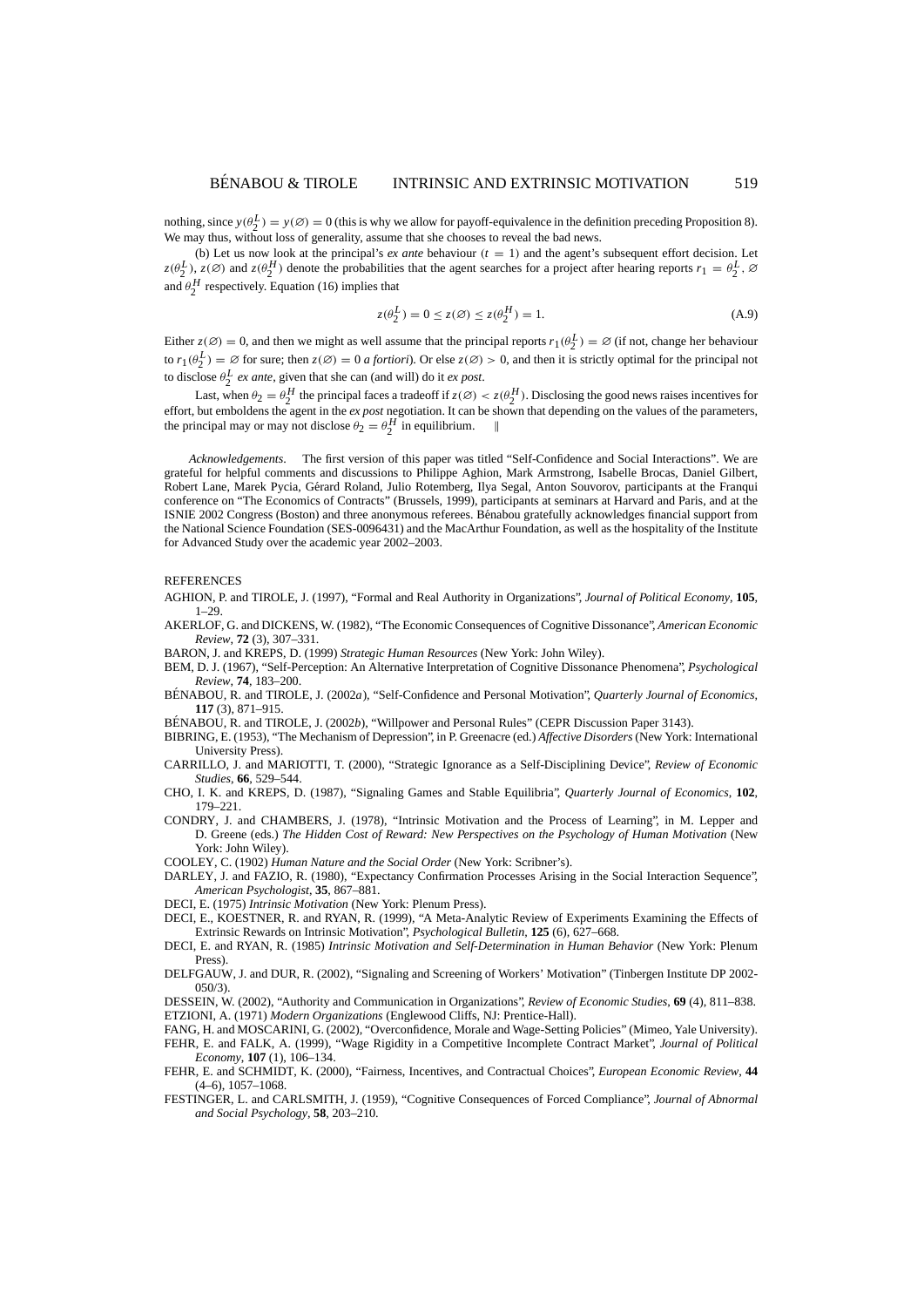nothing, since  $y(\theta_2^L) = y(\emptyset) = 0$  (this is why we allow for payoff-equivalence in the definition preceding Proposition 8). We may thus, without loss of generality, assume that she chooses to reveal the bad news.

(b) Let us now look at the principal's *ex ante* behaviour  $(t = 1)$  and the agent's subsequent effort decision. Let  $z(\theta_2^L)$ ,  $z(\emptyset)$  and  $z(\theta_2^H)$  denote the probabilities that the agent searches for a project after hearing reports  $r_1 = \theta_2^L$ ,  $\emptyset$ and  $\theta_2^H$  respectively. Equation (16) implies that

$$
z(\theta_2^L) = 0 \le z(\emptyset) \le z(\theta_2^H) = 1.
$$
\n(A.9)

Either  $z(\emptyset) = 0$ , and then we might as well assume that the principal reports  $r_1(\theta_2^L) = \emptyset$  (if not, change her behaviour to  $r_1(\theta_2^L) = \emptyset$  for sure; then  $z(\emptyset) = 0$  *a fortiori*). Or else  $z(\emptyset) > 0$ , and then it is strictly optimal for the principal not to disclose  $\theta_2^L$  *ex ante*, given that she can (and will) do it *ex post*.

Last, when  $\theta_2 = \theta_2^H$  the principal faces a tradeoff if  $z(\emptyset) < z(\theta_2^H)$ . Disclosing the good news raises incentives for effort, but emboldens the agent in the *ex post* negotiation. It can be shown that depending on the values of the parameters, the principal may or may not disclose  $\theta_2 = \theta_2^H$  in equilibrium.  $\parallel$ 

*Acknowledgements*. The first version of this paper was titled "Self-Confidence and Social Interactions". We are grateful for helpful comments and discussions to Philippe Aghion, Mark Armstrong, Isabelle Brocas, Daniel Gilbert, Robert Lane, Marek Pycia, Gerard Roland, Julio Rotemberg, Ilya Segal, Anton Souvorov, participants at the Franqui ´ conference on "The Economics of Contracts" (Brussels, 1999), participants at seminars at Harvard and Paris, and at the ISNIE 2002 Congress (Boston) and three anonymous referees. Benabou gratefully acknowledges financial support from ´ the National Science Foundation (SES-0096431) and the MacArthur Foundation, as well as the hospitality of the Institute for Advanced Study over the academic year 2002–2003.

#### **REFERENCES**

AGHION, P. and TIROLE, J. (1997), "Formal and Real Authority in Organizations", *Journal of Political Economy*, **105**, 1–29.

AKERLOF, G. and DICKENS, W. (1982), "The Economic Consequences of Cognitive Dissonance", *American Economic Review*, **72** (3), 307–331.

BARON, J. and KREPS, D. (1999) *Strategic Human Resources* (New York: John Wiley).

- BEM, D. J. (1967), "Self-Perception: An Alternative Interpretation of Cognitive Dissonance Phenomena", *Psychological Review*, **74**, 183–200.
- BÉNABOU, R. and TIROLE, J. (2002a), "Self-Confidence and Personal Motivation", *Quarterly Journal of Economics*, **117** (3), 871–915.

BÉNABOU, R. and TIROLE, J. (2002b), "Willpower and Personal Rules" (CEPR Discussion Paper 3143).

- BIBRING, E. (1953), "The Mechanism of Depression", in P. Greenacre (ed.) *Affective Disorders* (New York: International University Press).
- CARRILLO, J. and MARIOTTI, T. (2000), "Strategic Ignorance as a Self-Disciplining Device", *Review of Economic Studies*, **66**, 529–544.
- CHO, I. K. and KREPS, D. (1987), "Signaling Games and Stable Equilibria", *Quarterly Journal of Economics*, **102**, 179–221.
- CONDRY, J. and CHAMBERS, J. (1978), "Intrinsic Motivation and the Process of Learning", in M. Lepper and D. Greene (eds.) *The Hidden Cost of Reward: New Perspectives on the Psychology of Human Motivation* (New York: John Wiley).

COOLEY, C. (1902) *Human Nature and the Social Order* (New York: Scribner's).

DARLEY, J. and FAZIO, R. (1980), "Expectancy Confirmation Processes Arising in the Social Interaction Sequence", *American Psychologist*, **35**, 867–881.

DECI, E. (1975) *Intrinsic Motivation* (New York: Plenum Press).

- DECI, E., KOESTNER, R. and RYAN, R. (1999), "A Meta-Analytic Review of Experiments Examining the Effects of Extrinsic Rewards on Intrinsic Motivation", *Psychological Bulletin*, **125** (6), 627–668.
- DECI, E. and RYAN, R. (1985) *Intrinsic Motivation and Self-Determination in Human Behavior* (New York: Plenum Press).
- DELFGAUW, J. and DUR, R. (2002), "Signaling and Screening of Workers' Motivation" (Tinbergen Institute DP 2002-  $050/3$

DESSEIN, W. (2002), "Authority and Communication in Organizations", *Review of Economic Studies*, **69** (4), 811–838. ETZIONI, A. (1971) *Modern Organizations* (Englewood Cliffs, NJ: Prentice-Hall).

- FANG, H. and MOSCARINI, G. (2002), "Overconfidence, Morale and Wage-Setting Policies" (Mimeo, Yale University). FEHR, E. and FALK, A. (1999), "Wage Rigidity in a Competitive Incomplete Contract Market", *Journal of Political Economy*, **107** (1), 106–134.
- FEHR, E. and SCHMIDT, K. (2000), "Fairness, Incentives, and Contractual Choices", *European Economic Review*, **44** (4–6), 1057–1068.
- FESTINGER, L. and CARLSMITH, J. (1959), "Cognitive Consequences of Forced Compliance", *Journal of Abnormal and Social Psychology*, **58**, 203–210.